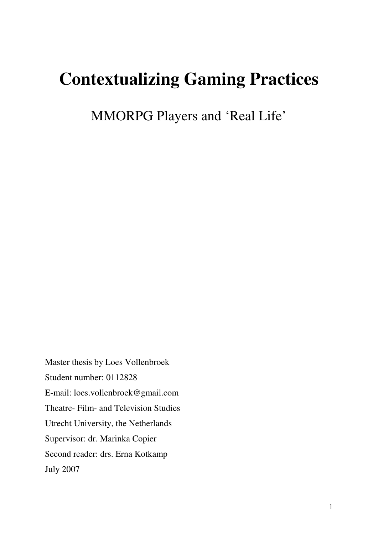# **Contextualizing Gaming Practices**

MMORPG Players and 'Real Life'

Master thesis by Loes Vollenbroek Student number: 0112828 E-mail: loes.vollenbroek@gmail.com Theatre- Film- and Television Studies Utrecht University, the Netherlands Supervisor: dr. Marinka Copier Second reader: drs. Erna Kotkamp July 2007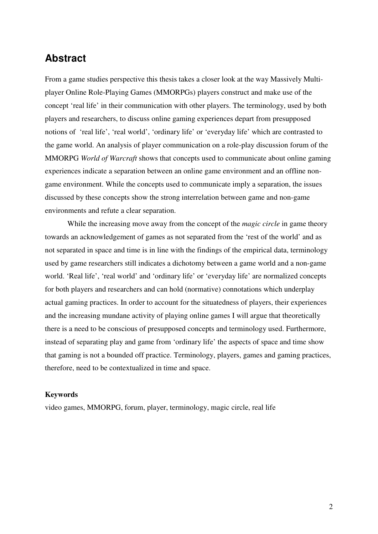## **Abstract**

From a game studies perspective this thesis takes a closer look at the way Massively Multiplayer Online Role-Playing Games (MMORPGs) players construct and make use of the concept 'real life' in their communication with other players. The terminology, used by both players and researchers, to discuss online gaming experiences depart from presupposed notions of 'real life', 'real world', 'ordinary life' or 'everyday life' which are contrasted to the game world. An analysis of player communication on a role-play discussion forum of the MMORPG *World of Warcraft* shows that concepts used to communicate about online gaming experiences indicate a separation between an online game environment and an offline nongame environment. While the concepts used to communicate imply a separation, the issues discussed by these concepts show the strong interrelation between game and non-game environments and refute a clear separation.

While the increasing move away from the concept of the *magic circle* in game theory towards an acknowledgement of games as not separated from the 'rest of the world' and as not separated in space and time is in line with the findings of the empirical data, terminology used by game researchers still indicates a dichotomy between a game world and a non-game world. 'Real life', 'real world' and 'ordinary life' or 'everyday life' are normalized concepts for both players and researchers and can hold (normative) connotations which underplay actual gaming practices. In order to account for the situatedness of players, their experiences and the increasing mundane activity of playing online games I will argue that theoretically there is a need to be conscious of presupposed concepts and terminology used. Furthermore, instead of separating play and game from 'ordinary life' the aspects of space and time show that gaming is not a bounded off practice. Terminology, players, games and gaming practices, therefore, need to be contextualized in time and space.

#### **Keywords**

video games, MMORPG, forum, player, terminology, magic circle, real life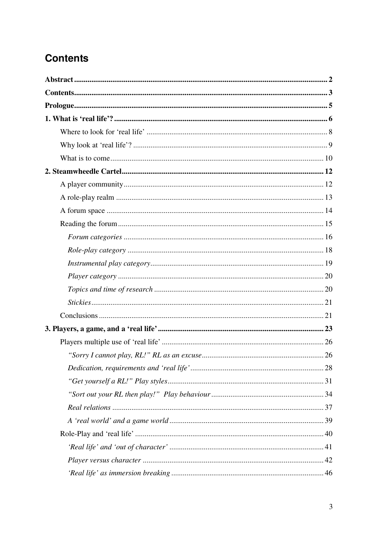## **Contents**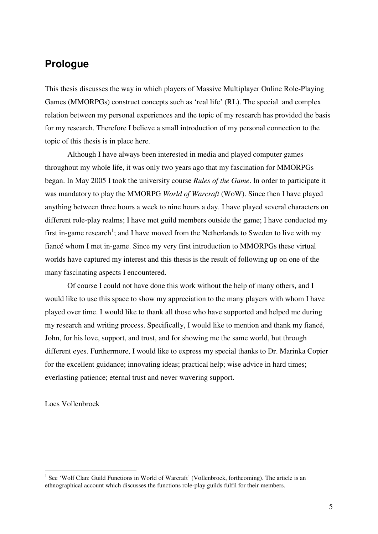## **Prologue**

This thesis discusses the way in which players of Massive Multiplayer Online Role-Playing Games (MMORPGs) construct concepts such as 'real life' (RL). The special and complex relation between my personal experiences and the topic of my research has provided the basis for my research. Therefore I believe a small introduction of my personal connection to the topic of this thesis is in place here.

 Although I have always been interested in media and played computer games throughout my whole life, it was only two years ago that my fascination for MMORPGs began. In May 2005 I took the university course *Rules of the Game*. In order to participate it was mandatory to play the MMORPG *World of Warcraft* (WoW). Since then I have played anything between three hours a week to nine hours a day. I have played several characters on different role-play realms; I have met guild members outside the game; I have conducted my first in-game research<sup>1</sup>; and I have moved from the Netherlands to Sweden to live with my fiancé whom I met in-game. Since my very first introduction to MMORPGs these virtual worlds have captured my interest and this thesis is the result of following up on one of the many fascinating aspects I encountered.

 Of course I could not have done this work without the help of many others, and I would like to use this space to show my appreciation to the many players with whom I have played over time. I would like to thank all those who have supported and helped me during my research and writing process. Specifically, I would like to mention and thank my fiancé, John, for his love, support, and trust, and for showing me the same world, but through different eyes. Furthermore, I would like to express my special thanks to Dr. Marinka Copier for the excellent guidance; innovating ideas; practical help; wise advice in hard times; everlasting patience; eternal trust and never wavering support.

Loes Vollenbroek

<sup>&</sup>lt;sup>1</sup> See 'Wolf Clan: Guild Functions in World of Warcraft' (Vollenbroek, forthcoming). The article is an ethnographical account which discusses the functions role-play guilds fulfil for their members.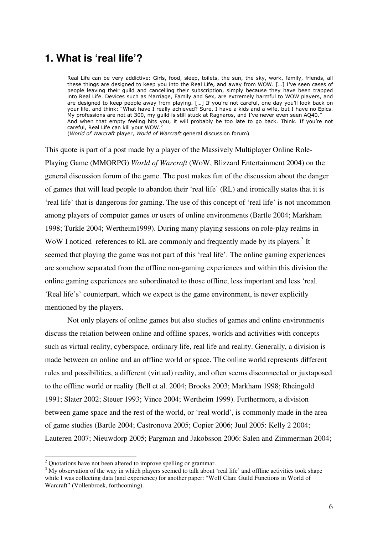## **1. What is 'real life'?**

Real Life can be very addictive: Girls, food, sleep, toilets, the sun, the sky, work, family, friends, all these things are designed to keep you into the Real Life, and away from WOW. […] I've seen cases of people leaving their guild and cancelling their subscription, simply because they have been trapped into Real Life. Devices such as Marriage, Family and Sex, are extremely harmful to WOW players, and are designed to keep people away from playing. […] If you're not careful, one day you'll look back on your life, and think: "What have I really achieved? Sure, I have a kids and a wife, but I have no Epics. My professions are not at 300, my guild is still stuck at Ragnaros, and I've never even seen AQ40." And when that empty feeling hits you, it will probably be too late to go back. Think. If you're not careful, Real Life can kill your WOW.<sup>2</sup>

(World of Warcraft player, World of Warcraft general discussion forum)

This quote is part of a post made by a player of the Massively Multiplayer Online Role-Playing Game (MMORPG) *World of Warcraft* (WoW, Blizzard Entertainment 2004) on the general discussion forum of the game. The post makes fun of the discussion about the danger of games that will lead people to abandon their 'real life' (RL) and ironically states that it is 'real life' that is dangerous for gaming. The use of this concept of 'real life' is not uncommon among players of computer games or users of online environments (Bartle 2004; Markham 1998; Turkle 2004; Wertheim1999). During many playing sessions on role-play realms in WoW I noticed references to RL are commonly and frequently made by its players.<sup>3</sup> It seemed that playing the game was not part of this 'real life'. The online gaming experiences are somehow separated from the offline non-gaming experiences and within this division the online gaming experiences are subordinated to those offline, less important and less 'real. 'Real life's' counterpart, which we expect is the game environment, is never explicitly mentioned by the players.

 Not only players of online games but also studies of games and online environments discuss the relation between online and offline spaces, worlds and activities with concepts such as virtual reality, cyberspace, ordinary life, real life and reality. Generally, a division is made between an online and an offline world or space. The online world represents different rules and possibilities, a different (virtual) reality, and often seems disconnected or juxtaposed to the offline world or reality (Bell et al. 2004; Brooks 2003; Markham 1998; Rheingold 1991; Slater 2002; Steuer 1993; Vince 2004; Wertheim 1999). Furthermore, a division between game space and the rest of the world, or 'real world', is commonly made in the area of game studies (Bartle 2004; Castronova 2005; Copier 2006; Juul 2005: Kelly 2 2004; Lauteren 2007; Nieuwdorp 2005; Pargman and Jakobsson 2006: Salen and Zimmerman 2004;

<sup>&</sup>lt;sup>2</sup> Quotations have not been altered to improve spelling or grammar.

 $3$  My observation of the way in which players seemed to talk about 'real life' and offline activities took shape while I was collecting data (and experience) for another paper: "Wolf Clan: Guild Functions in World of Warcraft" (Vollenbroek, forthcoming).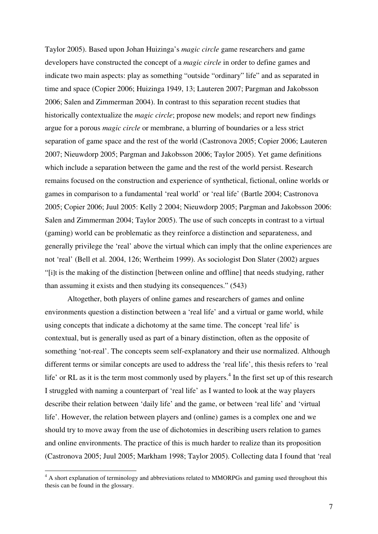Taylor 2005). Based upon Johan Huizinga's *magic circle* game researchers and game developers have constructed the concept of a *magic circle* in order to define games and indicate two main aspects: play as something "outside "ordinary" life" and as separated in time and space (Copier 2006; Huizinga 1949, 13; Lauteren 2007; Pargman and Jakobsson 2006; Salen and Zimmerman 2004). In contrast to this separation recent studies that historically contextualize the *magic circle*; propose new models; and report new findings argue for a porous *magic circle* or membrane, a blurring of boundaries or a less strict separation of game space and the rest of the world (Castronova 2005; Copier 2006; Lauteren 2007; Nieuwdorp 2005; Pargman and Jakobsson 2006; Taylor 2005). Yet game definitions which include a separation between the game and the rest of the world persist. Research remains focused on the construction and experience of synthetical, fictional, online worlds or games in comparison to a fundamental 'real world' or 'real life' (Bartle 2004; Castronova 2005; Copier 2006; Juul 2005: Kelly 2 2004; Nieuwdorp 2005; Pargman and Jakobsson 2006: Salen and Zimmerman 2004; Taylor 2005). The use of such concepts in contrast to a virtual (gaming) world can be problematic as they reinforce a distinction and separateness, and generally privilege the 'real' above the virtual which can imply that the online experiences are not 'real' (Bell et al. 2004, 126; Wertheim 1999). As sociologist Don Slater (2002) argues "[i]t is the making of the distinction [between online and offline] that needs studying, rather than assuming it exists and then studying its consequences." (543)

Altogether, both players of online games and researchers of games and online environments question a distinction between a 'real life' and a virtual or game world, while using concepts that indicate a dichotomy at the same time. The concept 'real life' is contextual, but is generally used as part of a binary distinction, often as the opposite of something 'not-real'. The concepts seem self-explanatory and their use normalized. Although different terms or similar concepts are used to address the 'real life', this thesis refers to 'real life' or RL as it is the term most commonly used by players.<sup>4</sup> In the first set up of this research I struggled with naming a counterpart of 'real life' as I wanted to look at the way players describe their relation between 'daily life' and the game, or between 'real life' and 'virtual life'. However, the relation between players and (online) games is a complex one and we should try to move away from the use of dichotomies in describing users relation to games and online environments. The practice of this is much harder to realize than its proposition (Castronova 2005; Juul 2005; Markham 1998; Taylor 2005). Collecting data I found that 'real

<sup>&</sup>lt;sup>4</sup> A short explanation of terminology and abbreviations related to MMORPGs and gaming used throughout this thesis can be found in the glossary.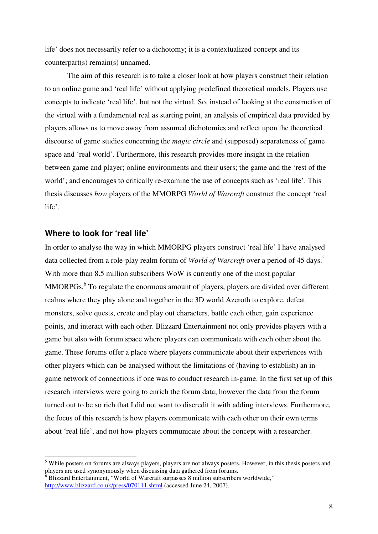life' does not necessarily refer to a dichotomy; it is a contextualized concept and its counterpart(s) remain(s) unnamed.

The aim of this research is to take a closer look at how players construct their relation to an online game and 'real life' without applying predefined theoretical models. Players use concepts to indicate 'real life', but not the virtual. So, instead of looking at the construction of the virtual with a fundamental real as starting point, an analysis of empirical data provided by players allows us to move away from assumed dichotomies and reflect upon the theoretical discourse of game studies concerning the *magic circle* and (supposed) separateness of game space and 'real world'. Furthermore, this research provides more insight in the relation between game and player; online environments and their users; the game and the 'rest of the world'; and encourages to critically re-examine the use of concepts such as 'real life'. This thesis discusses *how* players of the MMORPG *World of Warcraft* construct the concept 'real life'.

#### **Where to look for 'real life'**

In order to analyse the way in which MMORPG players construct 'real life' I have analysed data collected from a role-play realm forum of *World of Warcraft* over a period of 45 days.<sup>5</sup> With more than 8.5 million subscribers WoW is currently one of the most popular MMORPGs.<sup>6</sup> To regulate the enormous amount of players, players are divided over different realms where they play alone and together in the 3D world Azeroth to explore, defeat monsters, solve quests, create and play out characters, battle each other, gain experience points, and interact with each other. Blizzard Entertainment not only provides players with a game but also with forum space where players can communicate with each other about the game. These forums offer a place where players communicate about their experiences with other players which can be analysed without the limitations of (having to establish) an ingame network of connections if one was to conduct research in-game. In the first set up of this research interviews were going to enrich the forum data; however the data from the forum turned out to be so rich that I did not want to discredit it with adding interviews. Furthermore, the focus of this research is how players communicate with each other on their own terms about 'real life', and not how players communicate about the concept with a researcher.

<sup>&</sup>lt;sup>5</sup> While posters on forums are always players, players are not always posters. However, in this thesis posters and players are used synonymously when discussing data gathered from forums.

 $6$  Blizzard Entertainment, "World of Warcraft surpasses 8 million subscribers worldwide," http://www.blizzard.co.uk/press/070111.shtml (accessed June 24, 2007).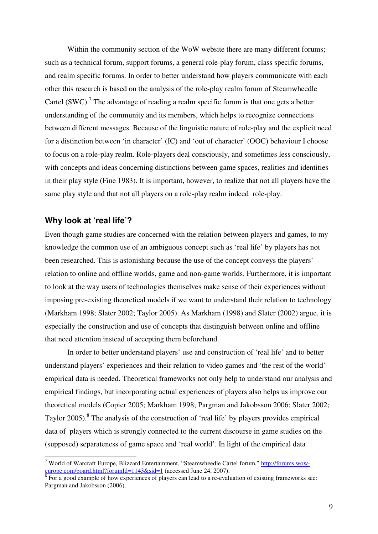Within the community section of the WoW website there are many different forums; such as a technical forum, support forums, a general role-play forum, class specific forums, and realm specific forums. In order to better understand how players communicate with each other this research is based on the analysis of the role-play realm forum of Steamwheedle Cartel  $(SWC)$ .<sup>7</sup> The advantage of reading a realm specific forum is that one gets a better understanding of the community and its members, which helps to recognize connections between different messages. Because of the linguistic nature of role-play and the explicit need for a distinction between 'in character' (IC) and 'out of character' (OOC) behaviour I choose to focus on a role-play realm. Role-players deal consciously, and sometimes less consciously, with concepts and ideas concerning distinctions between game spaces, realities and identities in their play style (Fine 1983). It is important, however, to realize that not all players have the same play style and that not all players on a role-play realm indeed role-play.

#### **Why look at 'real life'?**

Even though game studies are concerned with the relation between players and games, to my knowledge the common use of an ambiguous concept such as 'real life' by players has not been researched. This is astonishing because the use of the concept conveys the players' relation to online and offline worlds, game and non-game worlds. Furthermore, it is important to look at the way users of technologies themselves make sense of their experiences without imposing pre-existing theoretical models if we want to understand their relation to technology (Markham 1998; Slater 2002; Taylor 2005). As Markham (1998) and Slater (2002) argue, it is especially the construction and use of concepts that distinguish between online and offline that need attention instead of accepting them beforehand.

In order to better understand players' use and construction of 'real life' and to better understand players' experiences and their relation to video games and 'the rest of the world' empirical data is needed. Theoretical frameworks not only help to understand our analysis and empirical findings, but incorporating actual experiences of players also helps us improve our theoretical models (Copier 2005; Markham 1998; Pargman and Jakobsson 2006; Slater 2002; Taylor 2005).<sup>8</sup> The analysis of the construction of 'real life' by players provides empirical data of players which is strongly connected to the current discourse in game studies on the (supposed) separateness of game space and 'real world'. In light of the empirical data

<sup>&</sup>lt;sup>7</sup> World of Warcraft Europe, Blizzard Entertainment, "Steamwheedle Cartel forum," http://forums.woweurope.com/board.html?forumId=1143&sid=1 (accessed June 24, 2007).

 $8$  For a good example of how experiences of players can lead to a re-evaluation of existing frameworks see: Pargman and Jakobsson (2006).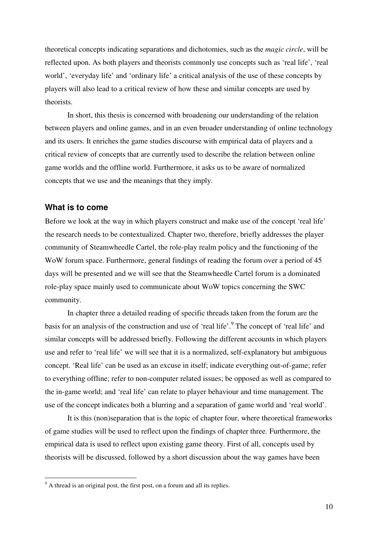theoretical concepts indicating separations and dichotomies, such as the *magic circle*, will be reflected upon. As both players and theorists commonly use concepts such as 'real life', 'real world', 'everyday life' and 'ordinary life' a critical analysis of the use of these concepts by players will also lead to a critical review of how these and similar concepts are used by theorists.

In short, this thesis is concerned with broadening our understanding of the relation between players and online games, and in an even broader understanding of online technology and its users. It enriches the game studies discourse with empirical data of players and a critical review of concepts that are currently used to describe the relation between online game worlds and the offline world. Furthermore, it asks us to be aware of normalized concepts that we use and the meanings that they imply.

#### **What is to come**

Before we look at the way in which players construct and make use of the concept 'real life' the research needs to be contextualized. Chapter two, therefore, briefly addresses the player community of Steamwheedle Cartel, the role-play realm policy and the functioning of the WoW forum space. Furthermore, general findings of reading the forum over a period of 45 days will be presented and we will see that the Steamwheedle Cartel forum is a dominated role-play space mainly used to communicate about WoW topics concerning the SWC community.

In chapter three a detailed reading of specific threads taken from the forum are the basis for an analysis of the construction and use of 'real life'.<sup>9</sup> The concept of 'real life' and similar concepts will be addressed briefly. Following the different accounts in which players use and refer to 'real life' we will see that it is a normalized, self-explanatory but ambiguous concept. 'Real life' can be used as an excuse in itself; indicate everything out-of-game; refer to everything offline; refer to non-computer related issues; be opposed as well as compared to the in-game world; and 'real life' can relate to player behaviour and time management. The use of the concept indicates both a blurring and a separation of game world and 'real world'.

It is this (non)separation that is the topic of chapter four, where theoretical frameworks of game studies will be used to reflect upon the findings of chapter three. Furthermore, the empirical data is used to reflect upon existing game theory. First of all, concepts used by theorists will be discussed, followed by a short discussion about the way games have been

<sup>&</sup>lt;sup>9</sup> A thread is an original post, the first post, on a forum and all its replies.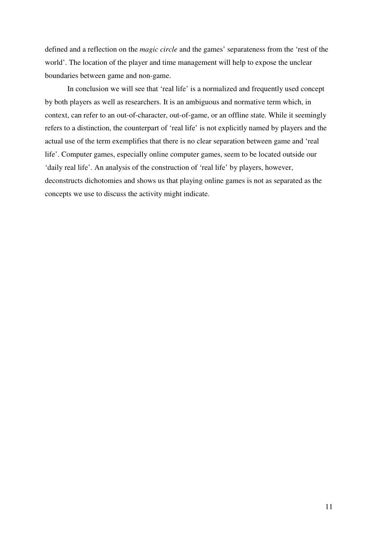defined and a reflection on the *magic circle* and the games' separateness from the 'rest of the world'. The location of the player and time management will help to expose the unclear boundaries between game and non-game.

In conclusion we will see that 'real life' is a normalized and frequently used concept by both players as well as researchers. It is an ambiguous and normative term which, in context, can refer to an out-of-character, out-of-game, or an offline state. While it seemingly refers to a distinction, the counterpart of 'real life' is not explicitly named by players and the actual use of the term exemplifies that there is no clear separation between game and 'real life'. Computer games, especially online computer games, seem to be located outside our 'daily real life'. An analysis of the construction of 'real life' by players, however, deconstructs dichotomies and shows us that playing online games is not as separated as the concepts we use to discuss the activity might indicate.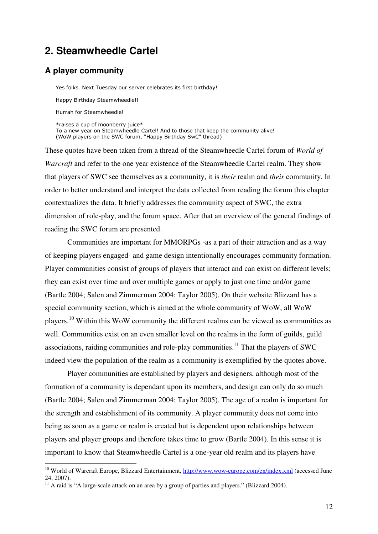## **2. Steamwheedle Cartel**

#### **A player community**

 $\overline{a}$ 

 Yes folks. Next Tuesday our server celebrates its first birthday! Happy Birthday Steamwheedle!! Hurrah for Steamwheedle! \*raises a cup of moonberry juice\* To a new year on Steamwheedle Cartel! And to those that keep the community alive! (WoW players on the SWC forum, "Happy Birthday SwC" thread)

These quotes have been taken from a thread of the Steamwheedle Cartel forum of *World of Warcraft* and refer to the one year existence of the Steamwheedle Cartel realm. They show that players of SWC see themselves as a community, it is *their* realm and *their* community. In order to better understand and interpret the data collected from reading the forum this chapter contextualizes the data. It briefly addresses the community aspect of SWC, the extra dimension of role-play, and the forum space. After that an overview of the general findings of reading the SWC forum are presented.

 Communities are important for MMORPGs -as a part of their attraction and as a way of keeping players engaged- and game design intentionally encourages community formation. Player communities consist of groups of players that interact and can exist on different levels; they can exist over time and over multiple games or apply to just one time and/or game (Bartle 2004; Salen and Zimmerman 2004; Taylor 2005). On their website Blizzard has a special community section, which is aimed at the whole community of WoW, all WoW players.<sup>10</sup> Within this WoW community the different realms can be viewed as communities as well. Communities exist on an even smaller level on the realms in the form of guilds, guild associations, raiding communities and role-play communities.<sup>11</sup> That the players of SWC indeed view the population of the realm as a community is exemplified by the quotes above.

 Player communities are established by players and designers, although most of the formation of a community is dependant upon its members, and design can only do so much (Bartle 2004; Salen and Zimmerman 2004; Taylor 2005). The age of a realm is important for the strength and establishment of its community. A player community does not come into being as soon as a game or realm is created but is dependent upon relationships between players and player groups and therefore takes time to grow (Bartle 2004). In this sense it is important to know that Steamwheedle Cartel is a one-year old realm and its players have

<sup>&</sup>lt;sup>10</sup> World of Warcraft Europe, Blizzard Entertainment, http://www.wow-europe.com/en/index.xml (accessed June 24, 2007).

 $^{11}$  A raid is "A large-scale attack on an area by a group of parties and players." (Blizzard 2004).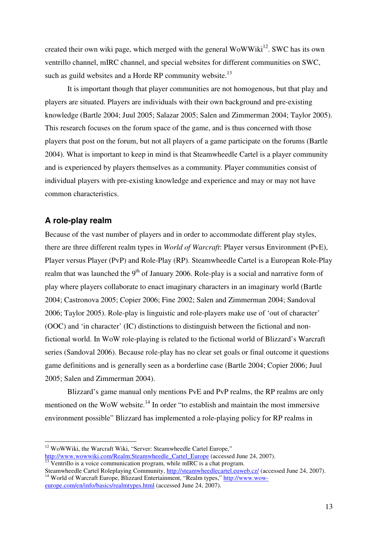created their own wiki page, which merged with the general WoWWiki<sup>12</sup>. SWC has its own ventrillo channel, mIRC channel, and special websites for different communities on SWC, such as guild websites and a Horde RP community website.<sup>13</sup>

 It is important though that player communities are not homogenous, but that play and players are situated. Players are individuals with their own background and pre-existing knowledge (Bartle 2004; Juul 2005; Salazar 2005; Salen and Zimmerman 2004; Taylor 2005). This research focuses on the forum space of the game, and is thus concerned with those players that post on the forum, but not all players of a game participate on the forums (Bartle 2004). What is important to keep in mind is that Steamwheedle Cartel is a player community and is experienced by players themselves as a community. Player communities consist of individual players with pre-existing knowledge and experience and may or may not have common characteristics.

#### **A role-play realm**

 $\overline{a}$ 

Because of the vast number of players and in order to accommodate different play styles, there are three different realm types in *World of Warcraft*: Player versus Environment (PvE), Player versus Player (PvP) and Role-Play (RP). Steamwheedle Cartel is a European Role-Play realm that was launched the  $9<sup>th</sup>$  of January 2006. Role-play is a social and narrative form of play where players collaborate to enact imaginary characters in an imaginary world (Bartle 2004; Castronova 2005; Copier 2006; Fine 2002; Salen and Zimmerman 2004; Sandoval 2006; Taylor 2005). Role-play is linguistic and role-players make use of 'out of character' (OOC) and 'in character' (IC) distinctions to distinguish between the fictional and nonfictional world. In WoW role-playing is related to the fictional world of Blizzard's Warcraft series (Sandoval 2006). Because role-play has no clear set goals or final outcome it questions game definitions and is generally seen as a borderline case (Bartle 2004; Copier 2006; Juul 2005; Salen and Zimmerman 2004).

 Blizzard's game manual only mentions PvE and PvP realms, the RP realms are only mentioned on the WoW website.<sup>14</sup> In order "to establish and maintain the most immersive environment possible" Blizzard has implemented a role-playing policy for RP realms in

 $12$  WoWWiki, the Warcraft Wiki, "Server: Steamwheedle Cartel Europe,"

http://www.wowwiki.com/Realm:Steamwheedle\_Cartel\_Europe (accessed June 24, 2007).  $\frac{13}{13}$  Ventrillo is a voice communication program, while mIRC is a chat program.

Steamwheedle Cartel Roleplaying Community, http://steamwheedlecartel.euweb.cz/ (accessed June 24, 2007). <sup>14</sup> World of Warcraft Europe, Blizzard Entertainment, "Realm types," http://www.woweurope.com/en/info/basics/realmtypes.html (accessed June 24, 2007).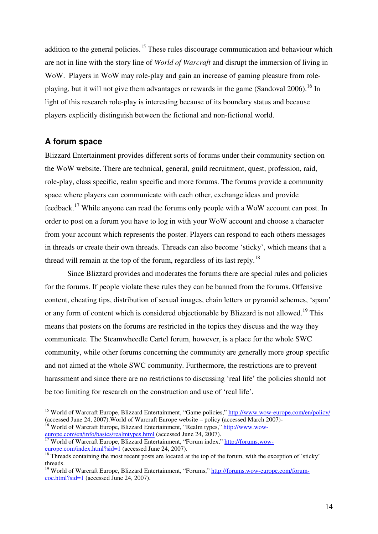addition to the general policies.<sup>15</sup> These rules discourage communication and behaviour which are not in line with the story line of *World of Warcraft* and disrupt the immersion of living in WoW. Players in WoW may role-play and gain an increase of gaming pleasure from roleplaying, but it will not give them advantages or rewards in the game (Sandoval 2006).<sup>16</sup> In light of this research role-play is interesting because of its boundary status and because players explicitly distinguish between the fictional and non-fictional world.

#### **A forum space**

 $\overline{a}$ 

Blizzard Entertainment provides different sorts of forums under their community section on the WoW website. There are technical, general, guild recruitment, quest, profession, raid, role-play, class specific, realm specific and more forums. The forums provide a community space where players can communicate with each other, exchange ideas and provide feedback.<sup>17</sup> While anyone can read the forums only people with a WoW account can post. In order to post on a forum you have to log in with your WoW account and choose a character from your account which represents the poster. Players can respond to each others messages in threads or create their own threads. Threads can also become 'sticky', which means that a thread will remain at the top of the forum, regardless of its last reply.<sup>18</sup>

 Since Blizzard provides and moderates the forums there are special rules and policies for the forums. If people violate these rules they can be banned from the forums. Offensive content, cheating tips, distribution of sexual images, chain letters or pyramid schemes, 'spam' or any form of content which is considered objectionable by Blizzard is not allowed.<sup>19</sup> This means that posters on the forums are restricted in the topics they discuss and the way they communicate. The Steamwheedle Cartel forum, however, is a place for the whole SWC community, while other forums concerning the community are generally more group specific and not aimed at the whole SWC community. Furthermore, the restrictions are to prevent harassment and since there are no restrictions to discussing 'real life' the policies should not be too limiting for research on the construction and use of 'real life'.

<sup>&</sup>lt;sup>15</sup> World of Warcraft Europe, Blizzard Entertainment, "Game policies," http://www.wow-europe.com/en/policy/ (accessed June 24, 2007).World of Warcraft Europe website – policy (accessed March 2007)-

<sup>&</sup>lt;sup>16</sup> World of Warcraft Europe, Blizzard Entertainment, "Realm types," http://www.woweurope.com/en/info/basics/realmtypes.html (accessed June 24, 2007). <sup>17</sup> World of Warcraft Europe, Blizzard Entertainment, "Forum index," http://forums.wow-

europe.com/index.html?sid=1 (accessed June 24, 2007).

 $\frac{18}{18}$  Threads containing the most recent posts are located at the top of the forum, with the exception of 'sticky' threads.

<sup>&</sup>lt;sup>19</sup> World of Warcraft Europe, Blizzard Entertainment, "Forums," http://forums.wow-europe.com/forumcoc.html?sid=1 (accessed June 24, 2007).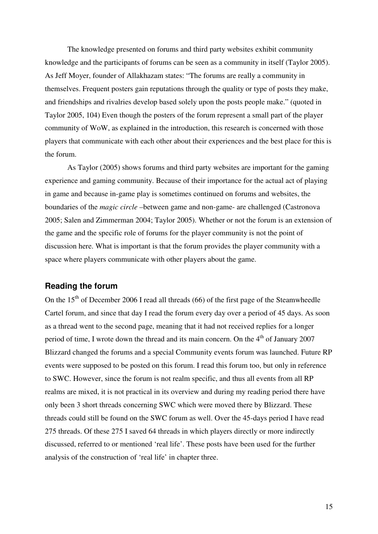The knowledge presented on forums and third party websites exhibit community knowledge and the participants of forums can be seen as a community in itself (Taylor 2005). As Jeff Moyer, founder of Allakhazam states: "The forums are really a community in themselves. Frequent posters gain reputations through the quality or type of posts they make, and friendships and rivalries develop based solely upon the posts people make." (quoted in Taylor 2005, 104) Even though the posters of the forum represent a small part of the player community of WoW, as explained in the introduction, this research is concerned with those players that communicate with each other about their experiences and the best place for this is the forum.

As Taylor (2005) shows forums and third party websites are important for the gaming experience and gaming community. Because of their importance for the actual act of playing in game and because in-game play is sometimes continued on forums and websites, the boundaries of the *magic circle –*between game and non-game- are challenged (Castronova 2005; Salen and Zimmerman 2004; Taylor 2005). Whether or not the forum is an extension of the game and the specific role of forums for the player community is not the point of discussion here. What is important is that the forum provides the player community with a space where players communicate with other players about the game.

#### **Reading the forum**

On the  $15<sup>th</sup>$  of December 2006 I read all threads (66) of the first page of the Steamwheedle Cartel forum, and since that day I read the forum every day over a period of 45 days. As soon as a thread went to the second page, meaning that it had not received replies for a longer period of time, I wrote down the thread and its main concern. On the  $4<sup>th</sup>$  of January 2007 Blizzard changed the forums and a special Community events forum was launched. Future RP events were supposed to be posted on this forum. I read this forum too, but only in reference to SWC. However, since the forum is not realm specific, and thus all events from all RP realms are mixed, it is not practical in its overview and during my reading period there have only been 3 short threads concerning SWC which were moved there by Blizzard. These threads could still be found on the SWC forum as well. Over the 45-days period I have read 275 threads. Of these 275 I saved 64 threads in which players directly or more indirectly discussed, referred to or mentioned 'real life'. These posts have been used for the further analysis of the construction of 'real life' in chapter three.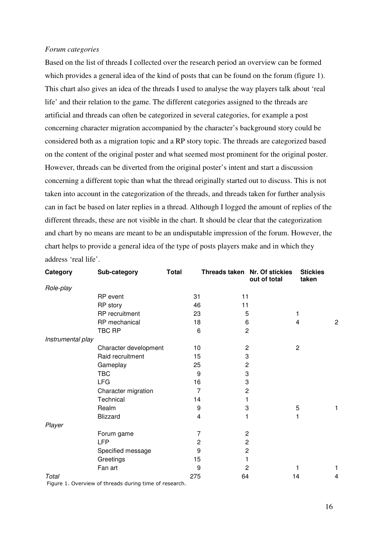#### *Forum categories*

Based on the list of threads I collected over the research period an overview can be formed which provides a general idea of the kind of posts that can be found on the forum (figure 1). This chart also gives an idea of the threads I used to analyse the way players talk about 'real life' and their relation to the game. The different categories assigned to the threads are artificial and threads can often be categorized in several categories, for example a post concerning character migration accompanied by the character's background story could be considered both as a migration topic and a RP story topic. The threads are categorized based on the content of the original poster and what seemed most prominent for the original poster. However, threads can be diverted from the original poster's intent and start a discussion concerning a different topic than what the thread originally started out to discuss. This is not taken into account in the categorization of the threads, and threads taken for further analysis can in fact be based on later replies in a thread. Although I logged the amount of replies of the different threads, these are not visible in the chart. It should be clear that the categorization and chart by no means are meant to be an undisputable impression of the forum. However, the chart helps to provide a general idea of the type of posts players make and in which they address 'real life'.

| Category          | Sub-category          | <b>Total</b> | Threads taken Nr. Of stickies | out of total | <b>Stickies</b><br>taken |
|-------------------|-----------------------|--------------|-------------------------------|--------------|--------------------------|
| Role-play         |                       |              |                               |              |                          |
|                   | RP event              | 31           | 11                            |              |                          |
|                   | RP story              | 46           | 11                            |              |                          |
|                   | RP recruitment        | 23           | 5                             |              | 1                        |
|                   | RP mechanical         | 18           | 6                             |              | 2<br>4                   |
|                   | TBC RP                | 6            | $\overline{c}$                |              |                          |
| Instrumental play |                       |              |                               |              |                          |
|                   | Character development | 10           | $\overline{c}$                |              | $\overline{c}$           |
|                   | Raid recruitment      | 15           | 3                             |              |                          |
|                   | Gameplay              | 25           | $\overline{c}$                |              |                          |
|                   | <b>TBC</b>            | 9            | 3                             |              |                          |
|                   | <b>LFG</b>            | 16           | 3                             |              |                          |
|                   | Character migration   | 7            | $\overline{c}$                |              |                          |
|                   | Technical             | 14           |                               |              |                          |
|                   | Realm                 | 9            | 3                             |              | 5                        |
|                   | Blizzard              | 4            | 1                             |              | 1                        |
| Player            |                       |              |                               |              |                          |
|                   | Forum game            | 7            | 2                             |              |                          |
|                   | <b>LFP</b>            | 2            | $\overline{c}$                |              |                          |
|                   | Specified message     | 9            | $\overline{c}$                |              |                          |
|                   | Greetings             | 15           |                               |              |                          |
|                   | Fan art               | 9            | 2                             |              | 1                        |
| Total             |                       | 275          | 64                            |              | 14<br>4                  |

Figure 1. Overview of threads during time of research.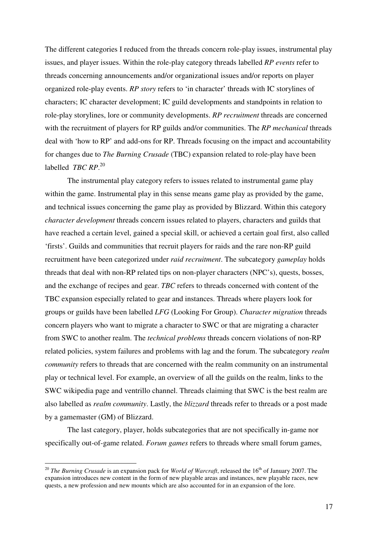The different categories I reduced from the threads concern role-play issues, instrumental play issues, and player issues. Within the role-play category threads labelled *RP events* refer to threads concerning announcements and/or organizational issues and/or reports on player organized role-play events. *RP story* refers to 'in character' threads with IC storylines of characters; IC character development; IC guild developments and standpoints in relation to role-play storylines, lore or community developments. *RP recruitment* threads are concerned with the recruitment of players for RP guilds and/or communities. The *RP mechanical* threads deal with 'how to RP' and add-ons for RP. Threads focusing on the impact and accountability for changes due to *The Burning Crusade* (TBC) expansion related to role-play have been labelled *TBC RP*. 20

 The instrumental play category refers to issues related to instrumental game play within the game. Instrumental play in this sense means game play as provided by the game, and technical issues concerning the game play as provided by Blizzard. Within this category *character development* threads concern issues related to players, characters and guilds that have reached a certain level, gained a special skill, or achieved a certain goal first, also called 'firsts'. Guilds and communities that recruit players for raids and the rare non-RP guild recruitment have been categorized under *raid recruitment*. The subcategory *gameplay* holds threads that deal with non-RP related tips on non-player characters (NPC's), quests, bosses, and the exchange of recipes and gear. *TBC* refers to threads concerned with content of the TBC expansion especially related to gear and instances. Threads where players look for groups or guilds have been labelled *LFG* (Looking For Group). *Character migration* threads concern players who want to migrate a character to SWC or that are migrating a character from SWC to another realm. The *technical problems* threads concern violations of non-RP related policies, system failures and problems with lag and the forum. The subcategory *realm community* refers to threads that are concerned with the realm community on an instrumental play or technical level. For example, an overview of all the guilds on the realm, links to the SWC wikipedia page and ventrillo channel. Threads claiming that SWC is the best realm are also labelled as *realm community*. Lastly, the *blizzard* threads refer to threads or a post made by a gamemaster (GM) of Blizzard.

 The last category, player, holds subcategories that are not specifically in-game nor specifically out-of-game related. *Forum games* refers to threads where small forum games,

<sup>&</sup>lt;sup>20</sup> *The Burning Crusade* is an expansion pack for *World of Warcraft*, released the 16<sup>th</sup> of January 2007. The expansion introduces new content in the form of new playable areas and instances, new playable races, new quests, a new profession and new mounts which are also accounted for in an expansion of the lore.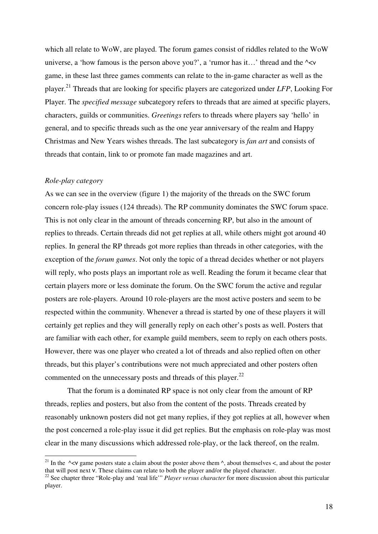which all relate to WoW, are played. The forum games consist of riddles related to the WoW universe, a 'how famous is the person above you?', a 'rumor has it...' thread and the  $\sim$ game, in these last three games comments can relate to the in-game character as well as the player.<sup>21</sup> Threads that are looking for specific players are categorized under *LFP*, Looking For Player. The *specified message* subcategory refers to threads that are aimed at specific players, characters, guilds or communities. *Greetings* refers to threads where players say 'hello' in general, and to specific threads such as the one year anniversary of the realm and Happy Christmas and New Years wishes threads. The last subcategory is *fan art* and consists of threads that contain, link to or promote fan made magazines and art.

#### *Role-play category*

 $\overline{a}$ 

As we can see in the overview (figure 1) the majority of the threads on the SWC forum concern role-play issues (124 threads). The RP community dominates the SWC forum space. This is not only clear in the amount of threads concerning RP, but also in the amount of replies to threads. Certain threads did not get replies at all, while others might got around 40 replies. In general the RP threads got more replies than threads in other categories, with the exception of the *forum games*. Not only the topic of a thread decides whether or not players will reply, who posts plays an important role as well. Reading the forum it became clear that certain players more or less dominate the forum. On the SWC forum the active and regular posters are role-players. Around 10 role-players are the most active posters and seem to be respected within the community. Whenever a thread is started by one of these players it will certainly get replies and they will generally reply on each other's posts as well. Posters that are familiar with each other, for example guild members, seem to reply on each others posts. However, there was one player who created a lot of threads and also replied often on other threads, but this player's contributions were not much appreciated and other posters often commented on the unnecessary posts and threads of this player. $^{22}$ 

 That the forum is a dominated RP space is not only clear from the amount of RP threads, replies and posters, but also from the content of the posts. Threads created by reasonably unknown posters did not get many replies, if they got replies at all, however when the post concerned a role-play issue it did get replies. But the emphasis on role-play was most clear in the many discussions which addressed role-play, or the lack thereof, on the realm.

<sup>&</sup>lt;sup>21</sup> In the  $\sim$ <v game posters state a claim about the poster above them  $\land$ , about themselves <, and about the poster that will post next v. These claims can relate to both the player and/or the played character.

<sup>&</sup>lt;sup>22</sup> See chapter three "Role-play and 'real life'" *Player versus character* for more discussion about this particular player.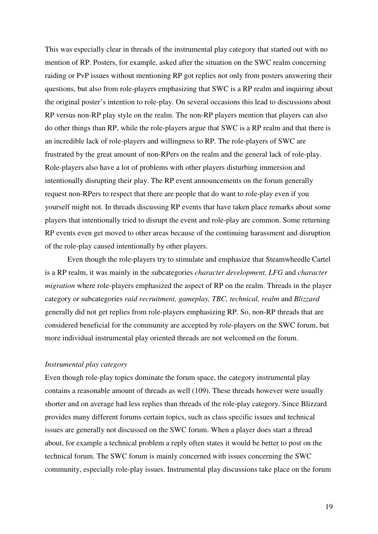This was especially clear in threads of the instrumental play category that started out with no mention of RP. Posters, for example, asked after the situation on the SWC realm concerning raiding or PvP issues without mentioning RP got replies not only from posters answering their questions, but also from role-players emphasizing that SWC is a RP realm and inquiring about the original poster's intention to role-play. On several occasions this lead to discussions about RP versus non-RP play style on the realm. The non-RP players mention that players can also do other things than RP, while the role-players argue that SWC is a RP realm and that there is an incredible lack of role-players and willingness to RP. The role-players of SWC are frustrated by the great amount of non-RPers on the realm and the general lack of role-play. Role-players also have a lot of problems with other players disturbing immersion and intentionally disrupting their play. The RP event announcements on the forum generally request non-RPers to respect that there are people that do want to role-play even if you yourself might not. In threads discussing RP events that have taken place remarks about some players that intentionally tried to disrupt the event and role-play are common. Some returning RP events even get moved to other areas because of the continuing harassment and disruption of the role-play caused intentionally by other players.

 Even though the role-players try to stimulate and emphasize that Steamwheedle Cartel is a RP realm, it was mainly in the subcategories *character development, LFG* and *character migration* where role-players emphasized the aspect of RP on the realm. Threads in the player category or subcategories *raid recruitment, gameplay, TBC, technical, realm* and *Blizzard*  generally did not get replies from role-players emphasizing RP. So, non-RP threads that are considered beneficial for the community are accepted by role-players on the SWC forum, but more individual instrumental play oriented threads are not welcomed on the forum.

#### *Instrumental play category*

Even though role-play topics dominate the forum space, the category instrumental play contains a reasonable amount of threads as well (109). These threads however were usually shorter and on average had less replies than threads of the role-play category. Since Blizzard provides many different forums certain topics, such as class specific issues and technical issues are generally not discussed on the SWC forum. When a player does start a thread about, for example a technical problem a reply often states it would be better to post on the technical forum. The SWC forum is mainly concerned with issues concerning the SWC community, especially role-play issues. Instrumental play discussions take place on the forum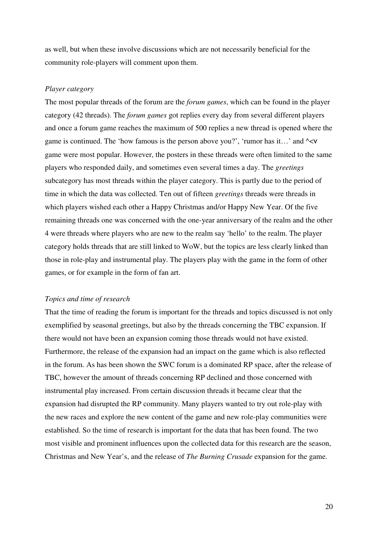as well, but when these involve discussions which are not necessarily beneficial for the community role-players will comment upon them.

#### *Player category*

The most popular threads of the forum are the *forum games*, which can be found in the player category (42 threads). The *forum games* got replies every day from several different players and once a forum game reaches the maximum of 500 replies a new thread is opened where the game is continued. The 'how famous is the person above you?', 'rumor has it...' and  $\sim$ <v game were most popular. However, the posters in these threads were often limited to the same players who responded daily, and sometimes even several times a day. The *greetings*  subcategory has most threads within the player category. This is partly due to the period of time in which the data was collected. Ten out of fifteen *greetings* threads were threads in which players wished each other a Happy Christmas and/or Happy New Year. Of the five remaining threads one was concerned with the one-year anniversary of the realm and the other 4 were threads where players who are new to the realm say 'hello' to the realm. The player category holds threads that are still linked to WoW, but the topics are less clearly linked than those in role-play and instrumental play. The players play with the game in the form of other games, or for example in the form of fan art.

#### *Topics and time of research*

That the time of reading the forum is important for the threads and topics discussed is not only exemplified by seasonal greetings, but also by the threads concerning the TBC expansion. If there would not have been an expansion coming those threads would not have existed. Furthermore, the release of the expansion had an impact on the game which is also reflected in the forum. As has been shown the SWC forum is a dominated RP space, after the release of TBC, however the amount of threads concerning RP declined and those concerned with instrumental play increased. From certain discussion threads it became clear that the expansion had disrupted the RP community. Many players wanted to try out role-play with the new races and explore the new content of the game and new role-play communities were established. So the time of research is important for the data that has been found. The two most visible and prominent influences upon the collected data for this research are the season, Christmas and New Year's, and the release of *The Burning Crusade* expansion for the game.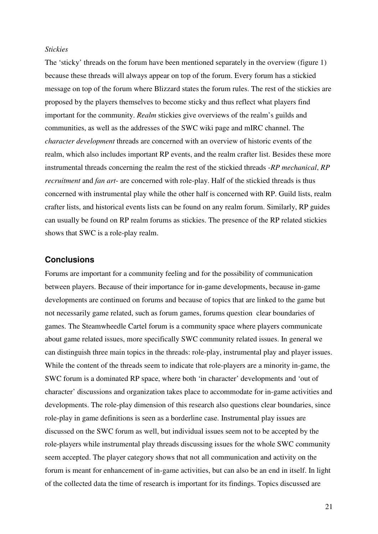#### *Stickies*

The 'sticky' threads on the forum have been mentioned separately in the overview (figure 1) because these threads will always appear on top of the forum. Every forum has a stickied message on top of the forum where Blizzard states the forum rules. The rest of the stickies are proposed by the players themselves to become sticky and thus reflect what players find important for the community. *Realm* stickies give overviews of the realm's guilds and communities, as well as the addresses of the SWC wiki page and mIRC channel. The *character development* threads are concerned with an overview of historic events of the realm, which also includes important RP events, and the realm crafter list. Besides these more instrumental threads concerning the realm the rest of the stickied threads -*RP mechanical*, *RP recruitment* and *fan art*- are concerned with role-play. Half of the stickied threads is thus concerned with instrumental play while the other half is concerned with RP. Guild lists, realm crafter lists, and historical events lists can be found on any realm forum. Similarly, RP guides can usually be found on RP realm forums as stickies. The presence of the RP related stickies shows that SWC is a role-play realm.

#### **Conclusions**

Forums are important for a community feeling and for the possibility of communication between players. Because of their importance for in-game developments, because in-game developments are continued on forums and because of topics that are linked to the game but not necessarily game related, such as forum games, forums question clear boundaries of games. The Steamwheedle Cartel forum is a community space where players communicate about game related issues, more specifically SWC community related issues. In general we can distinguish three main topics in the threads: role-play, instrumental play and player issues. While the content of the threads seem to indicate that role-players are a minority in-game, the SWC forum is a dominated RP space, where both 'in character' developments and 'out of character' discussions and organization takes place to accommodate for in-game activities and developments. The role-play dimension of this research also questions clear boundaries, since role-play in game definitions is seen as a borderline case. Instrumental play issues are discussed on the SWC forum as well, but individual issues seem not to be accepted by the role-players while instrumental play threads discussing issues for the whole SWC community seem accepted. The player category shows that not all communication and activity on the forum is meant for enhancement of in-game activities, but can also be an end in itself. In light of the collected data the time of research is important for its findings. Topics discussed are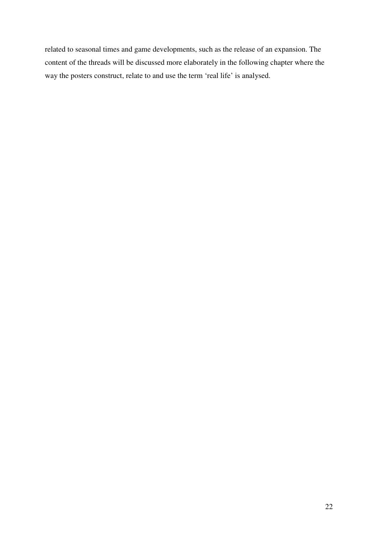related to seasonal times and game developments, such as the release of an expansion. The content of the threads will be discussed more elaborately in the following chapter where the way the posters construct, relate to and use the term 'real life' is analysed.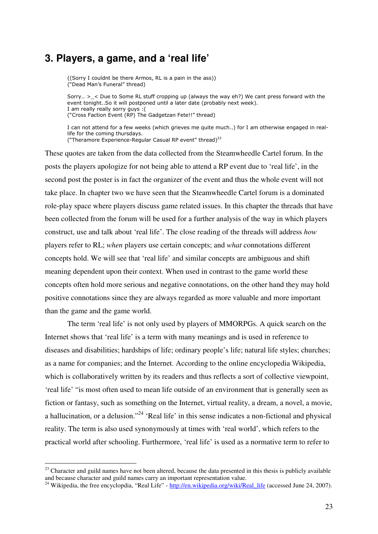## **3. Players, a game, and a 'real life'**

((Sorry I couldnt be there Armos, RL is a pain in the ass)) ("Dead Man's Funeral" thread)

Sorry..  $>$  < Due to Some RL stuff cropping up (always the way eh?) We cant press forward with the event tonight..So it will postponed until a later date (probably next week). I am really really sorry guys : ( ("Cross Faction Event (RP) The Gadgetzan Fete!!" thread)

I can not attend for a few weeks (which grieves me quite much..) for I am otherwise engaged in reallife for the coming thursdays. ("Theramore Experience-Regular Casual RP event" thread)<sup>23</sup>

These quotes are taken from the data collected from the Steamwheedle Cartel forum. In the posts the players apologize for not being able to attend a RP event due to 'real life', in the second post the poster is in fact the organizer of the event and thus the whole event will not take place. In chapter two we have seen that the Steamwheedle Cartel forum is a dominated role-play space where players discuss game related issues. In this chapter the threads that have been collected from the forum will be used for a further analysis of the way in which players construct, use and talk about 'real life'. The close reading of the threads will address *how*  players refer to RL; *when* players use certain concepts; and *what* connotations different concepts hold. We will see that 'real life' and similar concepts are ambiguous and shift meaning dependent upon their context. When used in contrast to the game world these concepts often hold more serious and negative connotations, on the other hand they may hold positive connotations since they are always regarded as more valuable and more important than the game and the game world.

The term 'real life' is not only used by players of MMORPGs. A quick search on the Internet shows that 'real life' is a term with many meanings and is used in reference to diseases and disabilities; hardships of life; ordinary people's life; natural life styles; churches; as a name for companies; and the Internet. According to the online encyclopedia Wikipedia, which is collaboratively written by its readers and thus reflects a sort of collective viewpoint, 'real life' "is most often used to mean life outside of an environment that is generally seen as fiction or fantasy, such as something on the Internet, virtual reality, a dream, a novel, a movie, a hallucination, or a delusion."<sup>24</sup> 'Real life' in this sense indicates a non-fictional and physical reality. The term is also used synonymously at times with 'real world', which refers to the practical world after schooling. Furthermore, 'real life' is used as a normative term to refer to

 $23$  Character and guild names have not been altered, because the data presented in this thesis is publicly available and because character and guild names carry an important representation value.

<sup>&</sup>lt;sup>24</sup> Wikipedia, the free encyclopdia, "Real Life" - http://en.wikipedia.org/wiki/Real\_life (accessed June 24, 2007).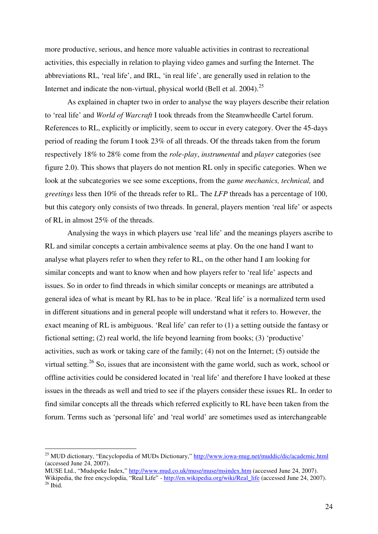more productive, serious, and hence more valuable activities in contrast to recreational activities, this especially in relation to playing video games and surfing the Internet. The abbreviations RL, 'real life', and IRL, 'in real life', are generally used in relation to the Internet and indicate the non-virtual, physical world (Bell et al. 2004).<sup>25</sup>

As explained in chapter two in order to analyse the way players describe their relation to 'real life' and *World of Warcraft* I took threads from the Steamwheedle Cartel forum. References to RL, explicitly or implicitly, seem to occur in every category. Over the 45-days period of reading the forum I took 23% of all threads. Of the threads taken from the forum respectively 18% to 28% come from the *role-play*, *instrumental* and *player* categories (see figure 2.0). This shows that players do not mention RL only in specific categories. When we look at the subcategories we see some exceptions, from the *game mechanics, technical,* and *greetings* less then 10% of the threads refer to RL. The *LFP* threads has a percentage of 100, but this category only consists of two threads. In general, players mention 'real life' or aspects of RL in almost 25% of the threads.

 Analysing the ways in which players use 'real life' and the meanings players ascribe to RL and similar concepts a certain ambivalence seems at play. On the one hand I want to analyse what players refer to when they refer to RL, on the other hand I am looking for similar concepts and want to know when and how players refer to 'real life' aspects and issues. So in order to find threads in which similar concepts or meanings are attributed a general idea of what is meant by RL has to be in place. 'Real life' is a normalized term used in different situations and in general people will understand what it refers to. However, the exact meaning of RL is ambiguous. 'Real life' can refer to (1) a setting outside the fantasy or fictional setting; (2) real world, the life beyond learning from books; (3) 'productive' activities, such as work or taking care of the family; (4) not on the Internet; (5) outside the virtual setting.<sup>26</sup> So, issues that are inconsistent with the game world, such as work, school or offline activities could be considered located in 'real life' and therefore I have looked at these issues in the threads as well and tried to see if the players consider these issues RL. In order to find similar concepts all the threads which referred explicitly to RL have been taken from the forum. Terms such as 'personal life' and 'real world' are sometimes used as interchangeable

MUSE Ltd., "Mudspeke Index," http://www.mud.co.uk/muse/muse/msindex.htm (accessed June 24, 2007). Wikipedia, the free encyclopdia, "Real Life" - http://en.wikipedia.org/wiki/Real\_life (accessed June 24, 2007).

<sup>&</sup>lt;sup>25</sup> MUD dictionary, "Encyclopedia of MUDs Dictionary," http://www.iowa-mug.net/muddic/dic/academic.html (accessed June 24, 2007).

 $26$  Ibid.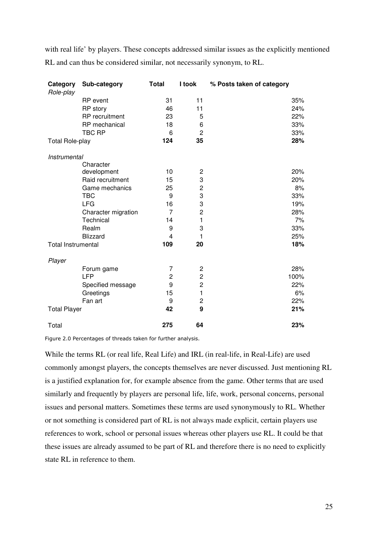with real life' by players. These concepts addressed similar issues as the explicitly mentioned RL and can thus be considered similar, not necessarily synonym, to RL.

| Category<br>Role-play     | Sub-category        | <b>Total</b>   | I took         | % Posts taken of category |
|---------------------------|---------------------|----------------|----------------|---------------------------|
|                           | <b>RP</b> event     | 31             | 11             | 35%                       |
|                           | RP story            | 46             | 11             | 24%                       |
|                           | RP recruitment      | 23             | 5              | 22%                       |
|                           | RP mechanical       | 18             | 6              | 33%                       |
|                           | <b>TBC RP</b>       | 6              | $\overline{c}$ | 33%                       |
| <b>Total Role-play</b>    |                     | 124            | 35             | 28%                       |
| Instrumental              |                     |                |                |                           |
|                           | Character           |                |                |                           |
|                           | development         | 10             | 2              | 20%                       |
|                           | Raid recruitment    | 15             | 3              | 20%                       |
|                           | Game mechanics      | 25             | $\overline{c}$ | 8%                        |
|                           | <b>TBC</b>          | 9              | 3              | 33%                       |
|                           | <b>LFG</b>          | 16             | 3              | 19%                       |
|                           | Character migration | $\overline{7}$ | $\overline{c}$ | 28%                       |
|                           | Technical           | 14             | 1              | 7%                        |
|                           | Realm               | 9              | 3              | 33%                       |
|                           | Blizzard            | $\overline{4}$ | 1              | 25%                       |
| <b>Total Instrumental</b> |                     | 109            | 20             | 18%                       |
| Player                    |                     |                |                |                           |
|                           | Forum game          | 7              | $\overline{c}$ | 28%                       |
|                           | <b>LFP</b>          | $\overline{2}$ | $\overline{c}$ | 100%                      |
|                           | Specified message   | 9              | $\overline{c}$ | 22%                       |
|                           | Greetings           | 15             | 1              | 6%                        |
|                           | Fan art             | 9              | $\mathbf 2$    | 22%                       |
| <b>Total Player</b>       |                     | 42             | 9              | 21%                       |
| Total                     |                     | 275            | 64             | 23%                       |

Figure 2.0 Percentages of threads taken for further analysis.

While the terms RL (or real life, Real Life) and IRL (in real-life, in Real-Life) are used commonly amongst players, the concepts themselves are never discussed. Just mentioning RL is a justified explanation for, for example absence from the game. Other terms that are used similarly and frequently by players are personal life, life, work, personal concerns, personal issues and personal matters. Sometimes these terms are used synonymously to RL. Whether or not something is considered part of RL is not always made explicit, certain players use references to work, school or personal issues whereas other players use RL. It could be that these issues are already assumed to be part of RL and therefore there is no need to explicitly state RL in reference to them.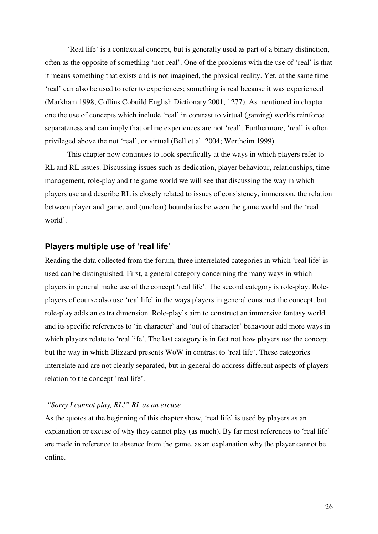'Real life' is a contextual concept, but is generally used as part of a binary distinction, often as the opposite of something 'not-real'. One of the problems with the use of 'real' is that it means something that exists and is not imagined, the physical reality. Yet, at the same time 'real' can also be used to refer to experiences; something is real because it was experienced (Markham 1998; Collins Cobuild English Dictionary 2001, 1277). As mentioned in chapter one the use of concepts which include 'real' in contrast to virtual (gaming) worlds reinforce separateness and can imply that online experiences are not 'real'. Furthermore, 'real' is often privileged above the not 'real', or virtual (Bell et al. 2004; Wertheim 1999).

This chapter now continues to look specifically at the ways in which players refer to RL and RL issues. Discussing issues such as dedication, player behaviour, relationships, time management, role-play and the game world we will see that discussing the way in which players use and describe RL is closely related to issues of consistency, immersion, the relation between player and game, and (unclear) boundaries between the game world and the 'real world'.

#### **Players multiple use of 'real life'**

Reading the data collected from the forum, three interrelated categories in which 'real life' is used can be distinguished. First, a general category concerning the many ways in which players in general make use of the concept 'real life'. The second category is role-play. Roleplayers of course also use 'real life' in the ways players in general construct the concept, but role-play adds an extra dimension. Role-play's aim to construct an immersive fantasy world and its specific references to 'in character' and 'out of character' behaviour add more ways in which players relate to 'real life'. The last category is in fact not how players use the concept but the way in which Blizzard presents WoW in contrast to 'real life'. These categories interrelate and are not clearly separated, but in general do address different aspects of players relation to the concept 'real life'.

#### *"Sorry I cannot play, RL!" RL as an excuse*

As the quotes at the beginning of this chapter show, 'real life' is used by players as an explanation or excuse of why they cannot play (as much). By far most references to 'real life' are made in reference to absence from the game, as an explanation why the player cannot be online.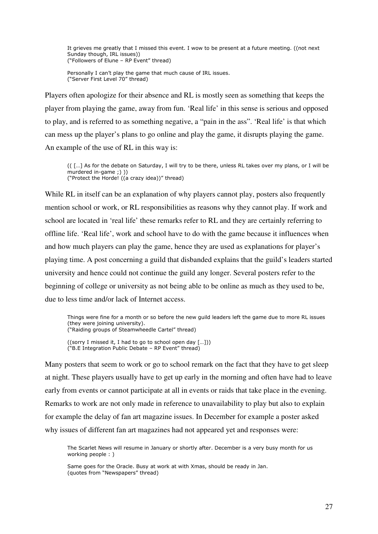It grieves me greatly that I missed this event. I wow to be present at a future meeting. ((not next Sunday though, IRL issues)) ("Followers of Elune – RP Event" thread)

Personally I can't play the game that much cause of IRL issues. ("Server First Level 70" thread)

Players often apologize for their absence and RL is mostly seen as something that keeps the player from playing the game, away from fun. 'Real life' in this sense is serious and opposed to play, and is referred to as something negative, a "pain in the ass". 'Real life' is that which can mess up the player's plans to go online and play the game, it disrupts playing the game. An example of the use of RL in this way is:

(( […] As for the debate on Saturday, I will try to be there, unless RL takes over my plans, or I will be murdered in-game ;) )) ("Protect the Horde! ((a crazy idea))" thread)

While RL in itself can be an explanation of why players cannot play, posters also frequently mention school or work, or RL responsibilities as reasons why they cannot play. If work and school are located in 'real life' these remarks refer to RL and they are certainly referring to offline life. 'Real life', work and school have to do with the game because it influences when and how much players can play the game, hence they are used as explanations for player's playing time. A post concerning a guild that disbanded explains that the guild's leaders started university and hence could not continue the guild any longer. Several posters refer to the beginning of college or university as not being able to be online as much as they used to be, due to less time and/or lack of Internet access.

Things were fine for a month or so before the new guild leaders left the game due to more RL issues (they were joining university). ("Raiding groups of Steamwheedle Cartel" thread)

((sorry I missed it, I had to go to school open day […])) ("B.E Integration Public Debate – RP Event" thread)

Many posters that seem to work or go to school remark on the fact that they have to get sleep at night. These players usually have to get up early in the morning and often have had to leave early from events or cannot participate at all in events or raids that take place in the evening. Remarks to work are not only made in reference to unavailability to play but also to explain for example the delay of fan art magazine issues. In December for example a poster asked why issues of different fan art magazines had not appeared yet and responses were:

The Scarlet News will resume in January or shortly after. December is a very busy month for us working people : )

Same goes for the Oracle. Busy at work at with Xmas, should be ready in Jan. (quotes from "Newspapers" thread)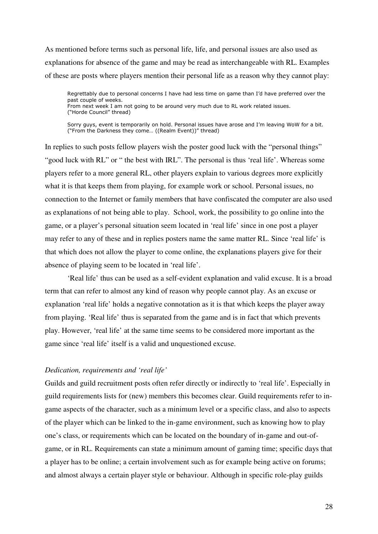As mentioned before terms such as personal life, life, and personal issues are also used as explanations for absence of the game and may be read as interchangeable with RL. Examples of these are posts where players mention their personal life as a reason why they cannot play:

Regrettably due to personal concerns I have had less time on game than I'd have preferred over the past couple of weeks. From next week I am not going to be around very much due to RL work related issues. ("Horde Council" thread)

Sorry guys, event is temporarily on hold. Personal issues have arose and I'm leaving WoW for a bit. ("From the Darkness they come… ((Realm Event))" thread)

In replies to such posts fellow players wish the poster good luck with the "personal things" "good luck with RL" or " the best with IRL". The personal is thus 'real life'. Whereas some players refer to a more general RL, other players explain to various degrees more explicitly what it is that keeps them from playing, for example work or school. Personal issues, no connection to the Internet or family members that have confiscated the computer are also used as explanations of not being able to play. School, work, the possibility to go online into the game, or a player's personal situation seem located in 'real life' since in one post a player may refer to any of these and in replies posters name the same matter RL. Since 'real life' is that which does not allow the player to come online, the explanations players give for their absence of playing seem to be located in 'real life'.

'Real life' thus can be used as a self-evident explanation and valid excuse. It is a broad term that can refer to almost any kind of reason why people cannot play. As an excuse or explanation 'real life' holds a negative connotation as it is that which keeps the player away from playing. 'Real life' thus is separated from the game and is in fact that which prevents play. However, 'real life' at the same time seems to be considered more important as the game since 'real life' itself is a valid and unquestioned excuse.

#### *Dedication, requirements and 'real life'*

Guilds and guild recruitment posts often refer directly or indirectly to 'real life'. Especially in guild requirements lists for (new) members this becomes clear. Guild requirements refer to ingame aspects of the character, such as a minimum level or a specific class, and also to aspects of the player which can be linked to the in-game environment, such as knowing how to play one's class, or requirements which can be located on the boundary of in-game and out-ofgame, or in RL. Requirements can state a minimum amount of gaming time; specific days that a player has to be online; a certain involvement such as for example being active on forums; and almost always a certain player style or behaviour. Although in specific role-play guilds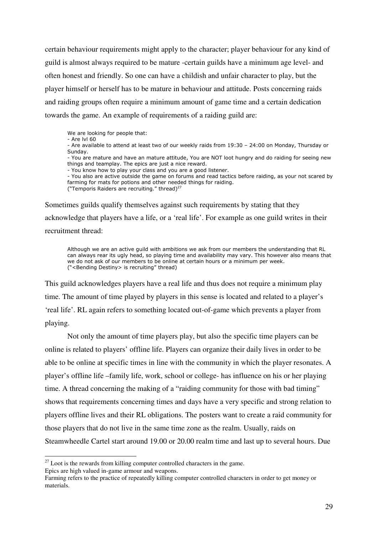certain behaviour requirements might apply to the character; player behaviour for any kind of guild is almost always required to be mature -certain guilds have a minimum age level- and often honest and friendly. So one can have a childish and unfair character to play, but the player himself or herself has to be mature in behaviour and attitude. Posts concerning raids and raiding groups often require a minimum amount of game time and a certain dedication towards the game. An example of requirements of a raiding guild are:

We are looking for people that:

- Are lvl 60

- Are available to attend at least two of our weekly raids from 19:30 – 24:00 on Monday, Thursday or Sunday.

- You are mature and have an mature attitude, You are NOT loot hungry and do raiding for seeing new things and teamplay. The epics are just a nice reward.

- You know how to play your class and you are a good listener.

- You also are active outside the game on forums and read tactics before raiding, as your not scared by farming for mats for potions and other needed things for raiding. ("Temporis Raiders are recruiting." thread) $^{27}$ 

Sometimes guilds qualify themselves against such requirements by stating that they acknowledge that players have a life, or a 'real life'. For example as one guild writes in their recruitment thread:

Although we are an active guild with ambitions we ask from our members the understanding that RL can always rear its ugly head, so playing time and availability may vary. This however also means that we do not ask of our members to be online at certain hours or a minimum per week. ("<Bending Destiny> is recruiting" thread)

This guild acknowledges players have a real life and thus does not require a minimum play time. The amount of time played by players in this sense is located and related to a player's 'real life'. RL again refers to something located out-of-game which prevents a player from playing.

 Not only the amount of time players play, but also the specific time players can be online is related to players' offline life. Players can organize their daily lives in order to be able to be online at specific times in line with the community in which the player resonates. A player's offline life –family life, work, school or college- has influence on his or her playing time. A thread concerning the making of a "raiding community for those with bad timing" shows that requirements concerning times and days have a very specific and strong relation to players offline lives and their RL obligations. The posters want to create a raid community for those players that do not live in the same time zone as the realm. Usually, raids on Steamwheedle Cartel start around 19.00 or 20.00 realm time and last up to several hours. Due

 $27$  Loot is the rewards from killing computer controlled characters in the game.

Epics are high valued in-game armour and weapons.

Farming refers to the practice of repeatedly killing computer controlled characters in order to get money or materials.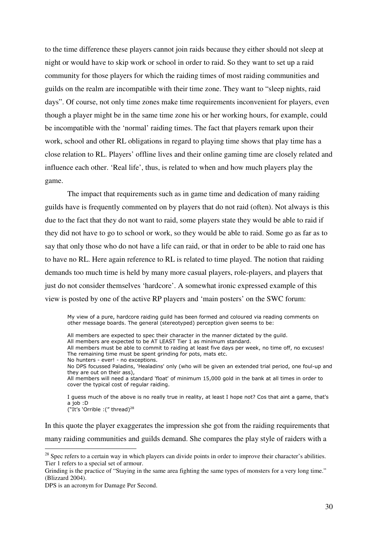to the time difference these players cannot join raids because they either should not sleep at night or would have to skip work or school in order to raid. So they want to set up a raid community for those players for which the raiding times of most raiding communities and guilds on the realm are incompatible with their time zone. They want to "sleep nights, raid days". Of course, not only time zones make time requirements inconvenient for players, even though a player might be in the same time zone his or her working hours, for example, could be incompatible with the 'normal' raiding times. The fact that players remark upon their work, school and other RL obligations in regard to playing time shows that play time has a close relation to RL. Players' offline lives and their online gaming time are closely related and influence each other. 'Real life', thus, is related to when and how much players play the game.

 The impact that requirements such as in game time and dedication of many raiding guilds have is frequently commented on by players that do not raid (often). Not always is this due to the fact that they do not want to raid, some players state they would be able to raid if they did not have to go to school or work, so they would be able to raid. Some go as far as to say that only those who do not have a life can raid, or that in order to be able to raid one has to have no RL. Here again reference to RL is related to time played. The notion that raiding demands too much time is held by many more casual players, role-players, and players that just do not consider themselves 'hardcore'. A somewhat ironic expressed example of this view is posted by one of the active RP players and 'main posters' on the SWC forum:

My view of a pure, hardcore raiding guild has been formed and coloured via reading comments on other message boards. The general (stereotyped) perception given seems to be:

All members are expected to spec their character in the manner dictated by the guild.

All members are expected to be AT LEAST Tier 1 as minimum standard.

All members must be able to commit to raiding at least five days per week, no time off, no excuses! The remaining time must be spent grinding for pots, mats etc.

No hunters - ever! - no exceptions.

No DPS focussed Paladins, 'Healadins' only (who will be given an extended trial period, one foul-up and they are out on their ass),

All members will need a standard 'float' of minimum 15,000 gold in the bank at all times in order to cover the typical cost of regular raiding.

I guess much of the above is no really true in reality, at least I hope not? Cos that aint a game, that's a job :D ("It's 'Orrible :(" thread)<sup>28</sup>

In this quote the player exaggerates the impression she got from the raiding requirements that many raiding communities and guilds demand. She compares the play style of raiders with a

 $28$  Spec refers to a certain way in which players can divide points in order to improve their character's abilities. Tier 1 refers to a special set of armour.

Grinding is the practice of "Staying in the same area fighting the same types of monsters for a very long time." (Blizzard 2004).

DPS is an acronym for Damage Per Second.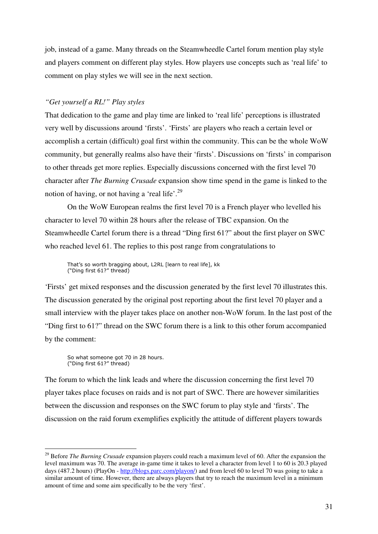job, instead of a game. Many threads on the Steamwheedle Cartel forum mention play style and players comment on different play styles. How players use concepts such as 'real life' to comment on play styles we will see in the next section.

#### *"Get yourself a RL!" Play styles*

That dedication to the game and play time are linked to 'real life' perceptions is illustrated very well by discussions around 'firsts'. 'Firsts' are players who reach a certain level or accomplish a certain (difficult) goal first within the community. This can be the whole WoW community, but generally realms also have their 'firsts'. Discussions on 'firsts' in comparison to other threads get more replies. Especially discussions concerned with the first level 70 character after *The Burning Crusade* expansion show time spend in the game is linked to the notion of having, or not having a 'real life'.<sup>29</sup>

 On the WoW European realms the first level 70 is a French player who levelled his character to level 70 within 28 hours after the release of TBC expansion. On the Steamwheedle Cartel forum there is a thread "Ding first 61?" about the first player on SWC who reached level 61. The replies to this post range from congratulations to

That's so worth bragging about, L2RL [learn to real life], kk ("Ding first 61?" thread)

'Firsts' get mixed responses and the discussion generated by the first level 70 illustrates this. The discussion generated by the original post reporting about the first level 70 player and a small interview with the player takes place on another non-WoW forum. In the last post of the "Ding first to 61?" thread on the SWC forum there is a link to this other forum accompanied by the comment:

So what someone got 70 in 28 hours. ("Ding first 61?" thread)

 $\overline{a}$ 

The forum to which the link leads and where the discussion concerning the first level 70 player takes place focuses on raids and is not part of SWC. There are however similarities between the discussion and responses on the SWC forum to play style and 'firsts'. The discussion on the raid forum exemplifies explicitly the attitude of different players towards

<sup>&</sup>lt;sup>29</sup> Before *The Burning Crusade* expansion players could reach a maximum level of 60. After the expansion the level maximum was 70. The average in-game time it takes to level a character from level 1 to 60 is 20.3 played days (487.2 hours) (PlayOn - http://blogs.parc.com/playon/) and from level 60 to level 70 was going to take a similar amount of time. However, there are always players that try to reach the maximum level in a minimum amount of time and some aim specifically to be the very 'first'.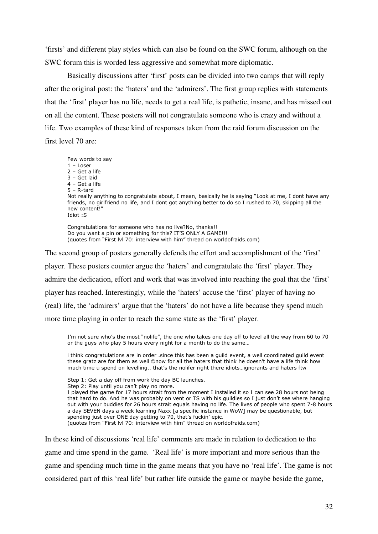'firsts' and different play styles which can also be found on the SWC forum, although on the SWC forum this is worded less aggressive and somewhat more diplomatic.

 Basically discussions after 'first' posts can be divided into two camps that will reply after the original post: the 'haters' and the 'admirers'. The first group replies with statements that the 'first' player has no life, needs to get a real life, is pathetic, insane, and has missed out on all the content. These posters will not congratulate someone who is crazy and without a life. Two examples of these kind of responses taken from the raid forum discussion on the first level 70 are:

Few words to say 1 – Loser 2 – Get a life 3 – Get laid 4 – Get a life 5 – R-tard Not really anything to congratulate about, I mean, basically he is saying "Look at me, I dont have any friends, no girlfriend no life, and I dont got anything better to do so I rushed to 70, skipping all the new content!" Idiot :S

Congratulations for someone who has no live?No, thanks!! Do you want a pin or something for this? IT'S ONLY A GAME!!! (quotes from "First lvl 70: interview with him" thread on worldofraids.com)

The second group of posters generally defends the effort and accomplishment of the 'first' player. These posters counter argue the 'haters' and congratulate the 'first' player. They admire the dedication, effort and work that was involved into reaching the goal that the 'first' player has reached. Interestingly, while the 'haters' accuse the 'first' player of having no (real) life, the 'admirers' argue that the 'haters' do not have a life because they spend much more time playing in order to reach the same state as the 'first' player.

I'm not sure who's the most "nolife", the one who takes one day off to level all the way from 60 to 70 or the guys who play 5 hours every night for a month to do the same...

i think congratulations are in order .since this has been a guild event, a well coordinated guild event these gratz are for them as well ©now for all the haters that think he doesn't have a life think how much time u spend on levelling.. that's the nolifer right there idiots…ignorants and haters ftw

Step 1: Get a day off from work the day BC launches.

Step 2: Play until you can't play no more.

I played the game for 17 hours strait from the moment I installed it so I can see 28 hours not being that hard to do. And he was probably on vent or TS with his guildies so I just don't see where hanging out with your buddies for 26 hours strait equals having no life. The lives of people who spent 7-8 hours a day SEVEN days a week learning Naxx [a specific instance in WoW] may be questionable, but spending just over ONE day getting to 70, that's fuckin' epic. (quotes from "First lvl 70: interview with him" thread on worldofraids.com)

In these kind of discussions 'real life' comments are made in relation to dedication to the game and time spend in the game. 'Real life' is more important and more serious than the game and spending much time in the game means that you have no 'real life'. The game is not considered part of this 'real life' but rather life outside the game or maybe beside the game,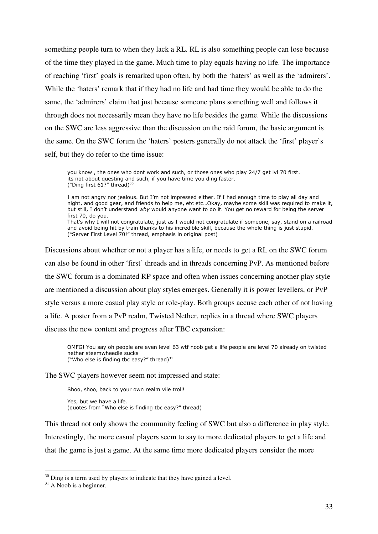something people turn to when they lack a RL. RL is also something people can lose because of the time they played in the game. Much time to play equals having no life. The importance of reaching 'first' goals is remarked upon often, by both the 'haters' as well as the 'admirers'. While the 'haters' remark that if they had no life and had time they would be able to do the same, the 'admirers' claim that just because someone plans something well and follows it through does not necessarily mean they have no life besides the game. While the discussions on the SWC are less aggressive than the discussion on the raid forum, the basic argument is the same. On the SWC forum the 'haters' posters generally do not attack the 'first' player's self, but they do refer to the time issue:

you know , the ones who dont work and such, or those ones who play 24/7 get lvl 70 first. its not about questing and such, if you have time you ding faster. ("Ding first  $61$ ?" thread) $30$ 

I am not angry nor jealous. But I'm not impressed either. If I had enough time to play all day and night, and good gear, and friends to help me, etc etc…Okay, maybe some skill was required to make it, but still, I don't understand why would anyone want to do it. You get no reward for being the server first 70, do you. That's why I will not congratulate, just as I would not congratulate if someone, say, stand on a railroad and avoid being hit by train thanks to his incredible skill, because the whole thing is just stupid. ("Server First Level 70!" thread, emphasis in original post)

Discussions about whether or not a player has a life, or needs to get a RL on the SWC forum can also be found in other 'first' threads and in threads concerning PvP. As mentioned before the SWC forum is a dominated RP space and often when issues concerning another play style are mentioned a discussion about play styles emerges. Generally it is power levellers, or PvP style versus a more casual play style or role-play. Both groups accuse each other of not having a life. A poster from a PvP realm, Twisted Nether, replies in a thread where SWC players discuss the new content and progress after TBC expansion:

OMFG! You say oh people are even level 63 wtf noob get a life people are level 70 already on twisted nether steemwheedle sucks ("Who else is finding tbc easy?" thread) $31$ 

The SWC players however seem not impressed and state:

Shoo, shoo, back to your own realm vile troll!

 Yes, but we have a life. (quotes from "Who else is finding tbc easy?" thread)

This thread not only shows the community feeling of SWC but also a difference in play style. Interestingly, the more casual players seem to say to more dedicated players to get a life and that the game is just a game. At the same time more dedicated players consider the more

 $30$  Ding is a term used by players to indicate that they have gained a level.

 $31$  A Noob is a beginner.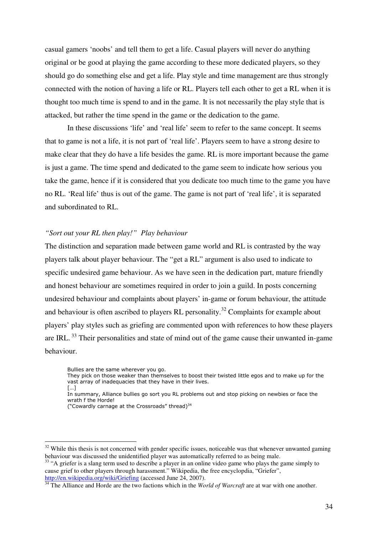casual gamers 'noobs' and tell them to get a life. Casual players will never do anything original or be good at playing the game according to these more dedicated players, so they should go do something else and get a life. Play style and time management are thus strongly connected with the notion of having a life or RL. Players tell each other to get a RL when it is thought too much time is spend to and in the game. It is not necessarily the play style that is attacked, but rather the time spend in the game or the dedication to the game.

 In these discussions 'life' and 'real life' seem to refer to the same concept. It seems that to game is not a life, it is not part of 'real life'. Players seem to have a strong desire to make clear that they do have a life besides the game. RL is more important because the game is just a game. The time spend and dedicated to the game seem to indicate how serious you take the game, hence if it is considered that you dedicate too much time to the game you have no RL. 'Real life' thus is out of the game. The game is not part of 'real life', it is separated and subordinated to RL.

#### *"Sort out your RL then play!" Play behaviour*

The distinction and separation made between game world and RL is contrasted by the way players talk about player behaviour. The "get a RL" argument is also used to indicate to specific undesired game behaviour. As we have seen in the dedication part, mature friendly and honest behaviour are sometimes required in order to join a guild. In posts concerning undesired behaviour and complaints about players' in-game or forum behaviour, the attitude and behaviour is often ascribed to players RL personality.<sup>32</sup> Complaints for example about players' play styles such as griefing are commented upon with references to how these players are IRL.<sup>33</sup> Their personalities and state of mind out of the game cause their unwanted in-game behaviour.

Bullies are the same wherever you go.

- They pick on those weaker than themselves to boost their twisted little egos and to make up for the vast array of inadequacies that they have in their lives.
- […]

 $\overline{a}$ 

- In summary, Alliance bullies go sort you RL problems out and stop picking on newbies or face the wrath f the Horde!
- ("Cowardly carnage at the Crossroads" thread)<sup>34</sup>

<sup>33</sup> "A griefer is a slang term used to describe a player in an online video game who plays the game simply to cause grief to other players through harassment." Wikipedia, the free encyclopdia, "Griefer", http://en.wikipedia.org/wiki/Griefing (accessed June 24, 2007).

<sup>34</sup> The Alliance and Horde are the two factions which in the *World of Warcraft* are at war with one another.

 $32$  While this thesis is not concerned with gender specific issues, noticeable was that whenever unwanted gaming behaviour was discussed the unidentified player was automatically referred to as being male.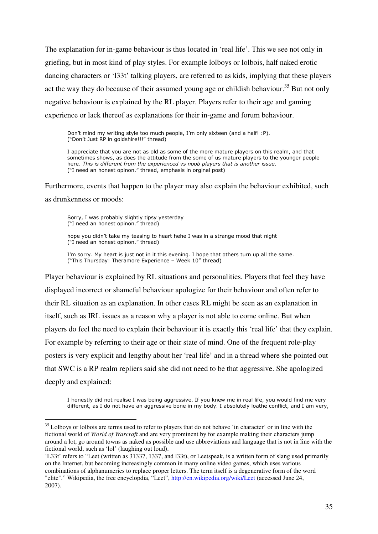The explanation for in-game behaviour is thus located in 'real life'. This we see not only in griefing, but in most kind of play styles. For example lolboys or lolbois, half naked erotic dancing characters or 'l33t' talking players, are referred to as kids, implying that these players act the way they do because of their assumed young age or childish behaviour.<sup>35</sup> But not only negative behaviour is explained by the RL player. Players refer to their age and gaming experience or lack thereof as explanations for their in-game and forum behaviour.

Don't mind my writing style too much people, I'm only sixteen (and a half! :P). ("Don't Just RP in goldshire!!!" thread)

I appreciate that you are not as old as some of the more mature players on this realm, and that sometimes shows, as does the attitude from the some of us mature players to the younger people here. This is different from the experienced vs noob players that is another issue. ("I need an honest opinon." thread, emphasis in orginal post)

Furthermore, events that happen to the player may also explain the behaviour exhibited, such as drunkenness or moods:

Sorry, I was probably slightly tipsy yesterday ("I need an honest opinon." thread)

 $\overline{a}$ 

hope you didn't take my teasing to heart hehe I was in a strange mood that night ("I need an honest opinon." thread)

I'm sorry. My heart is just not in it this evening. I hope that others turn up all the same. ("This Thursday: Theramore Experience – Week 10" thread)

Player behaviour is explained by RL situations and personalities. Players that feel they have displayed incorrect or shameful behaviour apologize for their behaviour and often refer to their RL situation as an explanation. In other cases RL might be seen as an explanation in itself, such as IRL issues as a reason why a player is not able to come online. But when players do feel the need to explain their behaviour it is exactly this 'real life' that they explain. For example by referring to their age or their state of mind. One of the frequent role-play posters is very explicit and lengthy about her 'real life' and in a thread where she pointed out that SWC is a RP realm repliers said she did not need to be that aggressive. She apologized deeply and explained:

I honestly did not realise I was being aggressive. If you knew me in real life, you would find me very different, as I do not have an aggressive bone in my body. I absolutely loathe conflict, and I am very,

 $35$  Lolboys or lolbois are terms used to refer to players that do not behave 'in character' or in line with the fictional world of *World of Warcraft* and are very prominent by for example making their characters jump around a lot, go around towns as naked as possible and use abbreviations and language that is not in line with the fictional world, such as 'lol' (laughing out loud).

<sup>&#</sup>x27;L33t' refers to "Leet (written as 31337, 1337, and l33t), or Leetspeak, is a written form of slang used primarily on the Internet, but becoming increasingly common in many online video games, which uses various combinations of alphanumerics to replace proper letters. The term itself is a degenerative form of the word "elite"." Wikipedia, the free encyclopdia, "Leet", http://en.wikipedia.org/wiki/Leet (accessed June 24, 2007).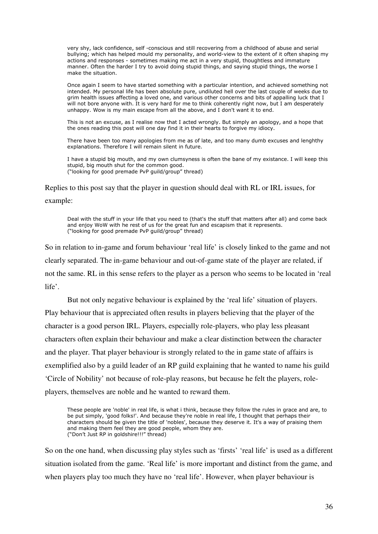very shy, lack confidence, self -conscious and still recovering from a childhood of abuse and serial bullying; which has helped mould my personality, and world-view to the extent of it often shaping my actions and responses - sometimes making me act in a very stupid, thoughtless and immature manner. Often the harder I try to avoid doing stupid things, and saying stupid things, the worse I make the situation.

Once again I seem to have started something with a particular intention, and achieved something not intended. My personal life has been absolute pure, undiluted hell over the last couple of weeks due to grim health issues affecting a loved one, and various other concerns and bits of appalling luck that I will not bore anyone with. It is very hard for me to think coherently right now, but I am desperately unhappy. Wow is my main escape from all the above, and I don't want it to end.

This is not an excuse, as I realise now that I acted wrongly. But simply an apology, and a hope that the ones reading this post will one day find it in their hearts to forgive my idiocy.

There have been too many apologies from me as of late, and too many dumb excuses and lenghthy explanations. Therefore I will remain silent in future.

I have a stupid big mouth, and my own clumsyness is often the bane of my existance. I will keep this stupid, big mouth shut for the common good. ("looking for good premade PvP guild/group" thread)

Replies to this post say that the player in question should deal with RL or IRL issues, for example:

Deal with the stuff in your life that you need to (that's the stuff that matters after all) and come back and enjoy WoW with he rest of us for the great fun and escapism that it represents. ("looking for good premade PvP guild/group" thread)

So in relation to in-game and forum behaviour 'real life' is closely linked to the game and not clearly separated. The in-game behaviour and out-of-game state of the player are related, if not the same. RL in this sense refers to the player as a person who seems to be located in 'real life'.

 But not only negative behaviour is explained by the 'real life' situation of players. Play behaviour that is appreciated often results in players believing that the player of the character is a good person IRL. Players, especially role-players, who play less pleasant characters often explain their behaviour and make a clear distinction between the character and the player. That player behaviour is strongly related to the in game state of affairs is exemplified also by a guild leader of an RP guild explaining that he wanted to name his guild 'Circle of Nobility' not because of role-play reasons, but because he felt the players, roleplayers, themselves are noble and he wanted to reward them.

These people are 'noble' in real life, is what i think, because they follow the rules in grace and are, to be put simply, 'good folks!'. And because they're noble in real life, I thought that perhaps their characters should be given the title of 'nobles', because they deserve it. It's a way of praising them and making them feel they are good people, whom they are. ("Don't Just RP in goldshire!!!" thread)

So on the one hand, when discussing play styles such as 'firsts' 'real life' is used as a different situation isolated from the game. 'Real life' is more important and distinct from the game, and when players play too much they have no 'real life'. However, when player behaviour is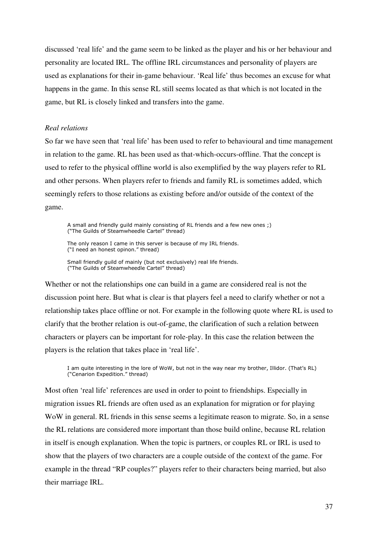discussed 'real life' and the game seem to be linked as the player and his or her behaviour and personality are located IRL. The offline IRL circumstances and personality of players are used as explanations for their in-game behaviour. 'Real life' thus becomes an excuse for what happens in the game. In this sense RL still seems located as that which is not located in the game, but RL is closely linked and transfers into the game.

#### *Real relations*

So far we have seen that 'real life' has been used to refer to behavioural and time management in relation to the game. RL has been used as that-which-occurs-offline. That the concept is used to refer to the physical offline world is also exemplified by the way players refer to RL and other persons. When players refer to friends and family RL is sometimes added, which seemingly refers to those relations as existing before and/or outside of the context of the game.

A small and friendly guild mainly consisting of RL friends and a few new ones ;) ("The Guilds of Steamwheedle Cartel" thread)

The only reason I came in this server is because of my IRL friends. ("I need an honest opinon." thread)

Small friendly guild of mainly (but not exclusively) real life friends. ("The Guilds of Steamwheedle Cartel" thread)

Whether or not the relationships one can build in a game are considered real is not the discussion point here. But what is clear is that players feel a need to clarify whether or not a relationship takes place offline or not. For example in the following quote where RL is used to clarify that the brother relation is out-of-game, the clarification of such a relation between characters or players can be important for role-play. In this case the relation between the players is the relation that takes place in 'real life'.

I am quite interesting in the lore of WoW, but not in the way near my brother, Illidor. (That's RL) ("Cenarion Expedition." thread)

Most often 'real life' references are used in order to point to friendships. Especially in migration issues RL friends are often used as an explanation for migration or for playing WoW in general. RL friends in this sense seems a legitimate reason to migrate. So, in a sense the RL relations are considered more important than those build online, because RL relation in itself is enough explanation. When the topic is partners, or couples RL or IRL is used to show that the players of two characters are a couple outside of the context of the game. For example in the thread "RP couples?" players refer to their characters being married, but also their marriage IRL.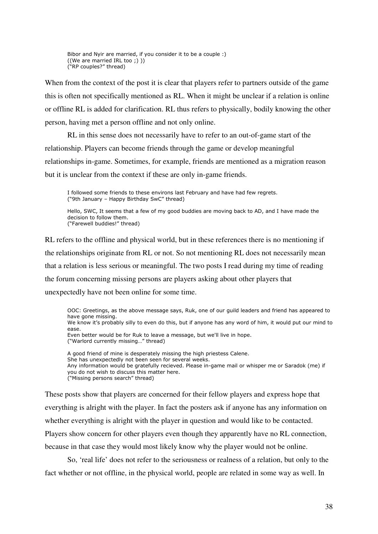Bibor and Nyir are married, if you consider it to be a couple :) ((We are married IRL too ;) )) ("RP couples?" thread)

When from the context of the post it is clear that players refer to partners outside of the game this is often not specifically mentioned as RL. When it might be unclear if a relation is online or offline RL is added for clarification. RL thus refers to physically, bodily knowing the other person, having met a person offline and not only online.

RL in this sense does not necessarily have to refer to an out-of-game start of the relationship. Players can become friends through the game or develop meaningful relationships in-game. Sometimes, for example, friends are mentioned as a migration reason but it is unclear from the context if these are only in-game friends.

I followed some friends to these environs last February and have had few regrets. ("9th January – Happy Birthday SwC" thread)

Hello, SWC, It seems that a few of my good buddies are moving back to AD, and I have made the decision to follow them. ("Farewell buddies!" thread)

RL refers to the offline and physical world, but in these references there is no mentioning if the relationships originate from RL or not. So not mentioning RL does not necessarily mean that a relation is less serious or meaningful. The two posts I read during my time of reading the forum concerning missing persons are players asking about other players that unexpectedly have not been online for some time.

OOC: Greetings, as the above message says, Ruk, one of our guild leaders and friend has appeared to have gone missing. We know it's probably silly to even do this, but if anyone has any word of him, it would put our mind to ease. Even better would be for Ruk to leave a message, but we'll live in hope. ("Warlord currently missing…" thread) A good friend of mine is desperately missing the high priestess Calene. She has unexpectedly not been seen for several weeks. Any information would be gratefully recieved. Please in-game mail or whisper me or Saradok (me) if you do not wish to discuss this matter here. ("Missing persons search" thread)

These posts show that players are concerned for their fellow players and express hope that everything is alright with the player. In fact the posters ask if anyone has any information on whether everything is alright with the player in question and would like to be contacted. Players show concern for other players even though they apparently have no RL connection, because in that case they would most likely know why the player would not be online.

So, 'real life' does not refer to the seriousness or realness of a relation, but only to the fact whether or not offline, in the physical world, people are related in some way as well. In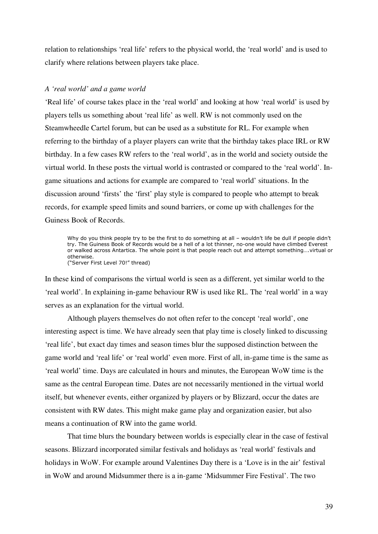relation to relationships 'real life' refers to the physical world, the 'real world' and is used to clarify where relations between players take place.

### *A 'real world' and a game world*

'Real life' of course takes place in the 'real world' and looking at how 'real world' is used by players tells us something about 'real life' as well. RW is not commonly used on the Steamwheedle Cartel forum, but can be used as a substitute for RL. For example when referring to the birthday of a player players can write that the birthday takes place IRL or RW birthday. In a few cases RW refers to the 'real world', as in the world and society outside the virtual world. In these posts the virtual world is contrasted or compared to the 'real world'. Ingame situations and actions for example are compared to 'real world' situations. In the discussion around 'firsts' the 'first' play style is compared to people who attempt to break records, for example speed limits and sound barriers, or come up with challenges for the Guiness Book of Records.

Why do you think people try to be the first to do something at all – wouldn't life be dull if people didn't try. The Guiness Book of Records would be a hell of a lot thinner, no-one would have climbed Everest or walked across Antartica. The whole point is that people reach out and attempt something….virtual or otherwise. ("Server First Level 70!" thread)

In these kind of comparisons the virtual world is seen as a different, yet similar world to the 'real world'. In explaining in-game behaviour RW is used like RL. The 'real world' in a way serves as an explanation for the virtual world.

 Although players themselves do not often refer to the concept 'real world', one interesting aspect is time. We have already seen that play time is closely linked to discussing 'real life', but exact day times and season times blur the supposed distinction between the game world and 'real life' or 'real world' even more. First of all, in-game time is the same as 'real world' time. Days are calculated in hours and minutes, the European WoW time is the same as the central European time. Dates are not necessarily mentioned in the virtual world itself, but whenever events, either organized by players or by Blizzard, occur the dates are consistent with RW dates. This might make game play and organization easier, but also means a continuation of RW into the game world.

 That time blurs the boundary between worlds is especially clear in the case of festival seasons. Blizzard incorporated similar festivals and holidays as 'real world' festivals and holidays in WoW. For example around Valentines Day there is a 'Love is in the air' festival in WoW and around Midsummer there is a in-game 'Midsummer Fire Festival'. The two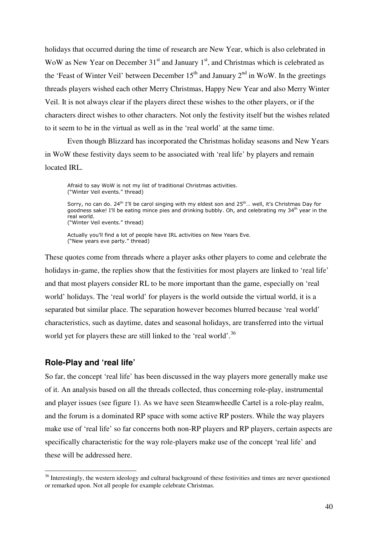holidays that occurred during the time of research are New Year, which is also celebrated in WoW as New Year on December  $31<sup>st</sup>$  and January  $1<sup>st</sup>$ , and Christmas which is celebrated as the 'Feast of Winter Veil' between December  $15<sup>th</sup>$  and January  $2<sup>nd</sup>$  in WoW. In the greetings threads players wished each other Merry Christmas, Happy New Year and also Merry Winter Veil. It is not always clear if the players direct these wishes to the other players, or if the characters direct wishes to other characters. Not only the festivity itself but the wishes related to it seem to be in the virtual as well as in the 'real world' at the same time.

 Even though Blizzard has incorporated the Christmas holiday seasons and New Years in WoW these festivity days seem to be associated with 'real life' by players and remain located **IRL**.

 Afraid to say WoW is not my list of traditional Christmas activities. ("Winter Veil events." thread)

Sorry, no can do. 24<sup>th</sup> I'll be carol singing with my eldest son and 25<sup>th</sup>... well, it's Christmas Day for goodness sake! I'll be eating mince pies and drinking bubbly. Oh, and celebrating my 34<sup>th</sup> year in the real world. ("Winter Veil events." thread)

 Actually you'll find a lot of people have IRL activities on New Years Eve. ("New years eve party." thread)

These quotes come from threads where a player asks other players to come and celebrate the holidays in-game, the replies show that the festivities for most players are linked to 'real life' and that most players consider RL to be more important than the game, especially on 'real world' holidays. The 'real world' for players is the world outside the virtual world, it is a separated but similar place. The separation however becomes blurred because 'real world' characteristics, such as daytime, dates and seasonal holidays, are transferred into the virtual world yet for players these are still linked to the 'real world'.<sup>36</sup>

### **Role-Play and 'real life'**

 $\overline{a}$ 

So far, the concept 'real life' has been discussed in the way players more generally make use of it. An analysis based on all the threads collected, thus concerning role-play, instrumental and player issues (see figure 1). As we have seen Steamwheedle Cartel is a role-play realm, and the forum is a dominated RP space with some active RP posters. While the way players make use of 'real life' so far concerns both non-RP players and RP players, certain aspects are specifically characteristic for the way role-players make use of the concept 'real life' and these will be addressed here.

<sup>&</sup>lt;sup>36</sup> Interestingly, the western ideology and cultural background of these festivities and times are never questioned or remarked upon. Not all people for example celebrate Christmas.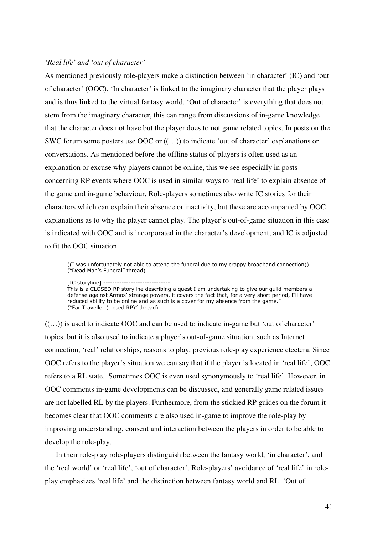### *'Real life' and 'out of character'*

As mentioned previously role-players make a distinction between 'in character' (IC) and 'out of character' (OOC). 'In character' is linked to the imaginary character that the player plays and is thus linked to the virtual fantasy world. 'Out of character' is everything that does not stem from the imaginary character, this can range from discussions of in-game knowledge that the character does not have but the player does to not game related topics. In posts on the SWC forum some posters use OOC or ((…)) to indicate 'out of character' explanations or conversations. As mentioned before the offline status of players is often used as an explanation or excuse why players cannot be online, this we see especially in posts concerning RP events where OOC is used in similar ways to 'real life' to explain absence of the game and in-game behaviour. Role-players sometimes also write IC stories for their characters which can explain their absence or inactivity, but these are accompanied by OOC explanations as to why the player cannot play. The player's out-of-game situation in this case is indicated with OOC and is incorporated in the character's development, and IC is adjusted to fit the OOC situation.

 ((I was unfortunately not able to attend the funeral due to my crappy broadband connection)) ("Dead Man's Funeral" thread)

[IC storyline] -----------------------------

This is a CLOSED RP storyline describing a quest I am undertaking to give our guild members a defense against Armos' strange powers. it covers the fact that, for a very short period, I'll have reduced ability to be online and as such is a cover for my absence from the game." ("Far Traveller (closed RP)" thread)

 $((\ldots))$  is used to indicate OOC and can be used to indicate in-game but 'out of character' topics, but it is also used to indicate a player's out-of-game situation, such as Internet connection, 'real' relationships, reasons to play, previous role-play experience etcetera. Since OOC refers to the player's situation we can say that if the player is located in 'real life', OOC refers to a RL state. Sometimes OOC is even used synonymously to 'real life'. However, in OOC comments in-game developments can be discussed, and generally game related issues are not labelled RL by the players. Furthermore, from the stickied RP guides on the forum it becomes clear that OOC comments are also used in-game to improve the role-play by improving understanding, consent and interaction between the players in order to be able to develop the role-play.

 In their role-play role-players distinguish between the fantasy world, 'in character', and the 'real world' or 'real life', 'out of character'. Role-players' avoidance of 'real life' in roleplay emphasizes 'real life' and the distinction between fantasy world and RL. 'Out of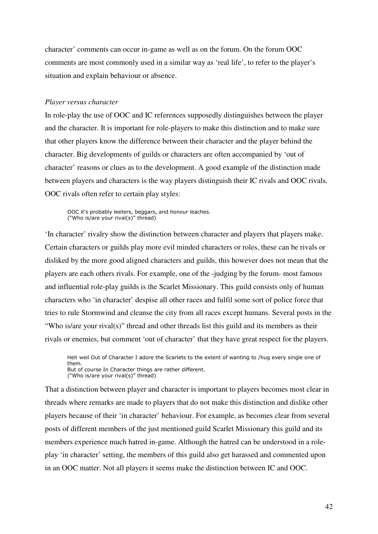character' comments can occur in-game as well as on the forum. On the forum OOC comments are most commonly used in a similar way as 'real life', to refer to the player's situation and explain behaviour or absence.

### *Player versus character*

In role-play the use of OOC and IC references supposedly distinguishes between the player and the character. It is important for role-players to make this distinction and to make sure that other players know the difference between their character and the player behind the character. Big developments of guilds or characters are often accompanied by 'out of character' reasons or clues as to the development. A good example of the distinction made between players and characters is the way players distinguish their IC rivals and OOC rivals. OOC rivals often refer to certain play styles:

OOC it's probably leeters, beggars, and honour leaches. ("Who is/are your rival(s)" thread)

'In character' rivalry show the distinction between character and players that players make. Certain characters or guilds play more evil minded characters or roles, these can be rivals or disliked by the more good aligned characters and guilds, this however does not mean that the players are each others rivals. For example, one of the -judging by the forum- most famous and influential role-play guilds is the Scarlet Missionary. This guild consists only of human characters who 'in character' despise all other races and fulfil some sort of police force that tries to rule Stormwind and cleanse the city from all races except humans. Several posts in the "Who is/are your rival(s)" thread and other threads list this guild and its members as their rivals or enemies, but comment 'out of character' that they have great respect for the players.

Heh weil Out of Character I adore the Scarlets to the extent of wanting to /hug every single one of them. But of course In Character things are rather different. ("Who is/are your rival(s)" thread)

That a distinction between player and character is important to players becomes most clear in threads where remarks are made to players that do not make this distinction and dislike other players because of their 'in character' behaviour. For example, as becomes clear from several posts of different members of the just mentioned guild Scarlet Missionary this guild and its members experience much hatred in-game. Although the hatred can be understood in a roleplay 'in character' setting, the members of this guild also get harassed and commented upon in an OOC matter. Not all players it seems make the distinction between IC and OOC.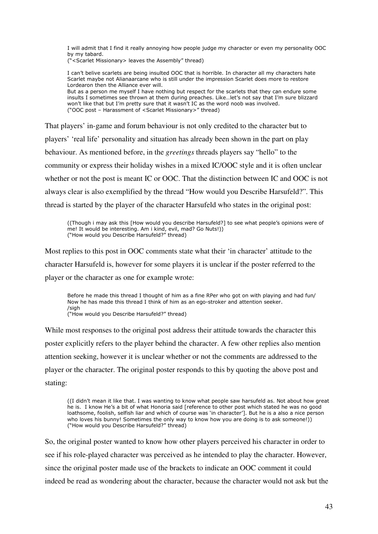I will admit that I find it really annoying how people judge my character or even my personality OOC by my tabard.

("<Scarlet Missionary> leaves the Assembly" thread)

I can't belive scarlets are being insulted OOC that is horrible. In character all my characters hate Scarlet maybe not Alianaarcane who is still under the impression Scarlet does more to restore Lordearon then the Alliance ever will. But as a person me myself I have nothing but respect for the scarlets that they can endure some

insults I sometimes see thrown at them during preaches. Like…let's not say that I'm sure blizzard won't like that but I'm pretty sure that it wasn't IC as the word noob was involved. ("OOC post – Harassment of <Scarlet Missionary>" thread)

That players' in-game and forum behaviour is not only credited to the character but to players' 'real life' personality and situation has already been shown in the part on play behaviour. As mentioned before, in the *greetings* threads players say "hello" to the community or express their holiday wishes in a mixed IC/OOC style and it is often unclear whether or not the post is meant IC or OOC. That the distinction between IC and OOC is not always clear is also exemplified by the thread "How would you Describe Harsufeld?". This thread is started by the player of the character Harsufeld who states in the original post:

((Though i may ask this [How would you describe Harsufeld?] to see what people's opinions were of me! It would be interesting. Am i kind, evil, mad? Go Nuts!)) ("How would you Describe Harsufeld?" thread)

Most replies to this post in OOC comments state what their 'in character' attitude to the character Harsufeld is, however for some players it is unclear if the poster referred to the player or the character as one for example wrote:

Before he made this thread I thought of him as a fine RPer who got on with playing and had fun/ Now he has made this thread I think of him as an ego-stroker and attention seeker. /sigh ("How would you Describe Harsufeld?" thread)

While most responses to the original post address their attitude towards the character this poster explicitly refers to the player behind the character. A few other replies also mention attention seeking, however it is unclear whether or not the comments are addressed to the player or the character. The original poster responds to this by quoting the above post and stating:

((I didn't mean it like that. I was wanting to know what people saw harsufeld as. Not about how great he is. I know He's a bit of what Honoria said [reference to other post which stated he was no good loathsome, foolish, selfish liar and which of course was 'in character']. But he is a also a nice person who loves his bunny! Sometimes the only way to know how you are doing is to ask someone!)) ("How would you Describe Harsufeld?" thread)

So, the original poster wanted to know how other players perceived his character in order to see if his role-played character was perceived as he intended to play the character. However, since the original poster made use of the brackets to indicate an OOC comment it could indeed be read as wondering about the character, because the character would not ask but the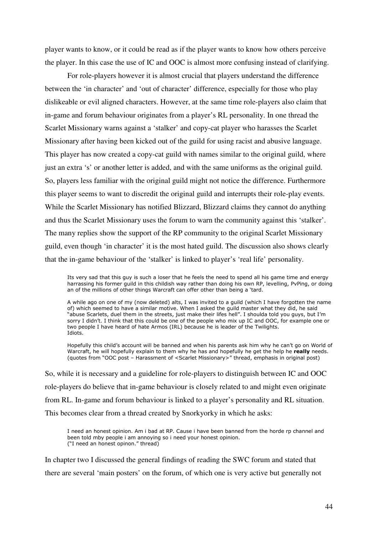player wants to know, or it could be read as if the player wants to know how others perceive the player. In this case the use of IC and OOC is almost more confusing instead of clarifying.

 For role-players however it is almost crucial that players understand the difference between the 'in character' and 'out of character' difference, especially for those who play dislikeable or evil aligned characters. However, at the same time role-players also claim that in-game and forum behaviour originates from a player's RL personality. In one thread the Scarlet Missionary warns against a 'stalker' and copy-cat player who harasses the Scarlet Missionary after having been kicked out of the guild for using racist and abusive language. This player has now created a copy-cat guild with names similar to the original guild, where just an extra 's' or another letter is added, and with the same uniforms as the original guild. So, players less familiar with the original guild might not notice the difference. Furthermore this player seems to want to discredit the original guild and interrupts their role-play events. While the Scarlet Missionary has notified Blizzard, Blizzard claims they cannot do anything and thus the Scarlet Missionary uses the forum to warn the community against this 'stalker'. The many replies show the support of the RP community to the original Scarlet Missionary guild, even though 'in character' it is the most hated guild. The discussion also shows clearly that the in-game behaviour of the 'stalker' is linked to player's 'real life' personality.

Its very sad that this guy is such a loser that he feels the need to spend all his game time and energy harrassing his former guild in this childish way rather than doing his own RP, levelling, PvPing, or doing an of the millions of other things Warcraft can offer other than being a 'tard.

A while ago on one of my (now deleted) alts, I was invited to a guild (which I have forgotten the name of) which seemed to have a similar motive. When I asked the guild master what they did, he said "abuse Scarlets, duel them in the streets, just make their lifes hell". I shoulda told you guys, but I'm sorry I didn't. I think that this could be one of the people who mix up IC and OOC, for example one or two people I have heard of hate Armos (IRL) because he is leader of the Twilights. Idiots.

Hopefully this child's account will be banned and when his parents ask him why he can't go on World of Warcraft, he will hopefully explain to them why he has and hopefully he get the help he really needs. (quotes from "OOC post – Harassment of <Scarlet Missionary>" thread, emphasis in original post)

So, while it is necessary and a guideline for role-players to distinguish between IC and OOC role-players do believe that in-game behaviour is closely related to and might even originate from RL. In-game and forum behaviour is linked to a player's personality and RL situation. This becomes clear from a thread created by Snorkyorky in which he asks:

I need an honest opinion. Am i bad at RP. Cause i have been banned from the horde rp channel and been told mby people i am annoying so i need your honest opinion. ("I need an honest opinon." thread)

In chapter two I discussed the general findings of reading the SWC forum and stated that there are several 'main posters' on the forum, of which one is very active but generally not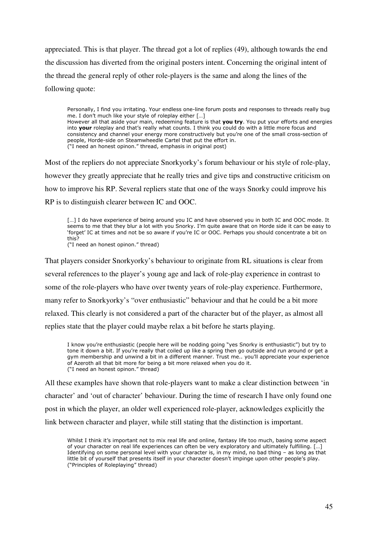appreciated. This is that player. The thread got a lot of replies (49), although towards the end the discussion has diverted from the original posters intent. Concerning the original intent of the thread the general reply of other role-players is the same and along the lines of the following quote:

Personally, I find you irritating. Your endless one-line forum posts and responses to threads really bug me. I don't much like your style of roleplay either […] However all that aside your main, redeeming feature is that you try. You put your efforts and energies into your roleplay and that's really what counts. I think you could do with a little more focus and consistency and channel your energy more constructively but you're one of the small cross-section of people, Horde-side on Steamwheedle Cartel that put the effort in. ("I need an honest opinon." thread, emphasis in original post)

Most of the repliers do not appreciate Snorkyorky's forum behaviour or his style of role-play, however they greatly appreciate that he really tries and give tips and constructive criticism on how to improve his RP. Several repliers state that one of the ways Snorky could improve his RP is to distinguish clearer between IC and OOC.

[...] I do have experience of being around you IC and have observed you in both IC and OOC mode. It seems to me that they blur a lot with you Snorky. I'm quite aware that on Horde side it can be easy to 'forget' IC at times and not be so aware if you're IC or OOC. Perhaps you should concentrate a bit on this?

("I need an honest opinon." thread)

That players consider Snorkyorky's behaviour to originate from RL situations is clear from several references to the player's young age and lack of role-play experience in contrast to some of the role-players who have over twenty years of role-play experience. Furthermore, many refer to Snorkyorky's "over enthusiastic" behaviour and that he could be a bit more relaxed. This clearly is not considered a part of the character but of the player, as almost all replies state that the player could maybe relax a bit before he starts playing.

I know you're enthusiastic (people here will be nodding going "yes Snorky is enthusiastic") but try to tone it down a bit. If you're really that coiled up like a spring then go outside and run around or get a gym membership and unwind a bit in a different manner. Trust me.. you'll appreciate your experience of Azeroth all that bit more for being a bit more relaxed when you do it. ("I need an honest opinon." thread)

All these examples have shown that role-players want to make a clear distinction between 'in character' and 'out of character' behaviour. During the time of research I have only found one post in which the player, an older well experienced role-player, acknowledges explicitly the link between character and player, while still stating that the distinction is important.

Whilst I think it's important not to mix real life and online, fantasy life too much, basing some aspect of your character on real life experiences can often be very exploratory and ultimately fulfilling. […] Identifying on some personal level with your character is, in my mind, no bad thing – as long as that little bit of yourself that presents itself in your character doesn't impinge upon other people's play. ("Principles of Roleplaying" thread)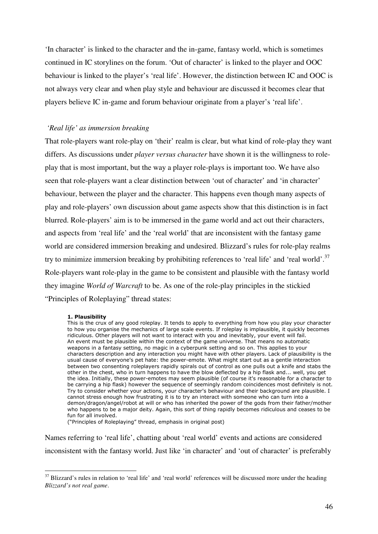'In character' is linked to the character and the in-game, fantasy world, which is sometimes continued in IC storylines on the forum. 'Out of character' is linked to the player and OOC behaviour is linked to the player's 'real life'. However, the distinction between IC and OOC is not always very clear and when play style and behaviour are discussed it becomes clear that players believe IC in-game and forum behaviour originate from a player's 'real life'.

### *'Real life' as immersion breaking*

That role-players want role-play on 'their' realm is clear, but what kind of role-play they want differs. As discussions under *player versus character* have shown it is the willingness to roleplay that is most important, but the way a player role-plays is important too. We have also seen that role-players want a clear distinction between 'out of character' and 'in character' behaviour, between the player and the character. This happens even though many aspects of play and role-players' own discussion about game aspects show that this distinction is in fact blurred. Role-players' aim is to be immersed in the game world and act out their characters, and aspects from 'real life' and the 'real world' that are inconsistent with the fantasy game world are considered immersion breaking and undesired. Blizzard's rules for role-play realms try to minimize immersion breaking by prohibiting references to 'real life' and 'real world'.<sup>37</sup> Role-players want role-play in the game to be consistent and plausible with the fantasy world they imagine *World of Warcraft* to be. As one of the role-play principles in the stickied "Principles of Roleplaying" thread states:

#### 1. Plausibility

This is the crux of any good roleplay. It tends to apply to everything from how you play your character to how you organise the mechanics of large scale events. If roleplay is implausible, it quickly becomes ridiculous. Other players will not want to interact with you and inevitably, your event will fail. An event must be plausible within the context of the game universe. That means no automatic weapons in a fantasy setting, no magic in a cyberpunk setting and so on. This applies to your characters description and any interaction you might have with other players. Lack of plausibility is the usual cause of everyone's pet hate: the power-emote. What might start out as a gentle interaction between two consenting roleplayers rapidly spirals out of control as one pulls out a knife and stabs the other in the chest, who in turn happens to have the blow deflected by a hip flask and... well, you get the idea. Initially, these power-emotes may seem plausible (of course it's reasonable for a character to be carrying a hip flask) however the sequence of seemingly random coincidences most definitely is not. Try to consider whether your actions, your character's behaviour and their background are plausible. I cannot stress enough how frustrating it is to try an interact with someone who can turn into a demon/dragon/angel/robot at will or who has inherited the power of the gods from their father/mother who happens to be a major deity. Again, this sort of thing rapidly becomes ridiculous and ceases to be fun for all involved.

("Principles of Roleplaying" thread, emphasis in original post)

Names referring to 'real life', chatting about 'real world' events and actions are considered inconsistent with the fantasy world. Just like 'in character' and 'out of character' is preferably

 $\overline{a}$ <sup>37</sup> Blizzard's rules in relation to 'real life' and 'real world' references will be discussed more under the heading *Blizzard's not real game*.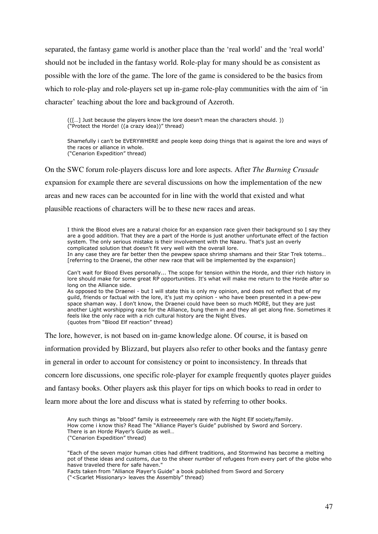separated, the fantasy game world is another place than the 'real world' and the 'real world' should not be included in the fantasy world. Role-play for many should be as consistent as possible with the lore of the game. The lore of the game is considered to be the basics from which to role-play and role-players set up in-game role-play communities with the aim of 'in character' teaching about the lore and background of Azeroth.

(([…] Just because the players know the lore doesn't mean the characters should. )) ("Protect the Horde! ((a crazy idea))" thread)

Shamefully i can't be EVERYWHERE and people keep doing things that is against the lore and ways of the races or alliance in whole. ("Cenarion Expedition" thread)

On the SWC forum role-players discuss lore and lore aspects. After *The Burning Crusade* expansion for example there are several discussions on how the implementation of the new areas and new races can be accounted for in line with the world that existed and what plausible reactions of characters will be to these new races and areas.

I think the Blood elves are a natural choice for an expansion race given their background so I say they are a good addition. That they are a part of the Horde is just another unfortunate effect of the faction system. The only serious mistake is their involvement with the Naaru. That's just an overly complicated solution that doesn't fit very well with the overall lore. In any case they are far better then the pewpew space shrimp shamans and their Star Trek totems… [referring to the Draenei, the other new race that will be implemented by the expansion]

Can't wait for Blood Elves personally... The scope for tension within the Horde, and thier rich history in lore should make for some great RP opportunities. It's what will make me return to the Horde after so long on the Alliance side.

As opposed to the Draenei - but I will state this is only my opinion, and does not reflect that of my guild, friends or factual with the lore, it's just my opinion - who have been presented in a pew-pew space shaman way. I don't know, the Draenei could have been so much MORE, but they are just another Light worshipping race for the Alliance, bung them in and they all get along fine. Sometimes it feels like the only race with a rich cultural history are the Night Elves. (quotes from "Blood Elf reaction" thread)

The lore, however, is not based on in-game knowledge alone. Of course, it is based on

information provided by Blizzard, but players also refer to other books and the fantasy genre

in general in order to account for consistency or point to inconsistency. In threads that

concern lore discussions, one specific role-player for example frequently quotes player guides

and fantasy books. Other players ask this player for tips on which books to read in order to

learn more about the lore and discuss what is stated by referring to other books.

Any such things as "blood" family is extreeeemely rare with the Night Elf society/family. How come i know this? Read The "Alliance Player's Guide" published by Sword and Sorcery. There is an Horde Player's Guide as well… ("Cenarion Expedition" thread)

"Each of the seven major human cities had diffrent traditions, and Stormwind has become a melting pot of these ideas and customs, due to the sheer number of refugees from every part of the globe who hasve traveled there for safe haven."

Facts taken from "Alliance Player's Guide" a book published from Sword and Sorcery ("<Scarlet Missionary> leaves the Assembly" thread)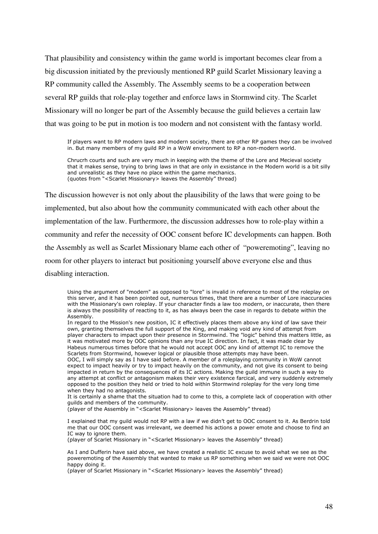That plausibility and consistency within the game world is important becomes clear from a big discussion initiated by the previously mentioned RP guild Scarlet Missionary leaving a RP community called the Assembly. The Assembly seems to be a cooperation between several RP guilds that role-play together and enforce laws in Stormwind city. The Scarlet Missionary will no longer be part of the Assembly because the guild believes a certain law that was going to be put in motion is too modern and not consistent with the fantasy world.

If players want to RP modern laws and modern society, there are other RP games they can be involved in. But many members of my guild RP in a WoW environment to RP a non-modern world.

Chrucrh courts and such are very much in keeping with the theme of the Lore and Mecieval society that it makes sense, trying to bring laws in that are only in exsistance in the Modern world is a bit silly and unrealistic as they have no place within the game mechanics. (quotes from "<Scarlet Missionary> leaves the Assembly" thread)

The discussion however is not only about the plausibility of the laws that were going to be implemented, but also about how the community communicated with each other about the implementation of the law. Furthermore, the discussion addresses how to role-play within a community and refer the necessity of OOC consent before IC developments can happen. Both the Assembly as well as Scarlet Missionary blame each other of "poweremoting", leaving no room for other players to interact but positioning yourself above everyone else and thus disabling interaction.

(player of the Assembly in "<Scarlet Missionary> leaves the Assembly" thread)

I explained that my guild would not RP with a law if we didn't get to OOC consent to it. As Berdrin told me that our OOC consent was irrelevant, we deemed his actions a power emote and choose to find an IC way to ignore them.

(player of Scarlet Missionary in "<Scarlet Missionary> leaves the Assembly" thread)

As I and Dufferin have said above, we have created a realistic IC excuse to avoid what we see as the poweremoting of the Assembly that wanted to make us RP something when we said we were not OOC happy doing it.

(player of Scarlet Missionary in "<Scarlet Missionary> leaves the Assembly" thread)

Using the argument of "modern" as opposed to "lore" is invalid in reference to most of the roleplay on this server, and it has been pointed out, numerous times, that there are a number of Lore inaccuracies with the Missionary's own roleplay. If your character finds a law too modern, or inaccurate, then there is always the possibility of reacting to it, as has always been the case in regards to debate within the Assembly.

In regard to the Mission's new position, IC it effectively places them above any kind of law save their own, granting themselves the full support of the King, and making void any kind of attempt from player characters to impact upon their presence in Stormwind. The "logic" behind this matters little, as it was motivated more by OOC opinions than any true IC direction. In fact, it was made clear by Habeus numerous times before that he would not accept OOC any kind of attempt IC to remove the Scarlets from Stormwind, however logical or plausible those attempts may have been.

OOC, I will simply say as I have said before. A member of a roleplaying community in WoW cannot expect to impact heavily or try to impact heavily on the community, and not give its consent to being impacted in return by the consequences of its IC actions. Making the guild immune in such a way to any attempt at conflict or antagonism makes their very existence farcical, and very suddenly extremely opposed to the position they held or tried to hold within Stormwind roleplay for the very long time when they had no antagonists.

It is certainly a shame that the situation had to come to this, a complete lack of cooperation with other guilds and members of the community.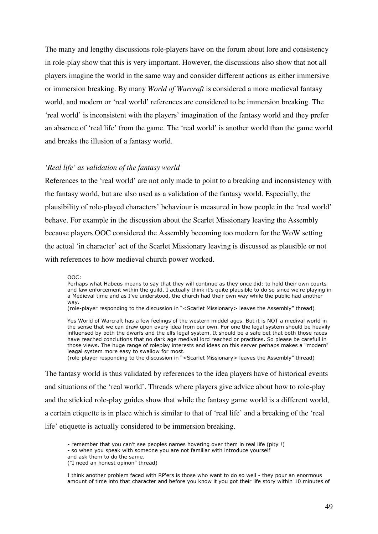The many and lengthy discussions role-players have on the forum about lore and consistency in role-play show that this is very important. However, the discussions also show that not all players imagine the world in the same way and consider different actions as either immersive or immersion breaking. By many *World of Warcraft* is considered a more medieval fantasy world, and modern or 'real world' references are considered to be immersion breaking. The 'real world' is inconsistent with the players' imagination of the fantasy world and they prefer an absence of 'real life' from the game. The 'real world' is another world than the game world and breaks the illusion of a fantasy world.

#### *'Real life' as validation of the fantasy world*

References to the 'real world' are not only made to point to a breaking and inconsistency with the fantasy world, but are also used as a validation of the fantasy world. Especially, the plausibility of role-played characters' behaviour is measured in how people in the 'real world' behave. For example in the discussion about the Scarlet Missionary leaving the Assembly because players OOC considered the Assembly becoming too modern for the WoW setting the actual 'in character' act of the Scarlet Missionary leaving is discussed as plausible or not with references to how medieval church power worked.

OOC:

Perhaps what Habeus means to say that they will continue as they once did: to hold their own courts and law enforcement within the guild. I actually think it's quite plausible to do so since we're playing in a Medieval time and as I've understood, the church had their own way while the public had another way.

(role-player responding to the discussion in "<Scarlet Missionary> leaves the Assembly" thread)

Yes World of Warcraft has a few feelings of the western middel ages. But it is NOT a medival world in the sense that we can draw upon every idea from our own. For one the legal system should be heavily influensed by both the dwarfs and the elfs legal system. It should be a safe bet that both those races have reached conclutions that no dark age medival lord reached or practices. So please be carefull in those views. The huge range of roleplay interests and ideas on this server perhaps makes a "modern" leagal system more easy to swallow for most.

(role-player responding to the discussion in "<Scarlet Missionary> leaves the Assembly" thread)

The fantasy world is thus validated by references to the idea players have of historical events and situations of the 'real world'. Threads where players give advice about how to role-play and the stickied role-play guides show that while the fantasy game world is a different world, a certain etiquette is in place which is similar to that of 'real life' and a breaking of the 'real life' etiquette is actually considered to be immersion breaking.

<sup>-</sup> remember that you can't see peoples names hovering over them in real life (pity !)

<sup>-</sup> so when you speak with someone you are not familiar with introduce yourself

and ask them to do the same.

<sup>(&</sup>quot;I need an honest opinon" thread)

I think another problem faced with RP'ers is those who want to do so well - they pour an enormous amount of time into that character and before you know it you got their life story within 10 minutes of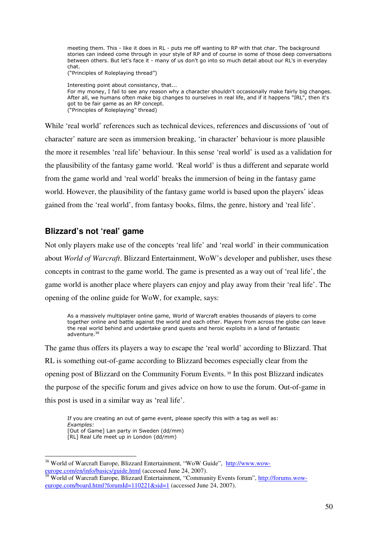meeting them. This - like it does in RL - puts me off wanting to RP with that char. The background stories can indeed come through in your style of RP and of course in some of those deep conversations between others. But let's face it - many of us don't go into so much detail about our RL's in everyday chat.

("Principles of Roleplaying thread")

Interesting point about consistancy, that... For my money, I fail to see any reason why a character shouldn't occasionally make fairly big changes. After all, we humans often make big changes to ourselves in real life, and if it happens "IRL", then it's got to be fair game as an RP concept. ("Principles of Roleplaying" thread)

While 'real world' references such as technical devices, references and discussions of 'out of character' nature are seen as immersion breaking, 'in character' behaviour is more plausible the more it resembles 'real life' behaviour. In this sense 'real world' is used as a validation for the plausibility of the fantasy game world. 'Real world' is thus a different and separate world from the game world and 'real world' breaks the immersion of being in the fantasy game world. However, the plausibility of the fantasy game world is based upon the players' ideas gained from the 'real world', from fantasy books, films, the genre, history and 'real life'.

# **Blizzard's not 'real' game**

Not only players make use of the concepts 'real life' and 'real world' in their communication about *World of Warcraft*. Blizzard Entertainment, WoW's developer and publisher, uses these concepts in contrast to the game world. The game is presented as a way out of 'real life', the game world is another place where players can enjoy and play away from their 'real life'. The opening of the online guide for WoW, for example, says:

As a massively multiplayer online game, World of Warcraft enables thousands of players to come together online and battle against the world and each other. Players from across the globe can leave the real world behind and undertake grand quests and heroic exploits in a land of fantastic adventure.<sup>38</sup>

The game thus offers its players a way to escape the 'real world' according to Blizzard. That RL is something out-of-game according to Blizzard becomes especially clear from the opening post of Blizzard on the Community Forum Events. 39 In this post Blizzard indicates the purpose of the specific forum and gives advice on how to use the forum. Out-of-game in this post is used in a similar way as 'real life'.

 If you are creating an out of game event, please specify this with a tag as well as: Examples: [Out of Game] Lan party in Sweden (dd/mm) [RL] Real Life meet up in London (dd/mm)

 $\overline{a}$ <sup>38</sup> World of Warcraft Europe, Blizzard Entertainment, "WoW Guide", http://www.woweurope.com/en/info/basics/guide.html (accessed June 24, 2007).

<sup>&</sup>lt;sup>39</sup> World of Warcraft Europe, Blizzard Entertainment, "Community Events forum", http://forums.woweurope.com/board.html?forumId=110221&sid=1 (accessed June 24, 2007).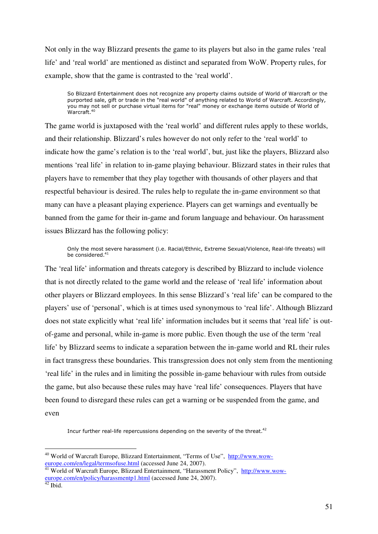Not only in the way Blizzard presents the game to its players but also in the game rules 'real life' and 'real world' are mentioned as distinct and separated from WoW. Property rules, for example, show that the game is contrasted to the 'real world'.

So Blizzard Entertainment does not recognize any property claims outside of World of Warcraft or the purported sale, gift or trade in the "real world" of anything related to World of Warcraft. Accordingly, you may not sell or purchase virtual items for "real" money or exchange items outside of World of Warcraft.<sup>40</sup>

The game world is juxtaposed with the 'real world' and different rules apply to these worlds, and their relationship. Blizzard's rules however do not only refer to the 'real world' to indicate how the game's relation is to the 'real world', but, just like the players, Blizzard also mentions 'real life' in relation to in-game playing behaviour. Blizzard states in their rules that players have to remember that they play together with thousands of other players and that respectful behaviour is desired. The rules help to regulate the in-game environment so that many can have a pleasant playing experience. Players can get warnings and eventually be banned from the game for their in-game and forum language and behaviour. On harassment issues Blizzard has the following policy:

Only the most severe harassment (i.e. Racial/Ethnic, Extreme Sexual/Violence, Real-life threats) will be considered. $41$ 

The 'real life' information and threats category is described by Blizzard to include violence that is not directly related to the game world and the release of 'real life' information about other players or Blizzard employees. In this sense Blizzard's 'real life' can be compared to the players' use of 'personal', which is at times used synonymous to 'real life'. Although Blizzard does not state explicitly what 'real life' information includes but it seems that 'real life' is outof-game and personal, while in-game is more public. Even though the use of the term 'real life' by Blizzard seems to indicate a separation between the in-game world and RL their rules in fact transgress these boundaries. This transgression does not only stem from the mentioning 'real life' in the rules and in limiting the possible in-game behaviour with rules from outside the game, but also because these rules may have 'real life' consequences. Players that have been found to disregard these rules can get a warning or be suspended from the game, and even

Incur further real-life repercussions depending on the severity of the threat.<sup>42</sup>

 $\overline{a}$ 

<sup>&</sup>lt;sup>40</sup> World of Warcraft Europe, Blizzard Entertainment, "Terms of Use", http://www.woweurope.com/en/legal/termsofuse.html (accessed June 24, 2007).

<sup>&</sup>lt;sup>41</sup> World of Warcraft Europe, Blizzard Entertainment, "Harassment Policy", http://www.woweurope.com/en/policy/harassmentp1.html (accessed June 24, 2007).

 $42$  Ibid.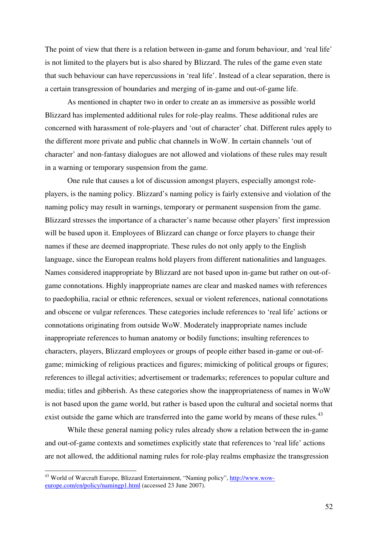The point of view that there is a relation between in-game and forum behaviour, and 'real life' is not limited to the players but is also shared by Blizzard. The rules of the game even state that such behaviour can have repercussions in 'real life'. Instead of a clear separation, there is a certain transgression of boundaries and merging of in-game and out-of-game life.

 As mentioned in chapter two in order to create an as immersive as possible world Blizzard has implemented additional rules for role-play realms. These additional rules are concerned with harassment of role-players and 'out of character' chat. Different rules apply to the different more private and public chat channels in WoW. In certain channels 'out of character' and non-fantasy dialogues are not allowed and violations of these rules may result in a warning or temporary suspension from the game.

One rule that causes a lot of discussion amongst players, especially amongst roleplayers, is the naming policy. Blizzard's naming policy is fairly extensive and violation of the naming policy may result in warnings, temporary or permanent suspension from the game. Blizzard stresses the importance of a character's name because other players' first impression will be based upon it. Employees of Blizzard can change or force players to change their names if these are deemed inappropriate. These rules do not only apply to the English language, since the European realms hold players from different nationalities and languages. Names considered inappropriate by Blizzard are not based upon in-game but rather on out-ofgame connotations. Highly inappropriate names are clear and masked names with references to paedophilia, racial or ethnic references, sexual or violent references, national connotations and obscene or vulgar references. These categories include references to 'real life' actions or connotations originating from outside WoW. Moderately inappropriate names include inappropriate references to human anatomy or bodily functions; insulting references to characters, players, Blizzard employees or groups of people either based in-game or out-ofgame; mimicking of religious practices and figures; mimicking of political groups or figures; references to illegal activities; advertisement or trademarks; references to popular culture and media; titles and gibberish. As these categories show the inappropriateness of names in WoW is not based upon the game world, but rather is based upon the cultural and societal norms that exist outside the game which are transferred into the game world by means of these rules.<sup>43</sup>

While these general naming policy rules already show a relation between the in-game and out-of-game contexts and sometimes explicitly state that references to 'real life' actions are not allowed, the additional naming rules for role-play realms emphasize the transgression

 $\overline{a}$ 

<sup>&</sup>lt;sup>43</sup> World of Warcraft Europe, Blizzard Entertainment, "Naming policy", http://www.woweurope.com/en/policy/namingp1.html (accessed 23 June 2007).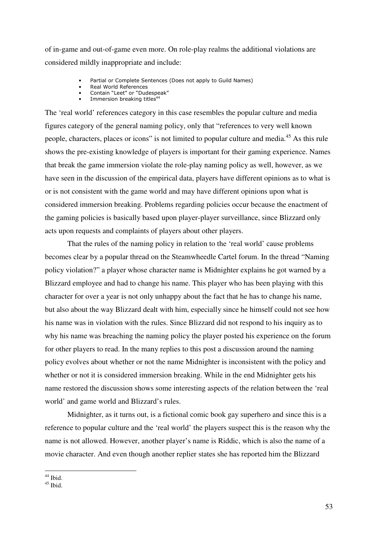of in-game and out-of-game even more. On role-play realms the additional violations are considered mildly inappropriate and include:

- Partial or Complete Sentences (Does not apply to Guild Names)
- Real World References
- Contain "Leet" or "Dudespeak"
- Example 2011 For the Context of the Immersion breaking titles<sup>44</sup>

The 'real world' references category in this case resembles the popular culture and media figures category of the general naming policy, only that "references to very well known people, characters, places or icons" is not limited to popular culture and media.<sup>45</sup> As this rule shows the pre-existing knowledge of players is important for their gaming experience. Names that break the game immersion violate the role-play naming policy as well, however, as we have seen in the discussion of the empirical data, players have different opinions as to what is or is not consistent with the game world and may have different opinions upon what is considered immersion breaking. Problems regarding policies occur because the enactment of the gaming policies is basically based upon player-player surveillance, since Blizzard only acts upon requests and complaints of players about other players.

That the rules of the naming policy in relation to the 'real world' cause problems becomes clear by a popular thread on the Steamwheedle Cartel forum. In the thread "Naming policy violation?" a player whose character name is Midnighter explains he got warned by a Blizzard employee and had to change his name. This player who has been playing with this character for over a year is not only unhappy about the fact that he has to change his name, but also about the way Blizzard dealt with him, especially since he himself could not see how his name was in violation with the rules. Since Blizzard did not respond to his inquiry as to why his name was breaching the naming policy the player posted his experience on the forum for other players to read. In the many replies to this post a discussion around the naming policy evolves about whether or not the name Midnighter is inconsistent with the policy and whether or not it is considered immersion breaking. While in the end Midnighter gets his name restored the discussion shows some interesting aspects of the relation between the 'real world' and game world and Blizzard's rules.

Midnighter, as it turns out, is a fictional comic book gay superhero and since this is a reference to popular culture and the 'real world' the players suspect this is the reason why the name is not allowed. However, another player's name is Riddic, which is also the name of a movie character. And even though another replier states she has reported him the Blizzard

 $\overline{a}$  $44$  Ibid.

 $45$  Ibid.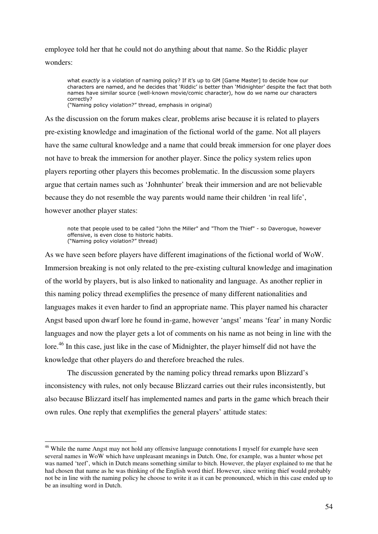employee told her that he could not do anything about that name. So the Riddic player wonders:

what exactly is a violation of naming policy? If it's up to GM [Game Master] to decide how our characters are named, and he decides that 'Riddic' is better than 'Midnighter' despite the fact that both names have similar source (well-known movie/comic character), how do we name our characters correctly? ("Naming policy violation?" thread, emphasis in original)

As the discussion on the forum makes clear, problems arise because it is related to players pre-existing knowledge and imagination of the fictional world of the game. Not all players have the same cultural knowledge and a name that could break immersion for one player does not have to break the immersion for another player. Since the policy system relies upon players reporting other players this becomes problematic. In the discussion some players argue that certain names such as 'Johnhunter' break their immersion and are not believable because they do not resemble the way parents would name their children 'in real life', however another player states:

note that people used to be called "John the Miller" and "Thom the Thief" - so Daverogue, however offensive, is even close to historic habits. ("Naming policy violation?" thread)

As we have seen before players have different imaginations of the fictional world of WoW. Immersion breaking is not only related to the pre-existing cultural knowledge and imagination of the world by players, but is also linked to nationality and language. As another replier in this naming policy thread exemplifies the presence of many different nationalities and languages makes it even harder to find an appropriate name. This player named his character Angst based upon dwarf lore he found in-game, however 'angst' means 'fear' in many Nordic languages and now the player gets a lot of comments on his name as not being in line with the lore.<sup>46</sup> In this case, just like in the case of Midnighter, the player himself did not have the knowledge that other players do and therefore breached the rules.

The discussion generated by the naming policy thread remarks upon Blizzard's inconsistency with rules, not only because Blizzard carries out their rules inconsistently, but also because Blizzard itself has implemented names and parts in the game which breach their own rules. One reply that exemplifies the general players' attitude states:

 $\overline{a}$ 

<sup>&</sup>lt;sup>46</sup> While the name Angst may not hold any offensive language connotations I myself for example have seen several names in WoW which have unpleasant meanings in Dutch. One, for example, was a hunter whose pet was named 'teef', which in Dutch means something similar to bitch. However, the player explained to me that he had chosen that name as he was thinking of the English word thief. However, since writing thief would probably not be in line with the naming policy he choose to write it as it can be pronounced, which in this case ended up to be an insulting word in Dutch.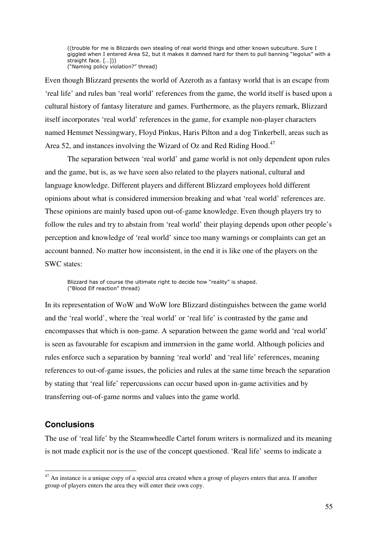((trouble for me is Blizzards own stealing of real world things and other known subculture. Sure I giggled when I entered Area 52, but it makes it damned hard for them to pull banning "legolus" with a straight face. […])) ("Naming policy violation?" thread)

Even though Blizzard presents the world of Azeroth as a fantasy world that is an escape from 'real life' and rules ban 'real world' references from the game, the world itself is based upon a cultural history of fantasy literature and games. Furthermore, as the players remark, Blizzard itself incorporates 'real world' references in the game, for example non-player characters named Hemmet Nessingwary, Floyd Pinkus, Haris Pilton and a dog Tinkerbell, areas such as Area 52, and instances involving the Wizard of Oz and Red Riding Hood.<sup>47</sup>

 The separation between 'real world' and game world is not only dependent upon rules and the game, but is, as we have seen also related to the players national, cultural and language knowledge. Different players and different Blizzard employees hold different opinions about what is considered immersion breaking and what 'real world' references are. These opinions are mainly based upon out-of-game knowledge. Even though players try to follow the rules and try to abstain from 'real world' their playing depends upon other people's perception and knowledge of 'real world' since too many warnings or complaints can get an account banned. No matter how inconsistent, in the end it is like one of the players on the SWC states:

 Blizzard has of course the ultimate right to decide how "reality" is shaped. ("Blood Elf reaction" thread)

In its representation of WoW and WoW lore Blizzard distinguishes between the game world and the 'real world', where the 'real world' or 'real life' is contrasted by the game and encompasses that which is non-game. A separation between the game world and 'real world' is seen as favourable for escapism and immersion in the game world. Although policies and rules enforce such a separation by banning 'real world' and 'real life' references, meaning references to out-of-game issues, the policies and rules at the same time breach the separation by stating that 'real life' repercussions can occur based upon in-game activities and by transferring out-of-game norms and values into the game world.

## **Conclusions**

 $\overline{a}$ 

The use of 'real life' by the Steamwheedle Cartel forum writers is normalized and its meaning is not made explicit nor is the use of the concept questioned. 'Real life' seems to indicate a

 $47$  An instance is a unique copy of a special area created when a group of players enters that area. If another group of players enters the area they will enter their own copy.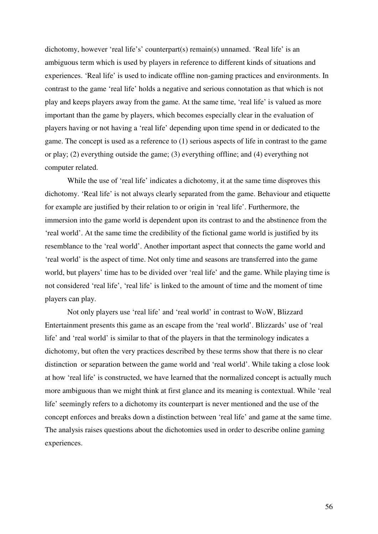dichotomy, however 'real life's' counterpart(s) remain(s) unnamed. 'Real life' is an ambiguous term which is used by players in reference to different kinds of situations and experiences. 'Real life' is used to indicate offline non-gaming practices and environments. In contrast to the game 'real life' holds a negative and serious connotation as that which is not play and keeps players away from the game. At the same time, 'real life' is valued as more important than the game by players, which becomes especially clear in the evaluation of players having or not having a 'real life' depending upon time spend in or dedicated to the game. The concept is used as a reference to (1) serious aspects of life in contrast to the game or play; (2) everything outside the game; (3) everything offline; and (4) everything not computer related.

 While the use of 'real life' indicates a dichotomy, it at the same time disproves this dichotomy. 'Real life' is not always clearly separated from the game. Behaviour and etiquette for example are justified by their relation to or origin in 'real life'. Furthermore, the immersion into the game world is dependent upon its contrast to and the abstinence from the 'real world'. At the same time the credibility of the fictional game world is justified by its resemblance to the 'real world'. Another important aspect that connects the game world and 'real world' is the aspect of time. Not only time and seasons are transferred into the game world, but players' time has to be divided over 'real life' and the game. While playing time is not considered 'real life', 'real life' is linked to the amount of time and the moment of time players can play.

 Not only players use 'real life' and 'real world' in contrast to WoW, Blizzard Entertainment presents this game as an escape from the 'real world'. Blizzards' use of 'real life' and 'real world' is similar to that of the players in that the terminology indicates a dichotomy, but often the very practices described by these terms show that there is no clear distinction or separation between the game world and 'real world'. While taking a close look at how 'real life' is constructed, we have learned that the normalized concept is actually much more ambiguous than we might think at first glance and its meaning is contextual. While 'real life' seemingly refers to a dichotomy its counterpart is never mentioned and the use of the concept enforces and breaks down a distinction between 'real life' and game at the same time. The analysis raises questions about the dichotomies used in order to describe online gaming experiences.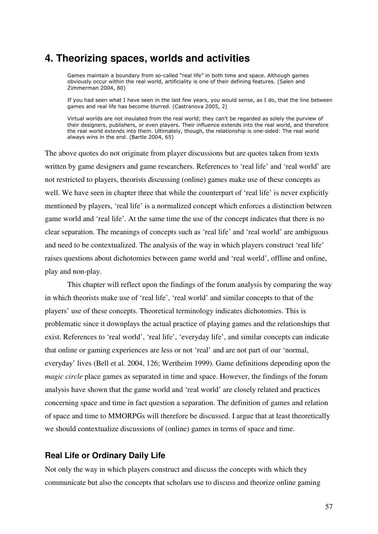# **4. Theorizing spaces, worlds and activities**

Games maintain a boundary from so-called "real life" in both time and space. Although games obviously occur within the real world, artificiality is one of their defining features. (Salen and Zimmerman 2004, 80)

If you had seen what I have seen in the last few years, you would sense, as I do, that the line between games and real life has become blurred. (Castranova 2005, 2)

Virtual worlds are not insulated from the real world; they can't be regarded as solely the purview of their designers, publishers, or even players. Their influence extends into the real world, and therefore the real world extends into them. Ultimately, though, the relationship is one-sided: The real world always wins in the end. (Bartle 2004, 65)

The above quotes do not originate from player discussions but are quotes taken from texts written by game designers and game researchers. References to 'real life' and 'real world' are not restricted to players, theorists discussing (online) games make use of these concepts as well. We have seen in chapter three that while the counterpart of 'real life' is never explicitly mentioned by players, 'real life' is a normalized concept which enforces a distinction between game world and 'real life'. At the same time the use of the concept indicates that there is no clear separation. The meanings of concepts such as 'real life' and 'real world' are ambiguous and need to be contextualized. The analysis of the way in which players construct 'real life' raises questions about dichotomies between game world and 'real world', offline and online, play and non-play.

 This chapter will reflect upon the findings of the forum analysis by comparing the way in which theorists make use of 'real life', 'real world' and similar concepts to that of the players' use of these concepts. Theoretical terminology indicates dichotomies. This is problematic since it downplays the actual practice of playing games and the relationships that exist. References to 'real world', 'real life', 'everyday life', and similar concepts can indicate that online or gaming experiences are less or not 'real' and are not part of our 'normal, everyday' lives (Bell et al. 2004, 126; Wertheim 1999). Game definitions depending upon the *magic circle* place games as separated in time and space. However, the findings of the forum analysis have shown that the game world and 'real world' are closely related and practices concerning space and time in fact question a separation. The definition of games and relation of space and time to MMORPGs will therefore be discussed. I argue that at least theoretically we should contextualize discussions of (online) games in terms of space and time.

### **Real Life or Ordinary Daily Life**

Not only the way in which players construct and discuss the concepts with which they communicate but also the concepts that scholars use to discuss and theorize online gaming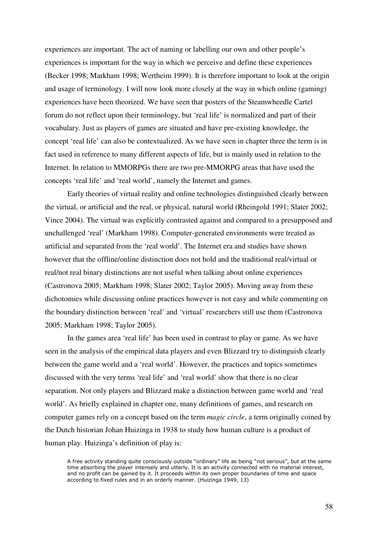experiences are important. The act of naming or labelling our own and other people's experiences is important for the way in which we perceive and define these experiences (Becker 1998; Markham 1998; Wertheim 1999). It is therefore important to look at the origin and usage of terminology. I will now look more closely at the way in which online (gaming) experiences have been theorized. We have seen that posters of the Steamwheedle Cartel forum do not reflect upon their terminology, but 'real life' is normalized and part of their vocabulary. Just as players of games are situated and have pre-existing knowledge, the concept 'real life' can also be contextualized. As we have seen in chapter three the term is in fact used in reference to many different aspects of life, but is mainly used in relation to the Internet. In relation to MMORPGs there are two pre-MMORPG areas that have used the concepts 'real life' and 'real world', namely the Internet and games.

 Early theories of virtual reality and online technologies distinguished clearly between the virtual, or artificial and the real, or physical, natural world (Rheingold 1991; Slater 2002; Vince 2004). The virtual was explicitly contrasted against and compared to a presupposed and unchallenged 'real' (Markham 1998). Computer-generated environments were treated as artificial and separated from the 'real world'. The Internet era and studies have shown however that the offline/online distinction does not hold and the traditional real/virtual or real/not real binary distinctions are not useful when talking about online experiences (Castronova 2005; Markham 1998; Slater 2002; Taylor 2005). Moving away from these dichotomies while discussing online practices however is not easy and while commenting on the boundary distinction between 'real' and 'virtual' researchers still use them (Castronova 2005; Markham 1998; Taylor 2005).

 In the games area 'real life' has been used in contrast to play or game. As we have seen in the analysis of the empirical data players and even Blizzard try to distinguish clearly between the game world and a 'real world'. However, the practices and topics sometimes discussed with the very terms 'real life' and 'real world' show that there is no clear separation. Not only players and Blizzard make a distinction between game world and 'real world'. As briefly explained in chapter one, many definitions of games, and research on computer games rely on a concept based on the term *magic circle*, a term originally coined by the Dutch historian Johan Huizinga in 1938 to study how human culture is a product of human play. Huizinga's definition of play is:

A free activity standing quite consciously outside "ordinary" life as being "not serious", but at the same time absorbing the player intensely and utterly. It is an activity connected with no material interest, and no profit can be gained by it. It proceeds within its own proper boundaries of time and space according to fixed rules and in an orderly manner. (Huizinga 1949, 13)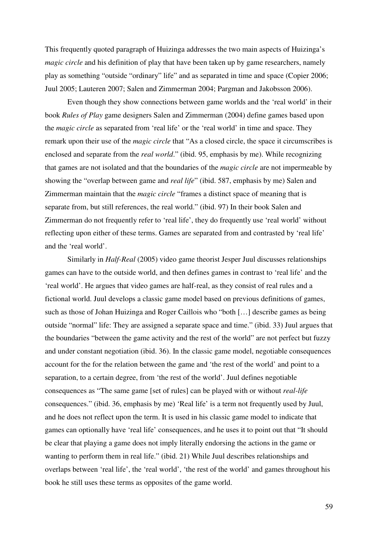This frequently quoted paragraph of Huizinga addresses the two main aspects of Huizinga's *magic circle* and his definition of play that have been taken up by game researchers, namely play as something "outside "ordinary" life" and as separated in time and space (Copier 2006; Juul 2005; Lauteren 2007; Salen and Zimmerman 2004; Pargman and Jakobsson 2006).

 Even though they show connections between game worlds and the 'real world' in their book *Rules of Play* game designers Salen and Zimmerman (2004) define games based upon the *magic circle* as separated from 'real life' or the 'real world' in time and space. They remark upon their use of the *magic circle* that "As a closed circle, the space it circumscribes is enclosed and separate from the *real world*." (ibid. 95, emphasis by me). While recognizing that games are not isolated and that the boundaries of the *magic circle* are not impermeable by showing the "overlap between game and *real life*" (ibid. 587, emphasis by me) Salen and Zimmerman maintain that the *magic circle* "frames a distinct space of meaning that is separate from, but still references, the real world." (ibid. 97) In their book Salen and Zimmerman do not frequently refer to 'real life', they do frequently use 'real world' without reflecting upon either of these terms. Games are separated from and contrasted by 'real life' and the 'real world'.

 Similarly in *Half-Real* (2005) video game theorist Jesper Juul discusses relationships games can have to the outside world, and then defines games in contrast to 'real life' and the 'real world'. He argues that video games are half-real, as they consist of real rules and a fictional world. Juul develops a classic game model based on previous definitions of games, such as those of Johan Huizinga and Roger Caillois who "both […] describe games as being outside "normal" life: They are assigned a separate space and time." (ibid. 33) Juul argues that the boundaries "between the game activity and the rest of the world" are not perfect but fuzzy and under constant negotiation (ibid. 36). In the classic game model, negotiable consequences account for the for the relation between the game and 'the rest of the world' and point to a separation, to a certain degree, from 'the rest of the world'. Juul defines negotiable consequences as "The same game [set of rules] can be played with or without *real-life* consequences." (ibid. 36, emphasis by me) 'Real life' is a term not frequently used by Juul, and he does not reflect upon the term. It is used in his classic game model to indicate that games can optionally have 'real life' consequences, and he uses it to point out that "It should be clear that playing a game does not imply literally endorsing the actions in the game or wanting to perform them in real life." (ibid. 21) While Juul describes relationships and overlaps between 'real life', the 'real world', 'the rest of the world' and games throughout his book he still uses these terms as opposites of the game world.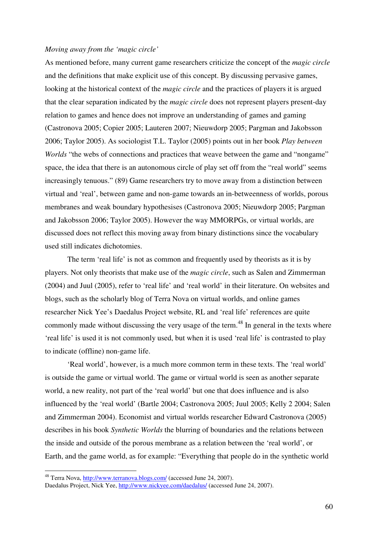### *Moving away from the 'magic circle'*

As mentioned before, many current game researchers criticize the concept of the *magic circle* and the definitions that make explicit use of this concept. By discussing pervasive games, looking at the historical context of the *magic circle* and the practices of players it is argued that the clear separation indicated by the *magic circle* does not represent players present-day relation to games and hence does not improve an understanding of games and gaming (Castronova 2005; Copier 2005; Lauteren 2007; Nieuwdorp 2005; Pargman and Jakobsson 2006; Taylor 2005). As sociologist T.L. Taylor (2005) points out in her book *Play between Worlds* "the webs of connections and practices that weave between the game and "nongame" space, the idea that there is an autonomous circle of play set off from the "real world" seems increasingly tenuous." (89) Game researchers try to move away from a distinction between virtual and 'real', between game and non-game towards an in-betweenness of worlds, porous membranes and weak boundary hypothesises (Castronova 2005; Nieuwdorp 2005; Pargman and Jakobsson 2006; Taylor 2005). However the way MMORPGs, or virtual worlds, are discussed does not reflect this moving away from binary distinctions since the vocabulary used still indicates dichotomies.

 The term 'real life' is not as common and frequently used by theorists as it is by players. Not only theorists that make use of the *magic circle*, such as Salen and Zimmerman (2004) and Juul (2005), refer to 'real life' and 'real world' in their literature. On websites and blogs, such as the scholarly blog of Terra Nova on virtual worlds, and online games researcher Nick Yee's Daedalus Project website, RL and 'real life' references are quite commonly made without discussing the very usage of the term.<sup>48</sup> In general in the texts where 'real life' is used it is not commonly used, but when it is used 'real life' is contrasted to play to indicate (offline) non-game life.

'Real world', however, is a much more common term in these texts. The 'real world' is outside the game or virtual world. The game or virtual world is seen as another separate world, a new reality, not part of the 'real world' but one that does influence and is also influenced by the 'real world' (Bartle 2004; Castronova 2005; Juul 2005; Kelly 2 2004; Salen and Zimmerman 2004). Economist and virtual worlds researcher Edward Castronova (2005) describes in his book *Synthetic Worlds* the blurring of boundaries and the relations between the inside and outside of the porous membrane as a relation between the 'real world', or Earth, and the game world, as for example: "Everything that people do in the synthetic world

 $\overline{a}$ 

<sup>&</sup>lt;sup>48</sup> Terra Nova, http://www.terranova.blogs.com/ (accessed June 24, 2007).

Daedalus Project, Nick Yee, http://www.nickyee.com/daedalus/ (accessed June 24, 2007).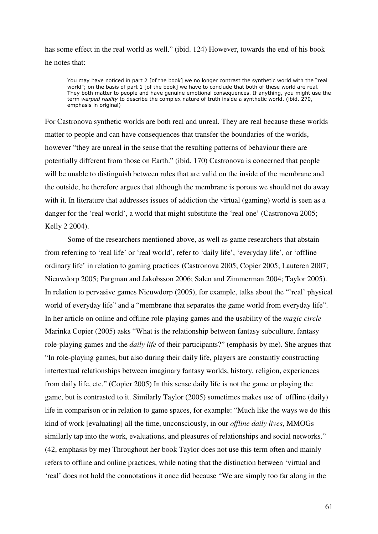has some effect in the real world as well." (ibid. 124) However, towards the end of his book he notes that:

You may have noticed in part 2 [of the book] we no longer contrast the synthetic world with the "real world"; on the basis of part 1 [of the book] we have to conclude that both of these world are real. They both matter to people and have genuine emotional consequences. If anything, you might use the term warped reality to describe the complex nature of truth inside a synthetic world. (ibid. 270, emphasis in original)

For Castronova synthetic worlds are both real and unreal. They are real because these worlds matter to people and can have consequences that transfer the boundaries of the worlds, however "they are unreal in the sense that the resulting patterns of behaviour there are potentially different from those on Earth." (ibid. 170) Castronova is concerned that people will be unable to distinguish between rules that are valid on the inside of the membrane and the outside, he therefore argues that although the membrane is porous we should not do away with it. In literature that addresses issues of addiction the virtual (gaming) world is seen as a danger for the 'real world', a world that might substitute the 'real one' (Castronova 2005; Kelly 2 2004).

 Some of the researchers mentioned above, as well as game researchers that abstain from referring to 'real life' or 'real world', refer to 'daily life', 'everyday life', or 'offline ordinary life' in relation to gaming practices (Castronova 2005; Copier 2005; Lauteren 2007; Nieuwdorp 2005; Pargman and Jakobsson 2006; Salen and Zimmerman 2004; Taylor 2005). In relation to pervasive games Nieuwdorp (2005), for example, talks about the "'real' physical world of everyday life" and a "membrane that separates the game world from everyday life". In her article on online and offline role-playing games and the usability of the *magic circle*  Marinka Copier (2005) asks "What is the relationship between fantasy subculture, fantasy role-playing games and the *daily life* of their participants?" (emphasis by me). She argues that "In role-playing games, but also during their daily life, players are constantly constructing intertextual relationships between imaginary fantasy worlds, history, religion, experiences from daily life, etc." (Copier 2005) In this sense daily life is not the game or playing the game, but is contrasted to it. Similarly Taylor (2005) sometimes makes use of offline (daily) life in comparison or in relation to game spaces, for example: "Much like the ways we do this kind of work [evaluating] all the time, unconsciously, in our *offline daily lives*, MMOGs similarly tap into the work, evaluations, and pleasures of relationships and social networks." (42, emphasis by me) Throughout her book Taylor does not use this term often and mainly refers to offline and online practices, while noting that the distinction between 'virtual and 'real' does not hold the connotations it once did because "We are simply too far along in the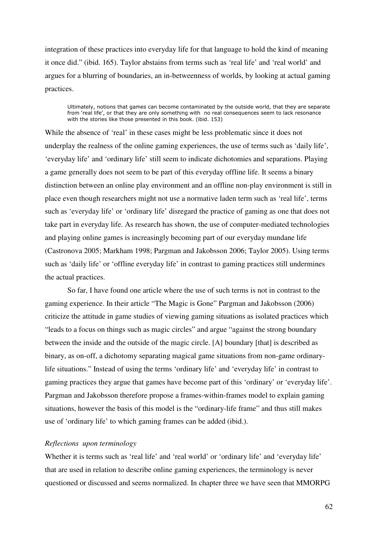integration of these practices into everyday life for that language to hold the kind of meaning it once did." (ibid. 165). Taylor abstains from terms such as 'real life' and 'real world' and argues for a blurring of boundaries, an in-betweenness of worlds, by looking at actual gaming practices.

Ultimately, notions that games can become contaminated by the outside world, that they are separate from 'real life', or that they are only something with no real consequences seem to lack resonance with the stories like those presented in this book. (ibid. 153)

While the absence of 'real' in these cases might be less problematic since it does not underplay the realness of the online gaming experiences, the use of terms such as 'daily life', 'everyday life' and 'ordinary life' still seem to indicate dichotomies and separations. Playing a game generally does not seem to be part of this everyday offline life. It seems a binary distinction between an online play environment and an offline non-play environment is still in place even though researchers might not use a normative laden term such as 'real life', terms such as 'everyday life' or 'ordinary life' disregard the practice of gaming as one that does not take part in everyday life. As research has shown, the use of computer-mediated technologies and playing online games is increasingly becoming part of our everyday mundane life (Castronova 2005; Markham 1998; Pargman and Jakobsson 2006; Taylor 2005). Using terms such as 'daily life' or 'offline everyday life' in contrast to gaming practices still undermines the actual practices.

So far, I have found one article where the use of such terms is not in contrast to the gaming experience. In their article "The Magic is Gone" Pargman and Jakobsson (2006) criticize the attitude in game studies of viewing gaming situations as isolated practices which "leads to a focus on things such as magic circles" and argue "against the strong boundary between the inside and the outside of the magic circle. [A] boundary [that] is described as binary, as on-off, a dichotomy separating magical game situations from non-game ordinarylife situations." Instead of using the terms 'ordinary life' and 'everyday life' in contrast to gaming practices they argue that games have become part of this 'ordinary' or 'everyday life'. Pargman and Jakobsson therefore propose a frames-within-frames model to explain gaming situations, however the basis of this model is the "ordinary-life frame" and thus still makes use of 'ordinary life' to which gaming frames can be added (ibid.).

### *Reflections upon terminology*

Whether it is terms such as 'real life' and 'real world' or 'ordinary life' and 'everyday life' that are used in relation to describe online gaming experiences, the terminology is never questioned or discussed and seems normalized. In chapter three we have seen that MMORPG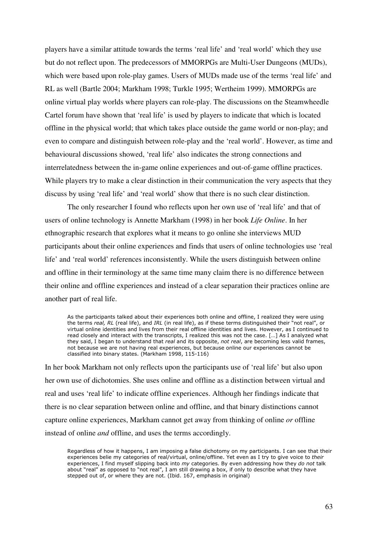players have a similar attitude towards the terms 'real life' and 'real world' which they use but do not reflect upon. The predecessors of MMORPGs are Multi-User Dungeons (MUDs), which were based upon role-play games. Users of MUDs made use of the terms 'real life' and RL as well (Bartle 2004; Markham 1998; Turkle 1995; Wertheim 1999). MMORPGs are online virtual play worlds where players can role-play. The discussions on the Steamwheedle Cartel forum have shown that 'real life' is used by players to indicate that which is located offline in the physical world; that which takes place outside the game world or non-play; and even to compare and distinguish between role-play and the 'real world'. However, as time and behavioural discussions showed, 'real life' also indicates the strong connections and interrelatedness between the in-game online experiences and out-of-game offline practices. While players try to make a clear distinction in their communication the very aspects that they discuss by using 'real life' and 'real world' show that there is no such clear distinction.

 The only researcher I found who reflects upon her own use of 'real life' and that of users of online technology is Annette Markham (1998) in her book *Life Online*. In her ethnographic research that explores what it means to go online she interviews MUD participants about their online experiences and finds that users of online technologies use 'real life' and 'real world' references inconsistently. While the users distinguish between online and offline in their terminology at the same time many claim there is no difference between their online and offline experiences and instead of a clear separation their practices online are another part of real life.

As the participants talked about their experiences both online and offline, I realized they were using the terms real, RL (real life), and IRL (in real life), as if these terms distinguished their "not real", or virtual online identities and lives from their real offline identities and lives. However, as I continued to read closely and interact with the transcripts, I realized this was not the case. […] As I analyzed what they said, I began to understand that real and its opposite, not real, are becoming less valid frames, not because we are not having real experiences, but because online our experiences cannot be classified into binary states. (Markham 1998, 115-116)

In her book Markham not only reflects upon the participants use of 'real life' but also upon her own use of dichotomies. She uses online and offline as a distinction between virtual and real and uses 'real life' to indicate offline experiences. Although her findings indicate that there is no clear separation between online and offline, and that binary distinctions cannot capture online experiences, Markham cannot get away from thinking of online *or* offline instead of online *and* offline, and uses the terms accordingly.

Regardless of how it happens, I am imposing a false dichotomy on my participants. I can see that their experiences belie my categories of real/virtual, online/offline. Yet even as I try to give voice to their experiences, I find myself slipping back into my categories. By even addressing how they do not talk about "real" as opposed to "not real", I am still drawing a box, if only to describe what they have stepped out of, or where they are not. (Ibid. 167, emphasis in original)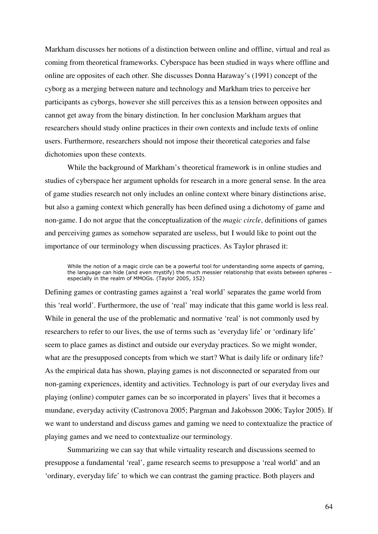Markham discusses her notions of a distinction between online and offline, virtual and real as coming from theoretical frameworks. Cyberspace has been studied in ways where offline and online are opposites of each other. She discusses Donna Haraway's (1991) concept of the cyborg as a merging between nature and technology and Markham tries to perceive her participants as cyborgs, however she still perceives this as a tension between opposites and cannot get away from the binary distinction. In her conclusion Markham argues that researchers should study online practices in their own contexts and include texts of online users. Furthermore, researchers should not impose their theoretical categories and false dichotomies upon these contexts.

 While the background of Markham's theoretical framework is in online studies and studies of cyberspace her argument upholds for research in a more general sense. In the area of game studies research not only includes an online context where binary distinctions arise, but also a gaming context which generally has been defined using a dichotomy of game and non-game. I do not argue that the conceptualization of the *magic circle*, definitions of games and perceiving games as somehow separated are useless, but I would like to point out the importance of our terminology when discussing practices. As Taylor phrased it:

While the notion of a magic circle can be a powerful tool for understanding some aspects of gaming, the language can hide (and even mystify) the much messier relationship that exists between spheres – especially in the realm of MMOGs. (Taylor 2005, 152)

Defining games or contrasting games against a 'real world' separates the game world from this 'real world'. Furthermore, the use of 'real' may indicate that this game world is less real. While in general the use of the problematic and normative 'real' is not commonly used by researchers to refer to our lives, the use of terms such as 'everyday life' or 'ordinary life' seem to place games as distinct and outside our everyday practices. So we might wonder, what are the presupposed concepts from which we start? What is daily life or ordinary life? As the empirical data has shown, playing games is not disconnected or separated from our non-gaming experiences, identity and activities. Technology is part of our everyday lives and playing (online) computer games can be so incorporated in players' lives that it becomes a mundane, everyday activity (Castronova 2005; Pargman and Jakobsson 2006; Taylor 2005). If we want to understand and discuss games and gaming we need to contextualize the practice of playing games and we need to contextualize our terminology.

 Summarizing we can say that while virtuality research and discussions seemed to presuppose a fundamental 'real', game research seems to presuppose a 'real world' and an 'ordinary, everyday life' to which we can contrast the gaming practice. Both players and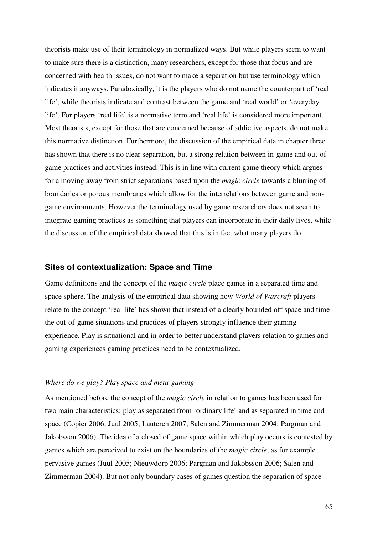theorists make use of their terminology in normalized ways. But while players seem to want to make sure there is a distinction, many researchers, except for those that focus and are concerned with health issues, do not want to make a separation but use terminology which indicates it anyways. Paradoxically, it is the players who do not name the counterpart of 'real life', while theorists indicate and contrast between the game and 'real world' or 'everyday life'. For players 'real life' is a normative term and 'real life' is considered more important. Most theorists, except for those that are concerned because of addictive aspects, do not make this normative distinction. Furthermore, the discussion of the empirical data in chapter three has shown that there is no clear separation, but a strong relation between in-game and out-ofgame practices and activities instead. This is in line with current game theory which argues for a moving away from strict separations based upon the *magic circle* towards a blurring of boundaries or porous membranes which allow for the interrelations between game and nongame environments. However the terminology used by game researchers does not seem to integrate gaming practices as something that players can incorporate in their daily lives, while the discussion of the empirical data showed that this is in fact what many players do.

### **Sites of contextualization: Space and Time**

Game definitions and the concept of the *magic circle* place games in a separated time and space sphere. The analysis of the empirical data showing how *World of Warcraft* players relate to the concept 'real life' has shown that instead of a clearly bounded off space and time the out-of-game situations and practices of players strongly influence their gaming experience. Play is situational and in order to better understand players relation to games and gaming experiences gaming practices need to be contextualized.

### *Where do we play? Play space and meta-gaming*

As mentioned before the concept of the *magic circle* in relation to games has been used for two main characteristics: play as separated from 'ordinary life' and as separated in time and space (Copier 2006; Juul 2005; Lauteren 2007; Salen and Zimmerman 2004; Pargman and Jakobsson 2006). The idea of a closed of game space within which play occurs is contested by games which are perceived to exist on the boundaries of the *magic circle*, as for example pervasive games (Juul 2005; Nieuwdorp 2006; Pargman and Jakobsson 2006; Salen and Zimmerman 2004). But not only boundary cases of games question the separation of space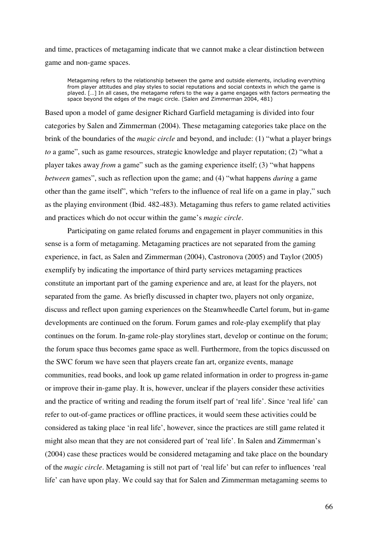and time, practices of metagaming indicate that we cannot make a clear distinction between game and non-game spaces.

Metagaming refers to the relationship between the game and outside elements, including everything from player attitudes and play styles to social reputations and social contexts in which the game is played. […] In all cases, the metagame refers to the way a game engages with factors permeating the space beyond the edges of the magic circle. (Salen and Zimmerman 2004, 481)

Based upon a model of game designer Richard Garfield metagaming is divided into four categories by Salen and Zimmerman (2004). These metagaming categories take place on the brink of the boundaries of the *magic circle* and beyond, and include: (1) "what a player brings *to* a game", such as game resources, strategic knowledge and player reputation; (2) "what a player takes away *from* a game" such as the gaming experience itself; (3) "what happens *between* games", such as reflection upon the game; and (4) "what happens *during* a game other than the game itself", which "refers to the influence of real life on a game in play," such as the playing environment (Ibid. 482-483). Metagaming thus refers to game related activities and practices which do not occur within the game's *magic circle*.

 Participating on game related forums and engagement in player communities in this sense is a form of metagaming. Metagaming practices are not separated from the gaming experience, in fact, as Salen and Zimmerman (2004), Castronova (2005) and Taylor (2005) exemplify by indicating the importance of third party services metagaming practices constitute an important part of the gaming experience and are, at least for the players, not separated from the game. As briefly discussed in chapter two, players not only organize, discuss and reflect upon gaming experiences on the Steamwheedle Cartel forum, but in-game developments are continued on the forum. Forum games and role-play exemplify that play continues on the forum. In-game role-play storylines start, develop or continue on the forum; the forum space thus becomes game space as well. Furthermore, from the topics discussed on the SWC forum we have seen that players create fan art, organize events, manage communities, read books, and look up game related information in order to progress in-game or improve their in-game play. It is, however, unclear if the players consider these activities and the practice of writing and reading the forum itself part of 'real life'. Since 'real life' can refer to out-of-game practices or offline practices, it would seem these activities could be considered as taking place 'in real life', however, since the practices are still game related it might also mean that they are not considered part of 'real life'. In Salen and Zimmerman's (2004) case these practices would be considered metagaming and take place on the boundary of the *magic circle*. Metagaming is still not part of 'real life' but can refer to influences 'real life' can have upon play. We could say that for Salen and Zimmerman metagaming seems to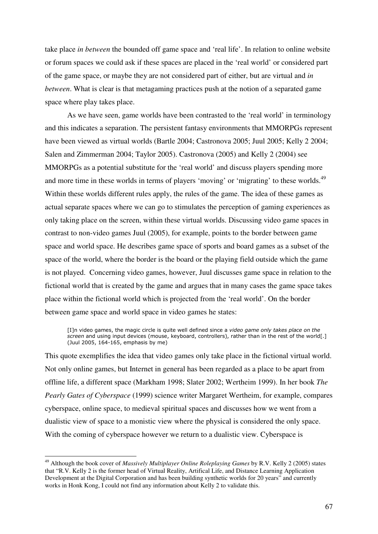take place *in between* the bounded off game space and 'real life'. In relation to online website or forum spaces we could ask if these spaces are placed in the 'real world' or considered part of the game space, or maybe they are not considered part of either, but are virtual and *in between*. What is clear is that metagaming practices push at the notion of a separated game space where play takes place.

As we have seen, game worlds have been contrasted to the 'real world' in terminology and this indicates a separation. The persistent fantasy environments that MMORPGs represent have been viewed as virtual worlds (Bartle 2004; Castronova 2005; Juul 2005; Kelly 2 2004; Salen and Zimmerman 2004; Taylor 2005). Castronova (2005) and Kelly 2 (2004) see MMORPGs as a potential substitute for the 'real world' and discuss players spending more and more time in these worlds in terms of players 'moving' or 'migrating' to these worlds.<sup>49</sup> Within these worlds different rules apply, the rules of the game. The idea of these games as actual separate spaces where we can go to stimulates the perception of gaming experiences as only taking place on the screen, within these virtual worlds. Discussing video game spaces in contrast to non-video games Juul (2005), for example, points to the border between game space and world space. He describes game space of sports and board games as a subset of the space of the world, where the border is the board or the playing field outside which the game is not played. Concerning video games, however, Juul discusses game space in relation to the fictional world that is created by the game and argues that in many cases the game space takes place within the fictional world which is projected from the 'real world'. On the border between game space and world space in video games he states:

[I]n video games, the magic circle is quite well defined since a video game only takes place on the screen and using input devices (mouse, keyboard, controllers), rather than in the rest of the world[.] (Juul 2005, 164-165, emphasis by me)

This quote exemplifies the idea that video games only take place in the fictional virtual world. Not only online games, but Internet in general has been regarded as a place to be apart from offline life, a different space (Markham 1998; Slater 2002; Wertheim 1999). In her book *The Pearly Gates of Cyberspace* (1999) science writer Margaret Wertheim, for example, compares cyberspace, online space, to medieval spiritual spaces and discusses how we went from a dualistic view of space to a monistic view where the physical is considered the only space. With the coming of cyberspace however we return to a dualistic view. Cyberspace is

 $\overline{a}$ 

<sup>49</sup> Although the book cover of *Massively Multiplayer Online Roleplaying Games* by R.V. Kelly 2 (2005) states that "R.V. Kelly 2 is the former head of Virtual Reality, Artifical Life, and Distance Learning Application Development at the Digital Corporation and has been building synthetic worlds for 20 years" and currently works in Honk Kong, I could not find any information about Kelly 2 to validate this.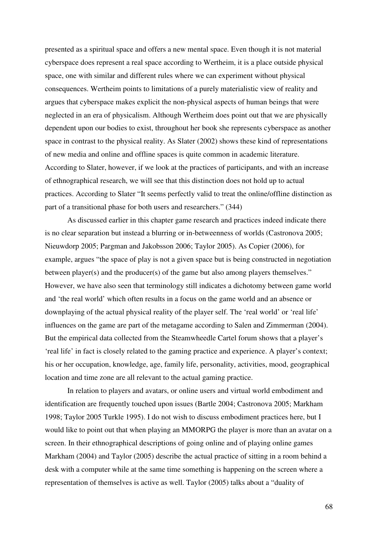presented as a spiritual space and offers a new mental space. Even though it is not material cyberspace does represent a real space according to Wertheim, it is a place outside physical space, one with similar and different rules where we can experiment without physical consequences. Wertheim points to limitations of a purely materialistic view of reality and argues that cyberspace makes explicit the non-physical aspects of human beings that were neglected in an era of physicalism. Although Wertheim does point out that we are physically dependent upon our bodies to exist, throughout her book she represents cyberspace as another space in contrast to the physical reality. As Slater (2002) shows these kind of representations of new media and online and offline spaces is quite common in academic literature. According to Slater, however, if we look at the practices of participants, and with an increase of ethnographical research, we will see that this distinction does not hold up to actual practices. According to Slater "It seems perfectly valid to treat the online/offline distinction as part of a transitional phase for both users and researchers." (344)

 As discussed earlier in this chapter game research and practices indeed indicate there is no clear separation but instead a blurring or in-betweenness of worlds (Castronova 2005; Nieuwdorp 2005; Pargman and Jakobsson 2006; Taylor 2005). As Copier (2006), for example, argues "the space of play is not a given space but is being constructed in negotiation between player(s) and the producer(s) of the game but also among players themselves." However, we have also seen that terminology still indicates a dichotomy between game world and 'the real world' which often results in a focus on the game world and an absence or downplaying of the actual physical reality of the player self. The 'real world' or 'real life' influences on the game are part of the metagame according to Salen and Zimmerman (2004). But the empirical data collected from the Steamwheedle Cartel forum shows that a player's 'real life' in fact is closely related to the gaming practice and experience. A player's context; his or her occupation, knowledge, age, family life, personality, activities, mood, geographical location and time zone are all relevant to the actual gaming practice.

 In relation to players and avatars, or online users and virtual world embodiment and identification are frequently touched upon issues (Bartle 2004; Castronova 2005; Markham 1998; Taylor 2005 Turkle 1995). I do not wish to discuss embodiment practices here, but I would like to point out that when playing an MMORPG the player is more than an avatar on a screen. In their ethnographical descriptions of going online and of playing online games Markham (2004) and Taylor (2005) describe the actual practice of sitting in a room behind a desk with a computer while at the same time something is happening on the screen where a representation of themselves is active as well. Taylor (2005) talks about a "duality of

68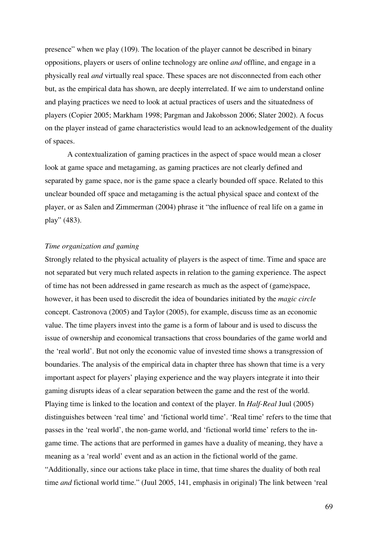presence" when we play (109). The location of the player cannot be described in binary oppositions, players or users of online technology are online *and* offline, and engage in a physically real *and* virtually real space. These spaces are not disconnected from each other but, as the empirical data has shown, are deeply interrelated. If we aim to understand online and playing practices we need to look at actual practices of users and the situatedness of players (Copier 2005; Markham 1998; Pargman and Jakobsson 2006; Slater 2002). A focus on the player instead of game characteristics would lead to an acknowledgement of the duality of spaces.

 A contextualization of gaming practices in the aspect of space would mean a closer look at game space and metagaming, as gaming practices are not clearly defined and separated by game space, nor is the game space a clearly bounded off space. Related to this unclear bounded off space and metagaming is the actual physical space and context of the player, or as Salen and Zimmerman (2004) phrase it "the influence of real life on a game in play" (483).

### *Time organization and gaming*

Strongly related to the physical actuality of players is the aspect of time. Time and space are not separated but very much related aspects in relation to the gaming experience. The aspect of time has not been addressed in game research as much as the aspect of (game)space, however, it has been used to discredit the idea of boundaries initiated by the *magic circle*  concept. Castronova (2005) and Taylor (2005), for example, discuss time as an economic value. The time players invest into the game is a form of labour and is used to discuss the issue of ownership and economical transactions that cross boundaries of the game world and the 'real world'. But not only the economic value of invested time shows a transgression of boundaries. The analysis of the empirical data in chapter three has shown that time is a very important aspect for players' playing experience and the way players integrate it into their gaming disrupts ideas of a clear separation between the game and the rest of the world. Playing time is linked to the location and context of the player. In *Half-Real* Juul (2005) distinguishes between 'real time' and 'fictional world time'. 'Real time' refers to the time that passes in the 'real world', the non-game world, and 'fictional world time' refers to the ingame time. The actions that are performed in games have a duality of meaning, they have a meaning as a 'real world' event and as an action in the fictional world of the game. "Additionally, since our actions take place in time, that time shares the duality of both real time *and* fictional world time." (Juul 2005, 141, emphasis in original) The link between 'real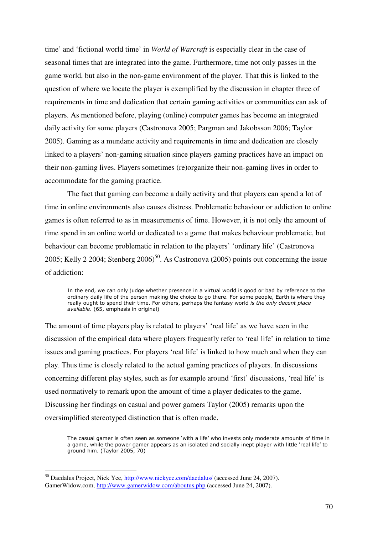time' and 'fictional world time' in *World of Warcraft* is especially clear in the case of seasonal times that are integrated into the game. Furthermore, time not only passes in the game world, but also in the non-game environment of the player. That this is linked to the question of where we locate the player is exemplified by the discussion in chapter three of requirements in time and dedication that certain gaming activities or communities can ask of players. As mentioned before, playing (online) computer games has become an integrated daily activity for some players (Castronova 2005; Pargman and Jakobsson 2006; Taylor 2005). Gaming as a mundane activity and requirements in time and dedication are closely linked to a players' non-gaming situation since players gaming practices have an impact on their non-gaming lives. Players sometimes (re)organize their non-gaming lives in order to accommodate for the gaming practice.

 The fact that gaming can become a daily activity and that players can spend a lot of time in online environments also causes distress. Problematic behaviour or addiction to online games is often referred to as in measurements of time. However, it is not only the amount of time spend in an online world or dedicated to a game that makes behaviour problematic, but behaviour can become problematic in relation to the players' 'ordinary life' (Castronova 2005; Kelly 2 2004; Stenberg  $2006$ <sup>50</sup>. As Castronova (2005) points out concerning the issue of addiction:

In the end, we can only judge whether presence in a virtual world is good or bad by reference to the ordinary daily life of the person making the choice to go there. For some people, Earth is where they really ought to spend their time. For others, perhaps the fantasy world is the only decent place available. (65, emphasis in original)

The amount of time players play is related to players' 'real life' as we have seen in the discussion of the empirical data where players frequently refer to 'real life' in relation to time issues and gaming practices. For players 'real life' is linked to how much and when they can play. Thus time is closely related to the actual gaming practices of players. In discussions concerning different play styles, such as for example around 'first' discussions, 'real life' is used normatively to remark upon the amount of time a player dedicates to the game. Discussing her findings on casual and power gamers Taylor (2005) remarks upon the oversimplified stereotyped distinction that is often made.

The casual gamer is often seen as someone 'with a life' who invests only moderate amounts of time in a game, while the power gamer appears as an isolated and socially inept player with little 'real life' to ground him. (Taylor 2005, 70)

 $\overline{a}$ 

<sup>&</sup>lt;sup>50</sup> Daedalus Project, Nick Yee, http://www.nickyee.com/daedalus/ (accessed June 24, 2007). GamerWidow.com, http://www.gamerwidow.com/aboutus.php (accessed June 24, 2007).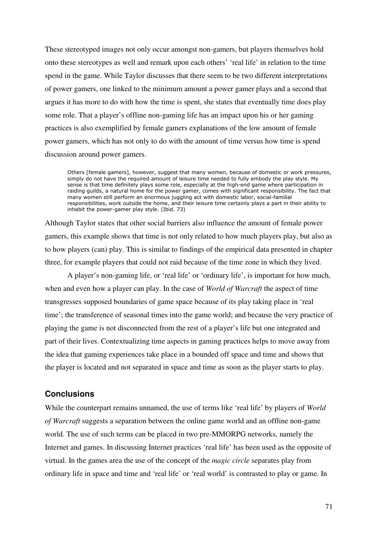These stereotyped images not only occur amongst non-gamers, but players themselves hold onto these stereotypes as well and remark upon each others' 'real life' in relation to the time spend in the game. While Taylor discusses that there seem to be two different interpretations of power gamers, one linked to the minimum amount a power gamer plays and a second that argues it has more to do with how the time is spent, she states that eventually time does play some role. That a player's offline non-gaming life has an impact upon his or her gaming practices is also exemplified by female gamers explanations of the low amount of female power gamers, which has not only to do with the amount of time versus how time is spend discussion around power gamers.

Others [female gamers], however, suggest that many women, because of domestic or work pressures, simply do not have the required amount of leisure time needed to fully embody the play style. My sense is that time definitely plays some role, especially at the high-end game where participation in raiding guilds, a natural home for the power gamer, comes with significant responsibility. The fact that many women still perform an enormous juggling act with domestic labor, social-familial responsibilities, work outside the home, and their leisure time certainly plays a part in their ability to inhabit the power-gamer play style. (Ibid. 73)

Although Taylor states that other social barriers also influence the amount of female power gamers, this example shows that time is not only related to how much players play, but also as to how players (can) play. This is similar to findings of the empirical data presented in chapter three, for example players that could not raid because of the time zone in which they lived.

 A player's non-gaming life, or 'real life' or 'ordinary life', is important for how much, when and even how a player can play. In the case of *World of Warcraft* the aspect of time transgresses supposed boundaries of game space because of its play taking place in 'real time'; the transference of seasonal times into the game world; and because the very practice of playing the game is not disconnected from the rest of a player's life but one integrated and part of their lives. Contextualizing time aspects in gaming practices helps to move away from the idea that gaming experiences take place in a bounded off space and time and shows that the player is located and not separated in space and time as soon as the player starts to play.

# **Conclusions**

While the counterpart remains unnamed, the use of terms like 'real life' by players of *World of Warcraft* suggests a separation between the online game world and an offline non-game world. The use of such terms can be placed in two pre-MMORPG networks, namely the Internet and games. In discussing Internet practices 'real life' has been used as the opposite of virtual. In the games area the use of the concept of the *magic circle* separates play from ordinary life in space and time and 'real life' or 'real world' is contrasted to play or game. In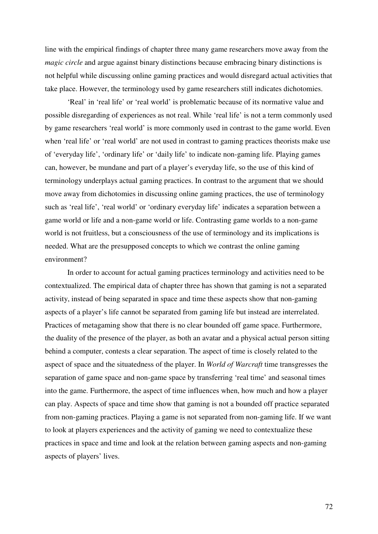line with the empirical findings of chapter three many game researchers move away from the *magic circle* and argue against binary distinctions because embracing binary distinctions is not helpful while discussing online gaming practices and would disregard actual activities that take place. However, the terminology used by game researchers still indicates dichotomies.

 'Real' in 'real life' or 'real world' is problematic because of its normative value and possible disregarding of experiences as not real. While 'real life' is not a term commonly used by game researchers 'real world' is more commonly used in contrast to the game world. Even when 'real life' or 'real world' are not used in contrast to gaming practices theorists make use of 'everyday life', 'ordinary life' or 'daily life' to indicate non-gaming life. Playing games can, however, be mundane and part of a player's everyday life, so the use of this kind of terminology underplays actual gaming practices. In contrast to the argument that we should move away from dichotomies in discussing online gaming practices, the use of terminology such as 'real life', 'real world' or 'ordinary everyday life' indicates a separation between a game world or life and a non-game world or life. Contrasting game worlds to a non-game world is not fruitless, but a consciousness of the use of terminology and its implications is needed. What are the presupposed concepts to which we contrast the online gaming environment?

 In order to account for actual gaming practices terminology and activities need to be contextualized. The empirical data of chapter three has shown that gaming is not a separated activity, instead of being separated in space and time these aspects show that non-gaming aspects of a player's life cannot be separated from gaming life but instead are interrelated. Practices of metagaming show that there is no clear bounded off game space. Furthermore, the duality of the presence of the player, as both an avatar and a physical actual person sitting behind a computer, contests a clear separation. The aspect of time is closely related to the aspect of space and the situatedness of the player. In *World of Warcraft* time transgresses the separation of game space and non-game space by transferring 'real time' and seasonal times into the game. Furthermore, the aspect of time influences when, how much and how a player can play. Aspects of space and time show that gaming is not a bounded off practice separated from non-gaming practices. Playing a game is not separated from non-gaming life. If we want to look at players experiences and the activity of gaming we need to contextualize these practices in space and time and look at the relation between gaming aspects and non-gaming aspects of players' lives.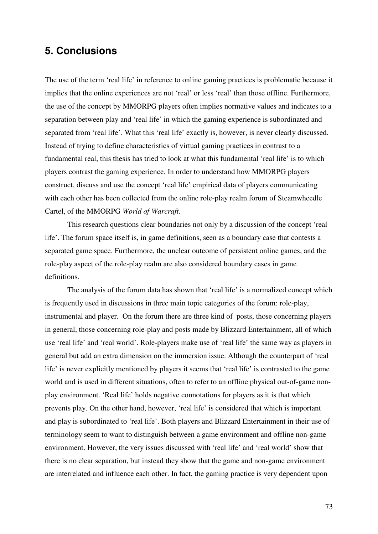#### **5. Conclusions**

The use of the term 'real life' in reference to online gaming practices is problematic because it implies that the online experiences are not 'real' or less 'real' than those offline. Furthermore, the use of the concept by MMORPG players often implies normative values and indicates to a separation between play and 'real life' in which the gaming experience is subordinated and separated from 'real life'. What this 'real life' exactly is, however, is never clearly discussed. Instead of trying to define characteristics of virtual gaming practices in contrast to a fundamental real, this thesis has tried to look at what this fundamental 'real life' is to which players contrast the gaming experience. In order to understand how MMORPG players construct, discuss and use the concept 'real life' empirical data of players communicating with each other has been collected from the online role-play realm forum of Steamwheedle Cartel, of the MMORPG *World of Warcraft*.

 This research questions clear boundaries not only by a discussion of the concept 'real life'. The forum space itself is, in game definitions, seen as a boundary case that contests a separated game space. Furthermore, the unclear outcome of persistent online games, and the role-play aspect of the role-play realm are also considered boundary cases in game definitions.

The analysis of the forum data has shown that 'real life' is a normalized concept which is frequently used in discussions in three main topic categories of the forum: role-play, instrumental and player. On the forum there are three kind of posts, those concerning players in general, those concerning role-play and posts made by Blizzard Entertainment, all of which use 'real life' and 'real world'. Role-players make use of 'real life' the same way as players in general but add an extra dimension on the immersion issue. Although the counterpart of 'real life' is never explicitly mentioned by players it seems that 'real life' is contrasted to the game world and is used in different situations, often to refer to an offline physical out-of-game nonplay environment. 'Real life' holds negative connotations for players as it is that which prevents play. On the other hand, however, 'real life' is considered that which is important and play is subordinated to 'real life'. Both players and Blizzard Entertainment in their use of terminology seem to want to distinguish between a game environment and offline non-game environment. However, the very issues discussed with 'real life' and 'real world' show that there is no clear separation, but instead they show that the game and non-game environment are interrelated and influence each other. In fact, the gaming practice is very dependent upon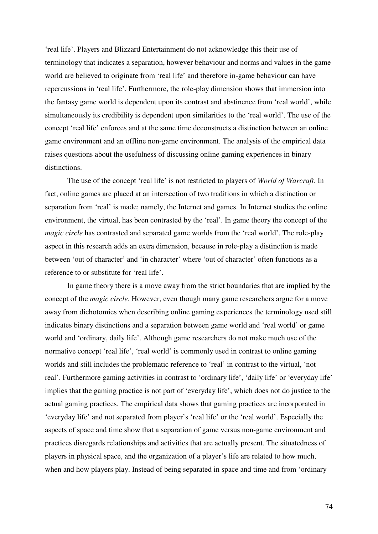'real life'. Players and Blizzard Entertainment do not acknowledge this their use of terminology that indicates a separation, however behaviour and norms and values in the game world are believed to originate from 'real life' and therefore in-game behaviour can have repercussions in 'real life'. Furthermore, the role-play dimension shows that immersion into the fantasy game world is dependent upon its contrast and abstinence from 'real world', while simultaneously its credibility is dependent upon similarities to the 'real world'. The use of the concept 'real life' enforces and at the same time deconstructs a distinction between an online game environment and an offline non-game environment. The analysis of the empirical data raises questions about the usefulness of discussing online gaming experiences in binary distinctions.

 The use of the concept 'real life' is not restricted to players of *World of Warcraft*. In fact, online games are placed at an intersection of two traditions in which a distinction or separation from 'real' is made; namely, the Internet and games. In Internet studies the online environment, the virtual, has been contrasted by the 'real'. In game theory the concept of the *magic circle* has contrasted and separated game worlds from the 'real world'. The role-play aspect in this research adds an extra dimension, because in role-play a distinction is made between 'out of character' and 'in character' where 'out of character' often functions as a reference to or substitute for 'real life'.

 In game theory there is a move away from the strict boundaries that are implied by the concept of the *magic circle*. However, even though many game researchers argue for a move away from dichotomies when describing online gaming experiences the terminology used still indicates binary distinctions and a separation between game world and 'real world' or game world and 'ordinary, daily life'. Although game researchers do not make much use of the normative concept 'real life', 'real world' is commonly used in contrast to online gaming worlds and still includes the problematic reference to 'real' in contrast to the virtual, 'not real'. Furthermore gaming activities in contrast to 'ordinary life', 'daily life' or 'everyday life' implies that the gaming practice is not part of 'everyday life', which does not do justice to the actual gaming practices. The empirical data shows that gaming practices are incorporated in 'everyday life' and not separated from player's 'real life' or the 'real world'. Especially the aspects of space and time show that a separation of game versus non-game environment and practices disregards relationships and activities that are actually present. The situatedness of players in physical space, and the organization of a player's life are related to how much, when and how players play. Instead of being separated in space and time and from 'ordinary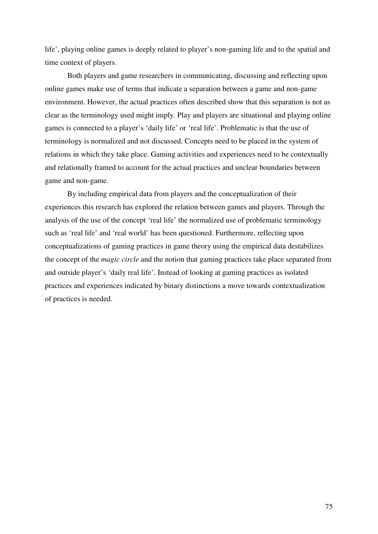life', playing online games is deeply related to player's non-gaming life and to the spatial and time context of players.

Both players and game researchers in communicating, discussing and reflecting upon online games make use of terms that indicate a separation between a game and non-game environment. However, the actual practices often described show that this separation is not as clear as the terminology used might imply. Play and players are situational and playing online games is connected to a player's 'daily life' or 'real life'. Problematic is that the use of terminology is normalized and not discussed. Concepts need to be placed in the system of relations in which they take place. Gaming activities and experiences need to be contextually and relationally framed to account for the actual practices and unclear boundaries between game and non-game.

By including empirical data from players and the conceptualization of their experiences this research has explored the relation between games and players. Through the analysis of the use of the concept 'real life' the normalized use of problematic terminology such as 'real life' and 'real world' has been questioned. Furthermore, reflecting upon conceptualizations of gaming practices in game theory using the empirical data destabilizes the concept of the *magic circle* and the notion that gaming practices take place separated from and outside player's 'daily real life'. Instead of looking at gaming practices as isolated practices and experiences indicated by binary distinctions a move towards contextualization of practices is needed.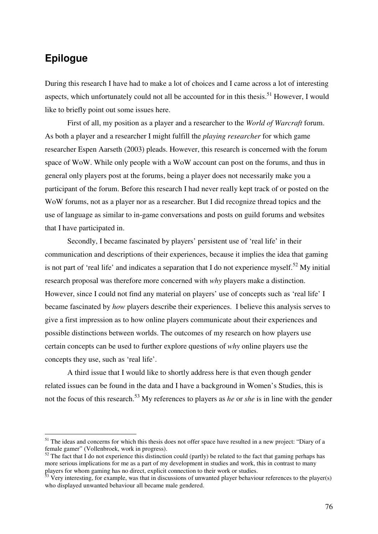## **Epilogue**

 $\overline{a}$ 

During this research I have had to make a lot of choices and I came across a lot of interesting aspects, which unfortunately could not all be accounted for in this thesis.<sup>51</sup> However, I would like to briefly point out some issues here.

 First of all, my position as a player and a researcher to the *World of Warcraft* forum. As both a player and a researcher I might fulfill the *playing researcher* for which game researcher Espen Aarseth (2003) pleads. However, this research is concerned with the forum space of WoW. While only people with a WoW account can post on the forums, and thus in general only players post at the forums, being a player does not necessarily make you a participant of the forum. Before this research I had never really kept track of or posted on the WoW forums, not as a player nor as a researcher. But I did recognize thread topics and the use of language as similar to in-game conversations and posts on guild forums and websites that I have participated in.

Secondly, I became fascinated by players' persistent use of 'real life' in their communication and descriptions of their experiences, because it implies the idea that gaming is not part of 'real life' and indicates a separation that I do not experience myself.<sup>52</sup> My initial research proposal was therefore more concerned with *why* players make a distinction. However, since I could not find any material on players' use of concepts such as 'real life' I became fascinated by *how* players describe their experiences. I believe this analysis serves to give a first impression as to how online players communicate about their experiences and possible distinctions between worlds. The outcomes of my research on how players use certain concepts can be used to further explore questions of *why* online players use the concepts they use, such as 'real life'.

 A third issue that I would like to shortly address here is that even though gender related issues can be found in the data and I have a background in Women's Studies, this is not the focus of this research.<sup>53</sup> My references to players as *he* or *she* is in line with the gender

<sup>&</sup>lt;sup>51</sup> The ideas and concerns for which this thesis does not offer space have resulted in a new project: "Diary of a female gamer" (Vollenbroek, work in progress).

 $52$  The fact that I do not experience this distinction could (partly) be related to the fact that gaming perhaps has more serious implications for me as a part of my development in studies and work, this in contrast to many players for whom gaming has no direct, explicit connection to their work or studies.

 $53$  Very interesting, for example, was that in discussions of unwanted player behaviour references to the player(s) who displayed unwanted behaviour all became male gendered.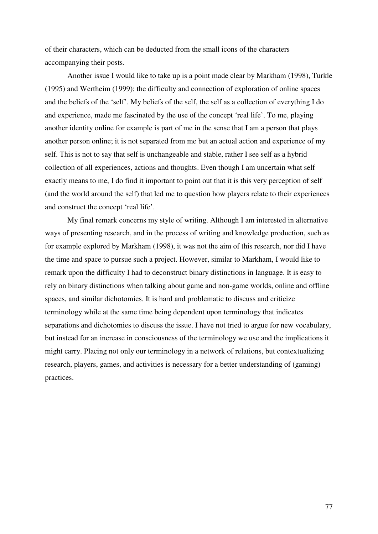of their characters, which can be deducted from the small icons of the characters accompanying their posts.

 Another issue I would like to take up is a point made clear by Markham (1998), Turkle (1995) and Wertheim (1999); the difficulty and connection of exploration of online spaces and the beliefs of the 'self'. My beliefs of the self, the self as a collection of everything I do and experience, made me fascinated by the use of the concept 'real life'. To me, playing another identity online for example is part of me in the sense that I am a person that plays another person online; it is not separated from me but an actual action and experience of my self. This is not to say that self is unchangeable and stable, rather I see self as a hybrid collection of all experiences, actions and thoughts. Even though I am uncertain what self exactly means to me, I do find it important to point out that it is this very perception of self (and the world around the self) that led me to question how players relate to their experiences and construct the concept 'real life'.

 My final remark concerns my style of writing. Although I am interested in alternative ways of presenting research, and in the process of writing and knowledge production, such as for example explored by Markham (1998), it was not the aim of this research, nor did I have the time and space to pursue such a project. However, similar to Markham, I would like to remark upon the difficulty I had to deconstruct binary distinctions in language. It is easy to rely on binary distinctions when talking about game and non-game worlds, online and offline spaces, and similar dichotomies. It is hard and problematic to discuss and criticize terminology while at the same time being dependent upon terminology that indicates separations and dichotomies to discuss the issue. I have not tried to argue for new vocabulary, but instead for an increase in consciousness of the terminology we use and the implications it might carry. Placing not only our terminology in a network of relations, but contextualizing research, players, games, and activities is necessary for a better understanding of (gaming) practices.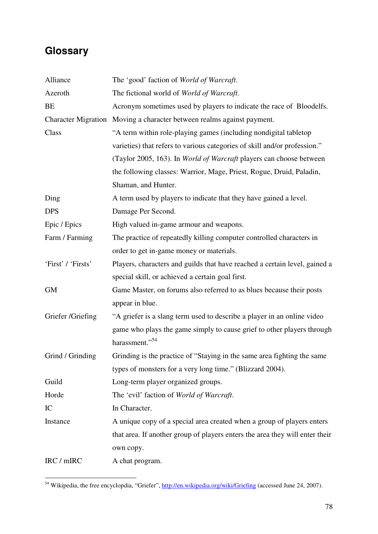# **Glossary**

 $\overline{a}$ 

| Alliance           | The 'good' faction of World of Warcraft.                                     |
|--------------------|------------------------------------------------------------------------------|
| Azeroth            | The fictional world of World of Warcraft.                                    |
| BE                 | Acronym sometimes used by players to indicate the race of Bloodelfs.         |
|                    | Character Migration Moving a character between realms against payment.       |
| Class              | "A term within role-playing games (including nondigital tabletop             |
|                    | varieties) that refers to various categories of skill and/or profession."    |
|                    | (Taylor 2005, 163). In World of Warcraft players can choose between          |
|                    | the following classes: Warrior, Mage, Priest, Rogue, Druid, Paladin,         |
|                    | Shaman, and Hunter.                                                          |
| Ding               | A term used by players to indicate that they have gained a level.            |
| <b>DPS</b>         | Damage Per Second.                                                           |
| Epic / Epics       | High valued in-game armour and weapons.                                      |
| Farm / Farming     | The practice of repeatedly killing computer controlled characters in         |
|                    | order to get in-game money or materials.                                     |
| 'First' / 'Firsts' | Players, characters and guilds that have reached a certain level, gained a   |
|                    | special skill, or achieved a certain goal first.                             |
| <b>GM</b>          | Game Master, on forums also referred to as blues because their posts         |
|                    | appear in blue.                                                              |
| Griefer /Griefing  | "A griefer is a slang term used to describe a player in an online video      |
|                    | game who plays the game simply to cause grief to other players through       |
|                    | harassment." <sup>54</sup>                                                   |
| Grind / Grinding   | Grinding is the practice of "Staying in the same area fighting the same      |
|                    | types of monsters for a very long time." (Blizzard 2004).                    |
| Guild              | Long-term player organized groups.                                           |
| Horde              | The 'evil' faction of World of Warcraft.                                     |
| IC                 | In Character.                                                                |
| Instance           | A unique copy of a special area created when a group of players enters       |
|                    | that area. If another group of players enters the area they will enter their |
|                    | own copy.                                                                    |
| IRC / mIRC         | A chat program.                                                              |

<sup>&</sup>lt;sup>54</sup> Wikipedia, the free encyclopdia, "Griefer", *http://en.wikipedia.org/wiki/Griefing* (accessed June 24, 2007).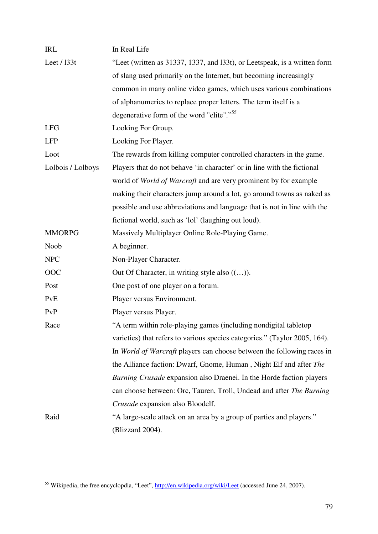| <b>IRL</b>        | In Real Life                                                               |
|-------------------|----------------------------------------------------------------------------|
| Leet / 133t       | "Leet (written as 31337, 1337, and 133t), or Leetspeak, is a written form  |
|                   | of slang used primarily on the Internet, but becoming increasingly         |
|                   | common in many online video games, which uses various combinations         |
|                   | of alphanumerics to replace proper letters. The term itself is a           |
|                   | degenerative form of the word "elite"." <sup>55</sup>                      |
| <b>LFG</b>        | Looking For Group.                                                         |
| <b>LFP</b>        | Looking For Player.                                                        |
| Loot              | The rewards from killing computer controlled characters in the game.       |
| Lolbois / Lolboys | Players that do not behave 'in character' or in line with the fictional    |
|                   | world of World of Warcraft and are very prominent by for example           |
|                   | making their characters jump around a lot, go around towns as naked as     |
|                   | possible and use abbreviations and language that is not in line with the   |
|                   | fictional world, such as 'lol' (laughing out loud).                        |
| <b>MMORPG</b>     | Massively Multiplayer Online Role-Playing Game.                            |
| Noob              | A beginner.                                                                |
| <b>NPC</b>        | Non-Player Character.                                                      |
| OOC               | Out Of Character, in writing style also $((\dots)).$                       |
| Post              | One post of one player on a forum.                                         |
| PvE               | Player versus Environment.                                                 |
| PvP               | Player versus Player.                                                      |
| Race              | "A term within role-playing games (including nondigital tabletop           |
|                   | varieties) that refers to various species categories." (Taylor 2005, 164). |
|                   | In World of Warcraft players can choose between the following races in     |
|                   | the Alliance faction: Dwarf, Gnome, Human, Night Elf and after The         |
|                   | Burning Crusade expansion also Draenei. In the Horde faction players       |
|                   | can choose between: Orc, Tauren, Troll, Undead and after The Burning       |
|                   | Crusade expansion also Bloodelf.                                           |
| Raid              | "A large-scale attack on an area by a group of parties and players."       |
|                   | (Blizzard 2004).                                                           |

 $\overline{a}$ 

<sup>&</sup>lt;sup>55</sup> Wikipedia, the free encyclopdia, "Leet", http://en.wikipedia.org/wiki/Leet (accessed June 24, 2007).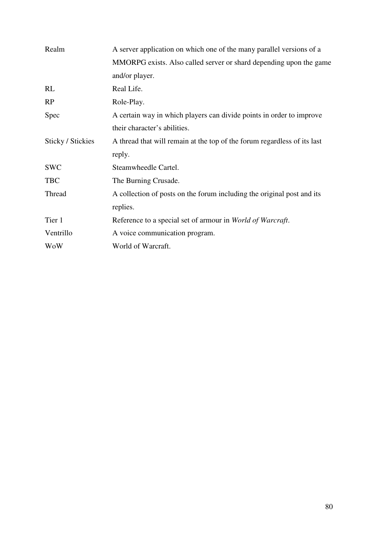| Realm                    | A server application on which one of the many parallel versions of a     |
|--------------------------|--------------------------------------------------------------------------|
|                          | MMORPG exists. Also called server or shard depending upon the game       |
|                          | and/or player.                                                           |
| <b>RL</b>                | Real Life.                                                               |
| <b>RP</b>                | Role-Play.                                                               |
| Spec                     | A certain way in which players can divide points in order to improve     |
|                          | their character's abilities.                                             |
| <b>Sticky / Stickies</b> | A thread that will remain at the top of the forum regardless of its last |
|                          | reply.                                                                   |
| <b>SWC</b>               | Steamwheedle Cartel.                                                     |
| <b>TBC</b>               | The Burning Crusade.                                                     |
| Thread                   | A collection of posts on the forum including the original post and its   |
|                          |                                                                          |
|                          | replies.                                                                 |
| Tier 1                   | Reference to a special set of armour in World of Warcraft.               |
| Ventrillo                | A voice communication program.                                           |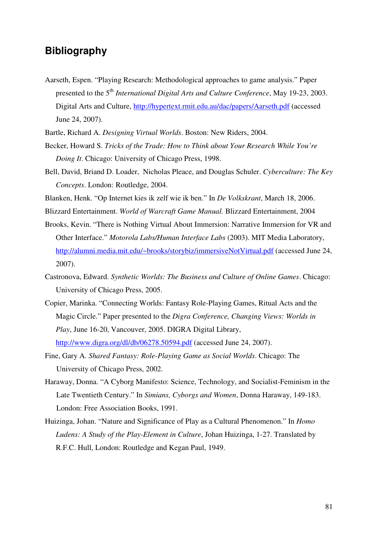### **Bibliography**

Aarseth, Espen. "Playing Research: Methodological approaches to game analysis." Paper presented to the 5th *International Digital Arts and Culture Conference*, May 19-23, 2003. Digital Arts and Culture, http://hypertext.rmit.edu.au/dac/papers/Aarseth.pdf (accessed June 24, 2007).

Bartle, Richard A. *Designing Virtual Worlds*. Boston: New Riders, 2004.

- Becker, Howard S. *Tricks of the Trade: How to Think about Your Research While You're Doing It*. Chicago: University of Chicago Press, 1998.
- Bell, David, Briand D. Loader, Nicholas Pleace, and Douglas Schuler. *Cyberculture: The Key Concepts*. London: Routledge, 2004.
- Blanken, Henk. "Op Internet kies ik zelf wie ik ben." In *De Volkskrant*, March 18, 2006.

Blizzard Entertainment. *World of Warcraft Game Manual.* Blizzard Entertainment, 2004

- Brooks, Kevin. "There is Nothing Virtual About Immersion: Narrative Immersion for VR and Other Interface." *Motorola Labs/Human Interface Labs* (2003). MIT Media Laboratory, http://alumni.media.mit.edu/~brooks/storybiz/immersiveNotVirtual.pdf (accessed June 24, 2007).
- Castronova, Edward. *Synthetic Worlds: The Business and Culture of Online Games*. Chicago: University of Chicago Press, 2005.
- Copier, Marinka. "Connecting Worlds: Fantasy Role-Playing Games, Ritual Acts and the Magic Circle." Paper presented to the *Digra Conference, Changing Views: Worlds in Play*, June 16-20, Vancouver, 2005. DIGRA Digital Library, http://www.digra.org/dl/db/06278.50594.pdf (accessed June 24, 2007).
- Fine, Gary A. *Shared Fantasy: Role-Playing Game as Social Worlds*. Chicago: The University of Chicago Press, 2002.
- Haraway, Donna. "A Cyborg Manifesto: Science, Technology, and Socialist-Feminism in the Late Twentieth Century." In *Simians, Cyborgs and Women*, Donna Haraway, 149-183. London: Free Association Books, 1991.
- Huizinga, Johan. "Nature and Significance of Play as a Cultural Phenomenon." In *Homo Ludens: A Study of the Play-Element in Culture*, Johan Huizinga, 1-27. Translated by R.F.C. Hull, London: Routledge and Kegan Paul, 1949.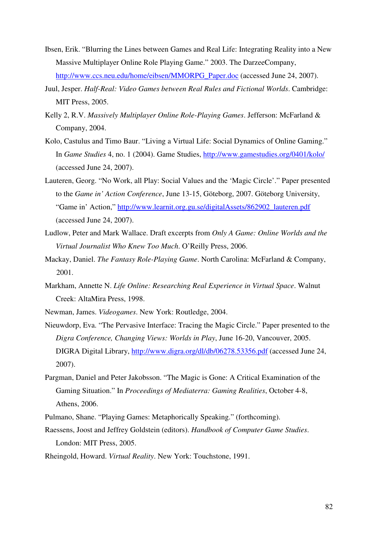- Ibsen, Erik. "Blurring the Lines between Games and Real Life: Integrating Reality into a New Massive Multiplayer Online Role Playing Game." 2003. The DarzeeCompany, http://www.ccs.neu.edu/home/eibsen/MMORPG\_Paper.doc (accessed June 24, 2007).
- Juul, Jesper. *Half-Real: Video Games between Real Rules and Fictional Worlds*. Cambridge: MIT Press, 2005.
- Kelly 2, R.V. *Massively Multiplayer Online Role-Playing Games*. Jefferson: McFarland & Company, 2004.
- Kolo, Castulus and Timo Baur. "Living a Virtual Life: Social Dynamics of Online Gaming." In *Game Studies* 4, no. 1 (2004). Game Studies, http://www.gamestudies.org/0401/kolo/ (accessed June 24, 2007).
- Lauteren, Georg. "No Work, all Play: Social Values and the 'Magic Circle'." Paper presented to the *Game in' Action Conference*, June 13-15, Göteborg, 2007. Göteborg University, "Game in' Action," http://www.learnit.org.gu.se/digitalAssets/862902\_lauteren.pdf (accessed June 24, 2007).
- Ludlow, Peter and Mark Wallace. Draft excerpts from *Only A Game: Online Worlds and the Virtual Journalist Who Knew Too Much*. O'Reilly Press, 2006.
- Mackay, Daniel. *The Fantasy Role-Playing Game*. North Carolina: McFarland & Company, 2001.
- Markham, Annette N. *Life Online: Researching Real Experience in Virtual Space*. Walnut Creek: AltaMira Press, 1998.
- Newman, James. *Videogames*. New York: Routledge, 2004.
- Nieuwdorp, Eva. "The Pervasive Interface: Tracing the Magic Circle." Paper presented to the *Digra Conference, Changing Views: Worlds in Play*, June 16-20, Vancouver, 2005. DIGRA Digital Library, http://www.digra.org/dl/db/06278.53356.pdf (accessed June 24, 2007).
- Pargman, Daniel and Peter Jakobsson. "The Magic is Gone: A Critical Examination of the Gaming Situation." In *Proceedings of Mediaterra: Gaming Realities*, October 4-8, Athens, 2006.
- Pulmano, Shane. "Playing Games: Metaphorically Speaking." (forthcoming).
- Raessens, Joost and Jeffrey Goldstein (editors). *Handbook of Computer Game Studies*. London: MIT Press, 2005.
- Rheingold, Howard. *Virtual Reality*. New York: Touchstone, 1991.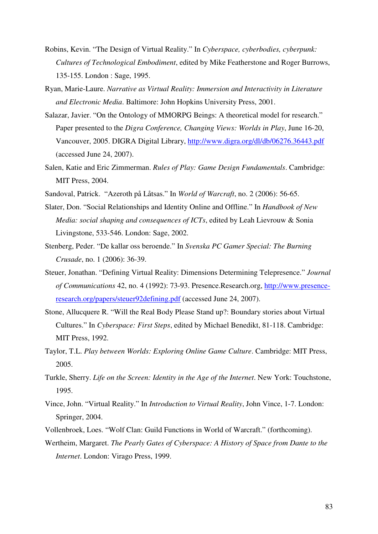- Robins, Kevin. "The Design of Virtual Reality." In *Cyberspace, cyberbodies, cyberpunk: Cultures of Technological Embodiment*, edited by Mike Featherstone and Roger Burrows, 135-155. London : Sage, 1995.
- Ryan, Marie-Laure. *Narrative as Virtual Reality: Immersion and Interactivity in Literature and Electronic Media*. Baltimore: John Hopkins University Press, 2001.
- Salazar, Javier. "On the Ontology of MMORPG Beings: A theoretical model for research." Paper presented to the *Digra Conference, Changing Views: Worlds in Play*, June 16-20, Vancouver, 2005. DIGRA Digital Library, http://www.digra.org/dl/db/06276.36443.pdf (accessed June 24, 2007).
- Salen, Katie and Eric Zimmerman. *Rules of Play: Game Design Fundamentals*. Cambridge: MIT Press, 2004.
- Sandoval, Patrick. "Azeroth på Låtsas." In *World of Warcraft*, no. 2 (2006): 56-65.
- Slater, Don. "Social Relationships and Identity Online and Offline." In *Handbook of New Media: social shaping and consequences of ICTs*, edited by Leah Lievrouw & Sonia Livingstone, 533-546. London: Sage, 2002.
- Stenberg, Peder. "De kallar oss beroende." In *Svenska PC Gamer Special: The Burning Crusade*, no. 1 (2006): 36-39.
- Steuer, Jonathan. "Defining Virtual Reality: Dimensions Determining Telepresence." *Journal of Communications* 42, no. 4 (1992): 73-93. Presence.Research.org, http://www.presenceresearch.org/papers/steuer92defining.pdf (accessed June 24, 2007).
- Stone, Allucquere R. "Will the Real Body Please Stand up?: Boundary stories about Virtual Cultures." In *Cyberspace: First Steps*, edited by Michael Benedikt, 81-118. Cambridge: MIT Press, 1992.
- Taylor, T.L. *Play between Worlds: Exploring Online Game Culture*. Cambridge: MIT Press, 2005.
- Turkle, Sherry. *Life on the Screen: Identity in the Age of the Internet*. New York: Touchstone, 1995.
- Vince, John. "Virtual Reality." In *Introduction to Virtual Reality*, John Vince, 1-7. London: Springer, 2004.
- Vollenbroek, Loes. "Wolf Clan: Guild Functions in World of Warcraft." (forthcoming).
- Wertheim, Margaret. *The Pearly Gates of Cyberspace: A History of Space from Dante to the Internet*. London: Virago Press, 1999.